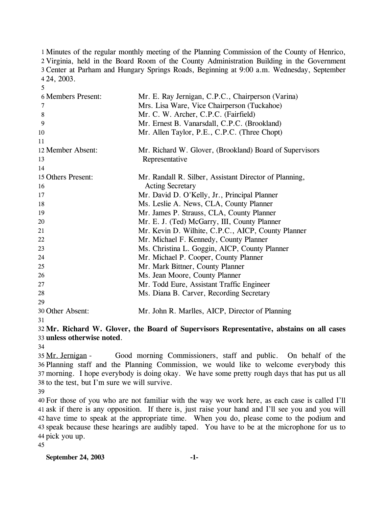1 Minutes of the regular monthly meeting of the Planning Commission of the County of Henrico, 2 Virginia, held in the Board Room of the County Administration Building in the Government Center at Parham and Hungary Springs Roads, Beginning at 9:00 a.m. Wednesday, September 3 24, 2003. 4

| <b>6 Members Present:</b> | Mr. E. Ray Jernigan, C.P.C., Chairperson (Varina)       |
|---------------------------|---------------------------------------------------------|
| 7                         | Mrs. Lisa Ware, Vice Chairperson (Tuckahoe)             |
| 8                         | Mr. C. W. Archer, C.P.C. (Fairfield)                    |
| 9                         | Mr. Ernest B. Vanarsdall, C.P.C. (Brookland)            |
| 10                        | Mr. Allen Taylor, P.E., C.P.C. (Three Chopt)            |
| 11                        |                                                         |
| 12 Member Absent:         | Mr. Richard W. Glover, (Brookland) Board of Supervisors |
| 13                        | Representative                                          |
| 14                        |                                                         |
| 15 Others Present:        | Mr. Randall R. Silber, Assistant Director of Planning,  |
| 16                        | <b>Acting Secretary</b>                                 |
| 17                        | Mr. David D. O'Kelly, Jr., Principal Planner            |
| 18                        | Ms. Leslie A. News, CLA, County Planner                 |
| 19                        | Mr. James P. Strauss, CLA, County Planner               |
| 20                        | Mr. E. J. (Ted) McGarry, III, County Planner            |
| 21                        | Mr. Kevin D. Wilhite, C.P.C., AICP, County Planner      |
| 22                        | Mr. Michael F. Kennedy, County Planner                  |
| 23                        | Ms. Christina L. Goggin, AICP, County Planner           |
| 24                        | Mr. Michael P. Cooper, County Planner                   |
| 25                        | Mr. Mark Bittner, County Planner                        |
| 26                        | Ms. Jean Moore, County Planner                          |
| 27                        | Mr. Todd Eure, Assistant Traffic Engineer               |
| 28                        | Ms. Diana B. Carver, Recording Secretary                |
| 29                        |                                                         |
| 30 Other Absent:          | Mr. John R. Marlles, AICP, Director of Planning         |

31

5

32 **Mr. Richard W. Glover, the Board of Supervisors Representative, abstains on all cases**  33 **unless otherwise noted**.

34

Good morning Commissioners, staff and public. On behalf of the 36 Planning staff and the Planning Commission, we would like to welcome everybody this morning. I hope everybody is doing okay. We have some pretty rough days that has put us all 37 38 to the test, but I'm sure we will survive. 35 Mr. Jernigan -

39

 For those of you who are not familiar with the way we work here, as each case is called I'll ask if there is any opposition. If there is, just raise your hand and I'll see you and you will have time to speak at the appropriate time. When you do, please come to the podium and speak because these hearings are audibly taped. You have to be at the microphone for us to pick you up.

45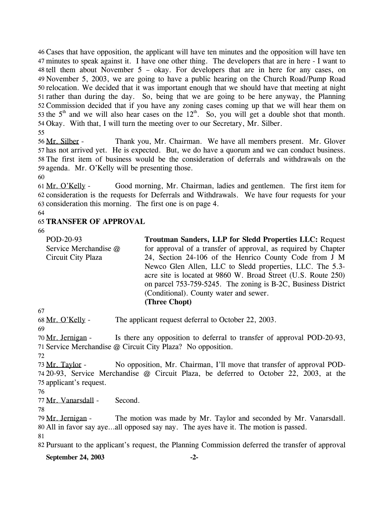Cases that have opposition, the applicant will have ten minutes and the opposition will have ten 46 minutes to speak against it. I have one other thing. The developers that are in here - I want to 47  $48$  tell them about November 5 – okay. For developers that are in here for any cases, on November 5, 2003, we are going to have a public hearing on the Church Road/Pump Road 49 50 relocation. We decided that it was important enough that we should have that meeting at night 51 rather than during the day. So, being that we are going to be here anyway, the Planning 52 Commission decided that if you have any zoning cases coming up that we will hear them on 53 the  $5<sup>th</sup>$  and we will also hear cases on the  $12<sup>th</sup>$ . So, you will get a double shot that month. 54 Okay. With that, I will turn the meeting over to our Secretary, Mr. Silber.

55

Thank you, Mr. Chairman. We have all members present. Mr. Glover 57 has not arrived yet. He is expected. But, we do have a quorum and we can conduct business. 58 The first item of business would be the consideration of deferrals and withdrawals on the 59 agenda. Mr. O'Kelly will be presenting those. 56 Mr. Silber -

60

Good morning, Mr. Chairman, ladies and gentlemen. The first item for 62 consideration is the requests for Deferrals and Withdrawals. We have four requests for your 63 consideration this morning. The first one is on page 4. 61 Mr. O'Kelly -

64

## 65 **TRANSFER OF APPROVAL**

66

| POD-20-93             | <b>Troutman Sanders, LLP for Sledd Properties LLC: Request</b> |
|-----------------------|----------------------------------------------------------------|
| Service Merchandise @ | for approval of a transfer of approval, as required by Chapter |
| Circuit City Plaza    | 24, Section 24-106 of the Henrico County Code from J M         |
|                       | Newco Glen Allen, LLC to Sledd properties, LLC. The 5.3-       |
|                       | acre site is located at 9860 W. Broad Street (U.S. Route 250)  |
|                       | on parcel 753-759-5245. The zoning is B-2C, Business District  |
|                       | (Conditional). County water and sewer.                         |
|                       | (Three Chopt)                                                  |

67

68 Mr. O'Kelly - The applicant request deferral to October 22, 2003.

69

Is there any opposition to deferral to transfer of approval POD-20-93, 71 Service Merchandise @ Circuit City Plaza? No opposition. 70 Mr. Jernigan -

72

No opposition, Mr. Chairman, I'll move that transfer of approval POD-20-93, Service Merchandise @ Circuit Plaza, be deferred to October 22, 2003, at the 74 75 applicant's request. 73 Mr. Taylor -

76

77 Mr. Vanarsdall - Second.

78

The motion was made by Mr. Taylor and seconded by Mr. Vanarsdall. All in favor say aye…all opposed say nay. The ayes have it. The motion is passed. 80 79 Mr. Jernigan -

81

82 Pursuant to the applicant's request, the Planning Commission deferred the transfer of approval

**September 24, 2003 -2-**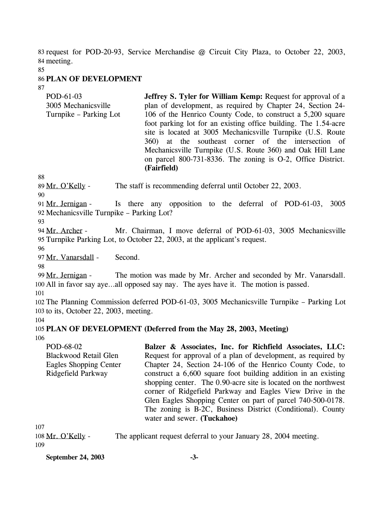83 request for POD-20-93, Service Merchandise @ Circuit City Plaza, to October 22, 2003, 84 meeting.

85

### 86 **PLAN OF DEVELOPMENT**

87

| POD-61-03<br>3005 Mechanicsville | <b>Jeffrey S. Tyler for William Kemp: Request for approval of a</b><br>plan of development, as required by Chapter 24, Section 24- |
|----------------------------------|------------------------------------------------------------------------------------------------------------------------------------|
|                                  |                                                                                                                                    |
| Turnpike – Parking Lot           | 106 of the Henrico County Code, to construct a 5,200 square                                                                        |
|                                  | foot parking lot for an existing office building. The 1.54-acre                                                                    |
|                                  | site is located at 3005 Mechanicsville Turnpike (U.S. Route                                                                        |
|                                  | 360) at the southeast corner of the intersection of                                                                                |
|                                  | Mechanicsville Turnpike (U.S. Route 360) and Oak Hill Lane                                                                         |
|                                  | on parcel 800-731-8336. The zoning is O-2, Office District.                                                                        |
|                                  | (Fairfield)                                                                                                                        |

88

89 Mr. O'Kelly - The staff is recommending deferral until October 22, 2003.

90

Is there any opposition to the deferral of POD-61-03, 3005 92 Mechanicsville Turnpike – Parking Lot? 91 Mr. Jernigan -

93

Mr. Chairman, I move deferral of POD-61-03, 3005 Mechanicsville Turnpike Parking Lot, to October 22, 2003, at the applicant's request. 95 94 Mr. Archer -

96

97 Mr. Vanarsdall - Second.

98

The motion was made by Mr. Archer and seconded by Mr. Vanarsdall. 100 All in favor say aye...all opposed say nay. The ayes have it. The motion is passed. 99 Mr. Jernigan -

101

102 The Planning Commission deferred POD-61-03, 3005 Mechanicsville Turnpike – Parking Lot 103 to its, October 22, 2003, meeting.

104

## 105 **PLAN OF DEVELOPMENT (Deferred from the May 28, 2003, Meeting)**

106

POD-68-02 Blackwood Retail Glen Eagles Shopping Center Ridgefield Parkway **Balzer & Associates, Inc. for Richfield Associates, LLC:**  Request for approval of a plan of development, as required by Chapter 24, Section 24-106 of the Henrico County Code, to construct a 6,600 square foot building addition in an existing shopping center. The 0.90-acre site is located on the northwest corner of Ridgefield Parkway and Eagles View Drive in the Glen Eagles Shopping Center on part of parcel 740-500-0178. The zoning is B-2C, Business District (Conditional). County water and sewer. **(Tuckahoe)** 

107

| 108 Mr. O'Kelly - | The applicant request deferral to your January 28, 2004 meeting. |
|-------------------|------------------------------------------------------------------|
| 109               |                                                                  |

**September 24, 2003 -3-**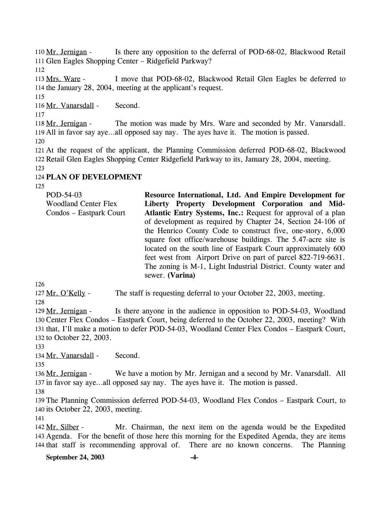Is there any opposition to the deferral of POD-68-02, Blackwood Retail 111 Glen Eagles Shopping Center - Ridgefield Parkway? 110 Mr. Jernigan -

112

I move that POD-68-02, Blackwood Retail Glen Eagles be deferred to 114 the January 28, 2004, meeting at the applicant's request. 113 Mrs. Ware -

115

116 Mr. Vanarsdall - Second.

117

The motion was made by Mrs. Ware and seconded by Mr. Vanarsdall. 119 All in favor say aye...all opposed say nay. The ayes have it. The motion is passed. 118 Mr. Jernigan -

120

121 At the request of the applicant, the Planning Commission deferred POD-68-02, Blackwood 122 Retail Glen Eagles Shopping Center Ridgefield Parkway to its, January 28, 2004, meeting. 123

## 124 **PLAN OF DEVELOPMENT**

125

| POD-54-03<br><b>Woodland Center Flex</b> | Resource International, Ltd. And Empire Development for<br>Liberty Property Development Corporation and Mid- |
|------------------------------------------|--------------------------------------------------------------------------------------------------------------|
| Condos – Eastpark Court                  | Atlantic Entry Systems, Inc.: Request for approval of a plan                                                 |
|                                          | of development as required by Chapter 24, Section 24-106 of                                                  |
|                                          | the Henrico County Code to construct five, one-story, 6,000                                                  |
|                                          | square foot office/warehouse buildings. The 5.47-acre site is                                                |
|                                          | located on the south line of Eastpark Court approximately 600                                                |
|                                          | feet west from Airport Drive on part of parcel 822-719-6631.                                                 |
|                                          | The zoning is M-1, Light Industrial District. County water and<br>sewer. (Varina)                            |

126

127 Mr. O'Kelly - The staff is requesting deferral to your October 22, 2003, meeting. 128

Is there anyone in the audience in opposition to POD-54-03, Woodland 130 Center Flex Condos – Eastpark Court, being deferred to the October 22, 2003, meeting? With 131 that, I'll make a motion to defer POD-54-03, Woodland Center Flex Condos - Eastpark Court, 132 to October 22, 2003. 129 Mr. Jernigan -

133

134 Mr. Vanarsdall - Second.

135

We have a motion by Mr. Jernigan and a second by Mr. Vanarsdall. All 137 in favor say aye...all opposed say nay. The ayes have it. The motion is passed. 136 Mr. Jernigan -

138

139 The Planning Commission deferred POD-54-03, Woodland Flex Condos – Eastpark Court, to 140 its October 22, 2003, meeting.

141

Mr. Chairman, the next item on the agenda would be the Expedited Agenda. For the benefit of those here this morning for the Expedited Agenda, they are items 143 144 that staff is recommending approval of. There are no known concerns. The Planning 142 Mr. Silber -

### **September 24, 2003 -4-**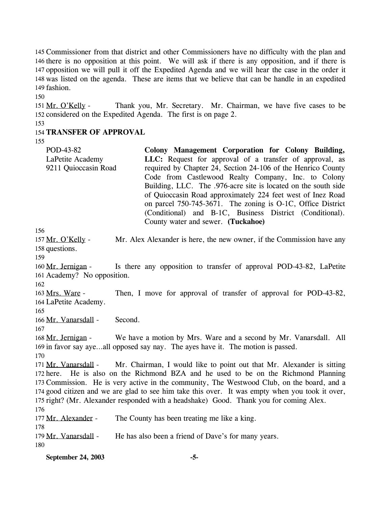145 Commissioner from that district and other Commissioners have no difficulty with the plan and 146 there is no opposition at this point. We will ask if there is any opposition, and if there is 147 opposition we will pull it off the Expedited Agenda and we will hear the case in the order it 148 was listed on the agenda. These are items that we believe that can be handle in an expedited 149 fashion.

150

Thank you, Mr. Secretary. Mr. Chairman, we have five cases to be 152 considered on the Expedited Agenda. The first is on page 2. 151 Mr. O'Kelly -

153

### 154 **TRANSFER OF APPROVAL**

155

| POD-43-82            | Colony Management Corporation for Colony Building,             |
|----------------------|----------------------------------------------------------------|
| LaPetite Academy     | LLC: Request for approval of a transfer of approval, as        |
| 9211 Quioccasin Road | required by Chapter 24, Section 24-106 of the Henrico County   |
|                      | Code from Castlewood Realty Company, Inc. to Colony            |
|                      | Building, LLC. The .976-acre site is located on the south side |
|                      | of Quioccasin Road approximately 224 feet west of Inez Road    |
|                      | on parcel 750-745-3671. The zoning is O-1C, Office District    |
|                      | (Conditional) and B-1C, Business District (Conditional).       |
|                      | County water and sewer. (Tuckahoe)                             |
| 156                  |                                                                |

Mr. Alex Alexander is here, the new owner, if the Commission have any 158 questions. 157 Mr. O'Kelly -

159

Is there any opposition to transfer of approval POD-43-82, LaPetite 161 Academy? No opposition. 160 Mr. Jernigan -

162

Then, I move for approval of transfer of approval for POD-43-82, 164 LaPetite Academy. 163 Mrs. Ware -

165

166 Mr. Vanarsdall - Second.

167

We have a motion by Mrs. Ware and a second by Mr. Vanarsdall. All 169 in favor say aye...all opposed say nay. The ayes have it. The motion is passed. 168 Mr. Jernigan -

170

Mr. Chairman, I would like to point out that Mr. Alexander is sitting 172 here. He is also on the Richmond BZA and he used to be on the Richmond Planning 173 Commission. He is very active in the community, The Westwood Club, on the board, and a 174 good citizen and we are glad to see him take this over. It was empty when you took it over, 175 right? (Mr. Alexander responded with a headshake) Good. Thank you for coming Alex. 171 Mr. Vanarsdall -176

177 Mr. Alexander - The County has been treating me like a king.

179 Mr. Vanarsdall - He has also been a friend of Dave's for many years.

180

178

**September 24, 2003 -5-**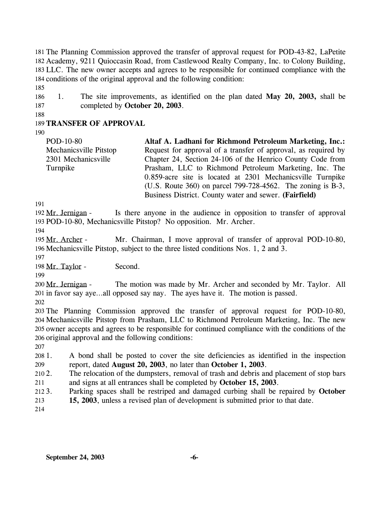181 The Planning Commission approved the transfer of approval request for POD-43-82, LaPetite Academy, 9211 Quioccasin Road, from Castlewood Realty Company, Inc. to Colony Building, 182 183 LLC. The new owner accepts and agrees to be responsible for continued compliance with the 184 conditions of the original approval and the following condition:

185

186 187 1. The site improvements, as identified on the plan dated **May 20, 2003,** shall be completed by **October 20, 2003**.

188

## 189 **TRANSFER OF APPROVAL**

190

POD-10-80 Mechanicsville Pitstop 2301 Mechanicsville Turnpike **Altaf A. Ladhani for Richmond Petroleum Marketing, Inc.:**  Request for approval of a transfer of approval, as required by Chapter 24, Section 24-106 of the Henrico County Code from Prasham, LLC to Richmond Petroleum Marketing, Inc. The 0.859-acre site is located at 2301 Mechanicsville Turnpike (U.S. Route 360) on parcel 799-728-4562. The zoning is B-3,

Business District. County water and sewer. **(Fairfield)** 

191

Is there anyone in the audience in opposition to transfer of approval 193 POD-10-80, Mechanicsville Pitstop? No opposition. Mr. Archer. 192 Mr. Jernigan -

194

Mr. Chairman, I move approval of transfer of approval POD-10-80, 196 Mechanicsville Pitstop, subject to the three listed conditions Nos. 1, 2 and 3. 195 Mr. Archer -

197

198 Mr. Taylor - Second.

199

The motion was made by Mr. Archer and seconded by Mr. Taylor. All 201 in favor say aye...all opposed say nay. The ayes have it. The motion is passed. 200 Mr. Jernigan -

202

 The Planning Commission approved the transfer of approval request for POD-10-80, Mechanicsville Pitstop from Prasham, LLC to Richmond Petroleum Marketing, Inc. The new owner accepts and agrees to be responsible for continued compliance with the conditions of the original approval and the following conditions:

207

208 209 1. A bond shall be posted to cover the site deficiencies as identified in the inspection report, dated **August 20, 2003**, no later than **October 1, 2003**.

 $2102.$ 211 The relocation of the dumpsters, removal of trash and debris and placement of stop bars and signs at all entrances shall be completed by **October 15, 2003**.

 $212.3$ . 213 3. Parking spaces shall be restriped and damaged curbing shall be repaired by **October 15, 2003**, unless a revised plan of development is submitted prior to that date.

214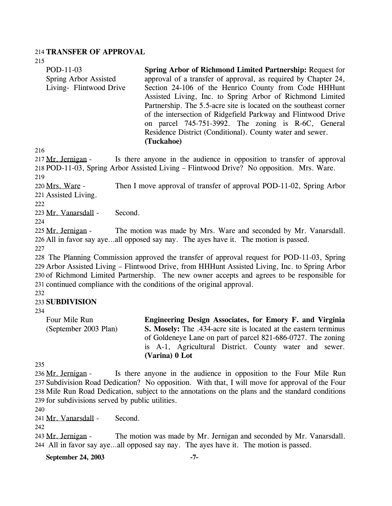#### 214 **TRANSFER OF APPROVAL**

215

| POD-11-03               | Spring Arbor of Richmond Limited Partnership: Request for         |
|-------------------------|-------------------------------------------------------------------|
| Spring Arbor Assisted   | approval of a transfer of approval, as required by Chapter 24,    |
| Living- Flintwood Drive | Section 24-106 of the Henrico County from Code HHHunt             |
|                         | Assisted Living, Inc. to Spring Arbor of Richmond Limited         |
|                         | Partnership. The 5.5-acre site is located on the southeast corner |
|                         | of the intersection of Ridgefield Parkway and Flintwood Drive     |
|                         | on parcel 745-751-3992. The zoning is R-6C, General               |
|                         | Residence District (Conditional). County water and sewer.         |
|                         | (Tuckahoe)                                                        |

216

Is there anyone in the audience in opposition to transfer of approval 218 POD-11-03, Spring Arbor Assisted Living - Flintwood Drive? No opposition. Mrs. Ware. 217 Mr. Jernigan -219

Then I move approval of transfer of approval POD-11-02, Spring Arbor 221 Assisted Living. 220 Mrs. Ware -

222

223 Mr. Vanarsdall - Second.

224

The motion was made by Mrs. Ware and seconded by Mr. Vanarsdall. All in favor say aye…all opposed say nay. The ayes have it. The motion is passed. 226 225 Mr. Jernigan -

227

 The Planning Commission approved the transfer of approval request for POD-11-03, Spring Arbor Assisted Living – Flintwood Drive, from HHHunt Assisted Living, Inc. to Spring Arbor of Richmond Limited Partnership. The new owner accepts and agrees to be responsible for continued compliance with the conditions of the original approval.

232

## 233 **SUBDIVISION**

234

Four Mile Run (September 2003 Plan) **Engineering Design Associates, for Emory F. and Virginia S. Mosely:** The .434-acre site is located at the eastern terminus of Goldeneye Lane on part of parcel 821-686-0727. The zoning is A-1, Agricultural District. County water and sewer. **(Varina) 0 Lot** 

235

Is there anyone in the audience in opposition to the Four Mile Run 237 Subdivision Road Dedication? No opposition. With that, I will move for approval of the Four 238 Mile Run Road Dedication, subject to the annotations on the plans and the standard conditions 239 for subdivisions served by public utilities. 236 Mr. Jernigan -

240

241 Mr. Vanarsdall - Second.

242

The motion was made by Mr. Jernigan and seconded by Mr. Vanarsdall. All in favor say aye…all opposed say nay. The ayes have it. The motion is passed. 244 243 Mr. Jernigan -

**September 24, 2003 -7-**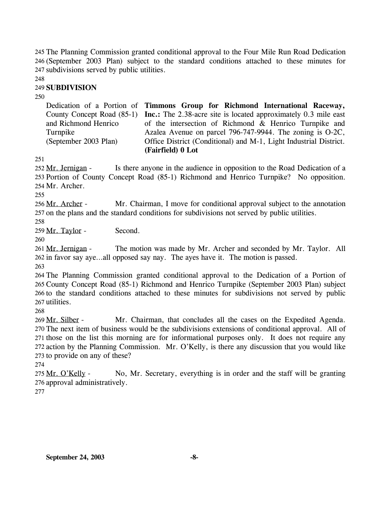The Planning Commission granted conditional approval to the Four Mile Run Road Dedication 245 (September 2003 Plan) subject to the standard conditions attached to these minutes for 246 247 subdivisions served by public utilities.

248

### 249 **SUBDIVISION**

250

Dedication of a Portion of **Timmons Group for Richmond International Raceway,**  County Concept Road (85-1) **Inc.:** The 2.38-acre site is located approximately 0.3 mile east and Richmond Henrico Turnpike (September 2003 Plan) of the intersection of Richmond & Henrico Turnpike and Azalea Avenue on parcel 796-747-9944. The zoning is O-2C, Office District (Conditional) and M-1, Light Industrial District. **(Fairfield) 0 Lot** 

251

Is there anyone in the audience in opposition to the Road Dedication of a 253 Portion of County Concept Road (85-1) Richmond and Henrico Turnpike? No opposition. Mr. Archer. 254 252 Mr. Jernigan -

255

Mr. Chairman, I move for conditional approval subject to the annotation 257 on the plans and the standard conditions for subdivisions not served by public utilities. 256 Mr. Archer -258

259 Mr. Taylor - Second.

260

The motion was made by Mr. Archer and seconded by Mr. Taylor. All 262 in favor say aye...all opposed say nay. The ayes have it. The motion is passed. 261 Mr. Jernigan -

263

 The Planning Commission granted conditional approval to the Dedication of a Portion of County Concept Road (85-1) Richmond and Henrico Turnpike (September 2003 Plan) subject to the standard conditions attached to these minutes for subdivisions not served by public utilities.

268

Mr. Chairman, that concludes all the cases on the Expedited Agenda. 270 The next item of business would be the subdivisions extensions of conditional approval. All of 271 those on the list this morning are for informational purposes only. It does not require any 272 action by the Planning Commission. Mr. O'Kelly, is there any discussion that you would like 273 to provide on any of these? 269 Mr. Silber -

274

No, Mr. Secretary, everything is in order and the staff will be granting 276 approval administratively. 275 Mr. O'Kelly -

277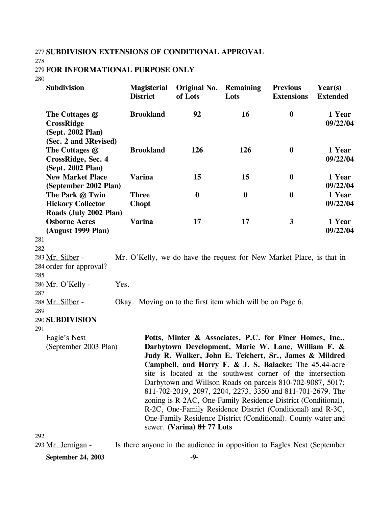## 277 **SUBDIVISION EXTENSIONS OF CONDITIONAL APPROVAL**

278

#### 279 **FOR INFORMATIONAL PURPOSE ONLY**

280

| <b>Subdivision</b>                                                                 | <b>Magisterial</b><br><b>District</b> | Original No.<br>of Lots                                                                                                                                                                                                                                                                                                                                                                                                                                                                                                                                                                                                                                     | Remaining<br>Lots | <b>Previous</b><br><b>Extensions</b> | Year(s)<br><b>Extended</b> |
|------------------------------------------------------------------------------------|---------------------------------------|-------------------------------------------------------------------------------------------------------------------------------------------------------------------------------------------------------------------------------------------------------------------------------------------------------------------------------------------------------------------------------------------------------------------------------------------------------------------------------------------------------------------------------------------------------------------------------------------------------------------------------------------------------------|-------------------|--------------------------------------|----------------------------|
| The Cottages @<br><b>CrossRidge</b><br>(Sept. 2002 Plan)                           | <b>Brookland</b>                      | 92                                                                                                                                                                                                                                                                                                                                                                                                                                                                                                                                                                                                                                                          | 16                | $\boldsymbol{0}$                     | 1 Year<br>09/22/04         |
| (Sec. 2 and 3Revised)<br>The Cottages @<br>CrossRidge, Sec. 4<br>(Sept. 2002 Plan) | <b>Brookland</b>                      | 126                                                                                                                                                                                                                                                                                                                                                                                                                                                                                                                                                                                                                                                         | 126               | $\bf{0}$                             | 1 Year<br>09/22/04         |
| <b>New Market Place</b><br>(September 2002 Plan)                                   | <b>Varina</b>                         | 15                                                                                                                                                                                                                                                                                                                                                                                                                                                                                                                                                                                                                                                          | 15                | $\bf{0}$                             | 1 Year<br>09/22/04         |
| The Park @ Twin<br><b>Hickory Collector</b><br>Roads (July 2002 Plan)              | <b>Three</b><br><b>Chopt</b>          | $\boldsymbol{0}$                                                                                                                                                                                                                                                                                                                                                                                                                                                                                                                                                                                                                                            | $\boldsymbol{0}$  | $\boldsymbol{0}$                     | 1 Year<br>09/22/04         |
| <b>Osborne Acres</b><br>(August 1999 Plan)                                         | <b>Varina</b>                         | 17                                                                                                                                                                                                                                                                                                                                                                                                                                                                                                                                                                                                                                                          | 17                | $\mathbf{3}$                         | 1 Year<br>09/22/04         |
| 281                                                                                |                                       |                                                                                                                                                                                                                                                                                                                                                                                                                                                                                                                                                                                                                                                             |                   |                                      |                            |
| 282<br>283 Mr. Silber -                                                            |                                       | Mr. O'Kelly, we do have the request for New Market Place, is that in                                                                                                                                                                                                                                                                                                                                                                                                                                                                                                                                                                                        |                   |                                      |                            |
| 284 order for approval?                                                            |                                       |                                                                                                                                                                                                                                                                                                                                                                                                                                                                                                                                                                                                                                                             |                   |                                      |                            |
| 285                                                                                |                                       |                                                                                                                                                                                                                                                                                                                                                                                                                                                                                                                                                                                                                                                             |                   |                                      |                            |
| 286 Mr. O'Kelly -<br>Yes.<br>287                                                   |                                       |                                                                                                                                                                                                                                                                                                                                                                                                                                                                                                                                                                                                                                                             |                   |                                      |                            |
| 288 Mr. Silber -<br>289                                                            |                                       | Okay. Moving on to the first item which will be on Page 6.                                                                                                                                                                                                                                                                                                                                                                                                                                                                                                                                                                                                  |                   |                                      |                            |
| 290 SUBDIVISION                                                                    |                                       |                                                                                                                                                                                                                                                                                                                                                                                                                                                                                                                                                                                                                                                             |                   |                                      |                            |
| 291                                                                                |                                       |                                                                                                                                                                                                                                                                                                                                                                                                                                                                                                                                                                                                                                                             |                   |                                      |                            |
| Eagle's Nest<br>(September 2003 Plan)                                              |                                       | Potts, Minter & Associates, P.C. for Finer Homes, Inc.,<br>Darbytown Development, Marie W. Lane, William F. &<br>Judy R. Walker, John E. Teichert, Sr., James & Mildred<br>Campbell, and Harry F. & J. S. Balacke: The 45.44-acre<br>site is located at the southwest corner of the intersection<br>Darbytown and Willson Roads on parcels 810-702-9087, 5017;<br>811-702-2019, 2097, 2204, 2273, 3350 and 811-701-2679. The<br>zoning is R-2AC, One-Family Residence District (Conditional),<br>R-2C, One-Family Residence District (Conditional) and R-3C,<br>One-Family Residence District (Conditional). County water and<br>sewer. (Varina) 81 77 Lots |                   |                                      |                            |
| 292                                                                                |                                       |                                                                                                                                                                                                                                                                                                                                                                                                                                                                                                                                                                                                                                                             |                   |                                      |                            |

293 Mr. Jernigan - Is there anyone in the audience in opposition to Eagles Nest (September

**September 24, 2003** -9-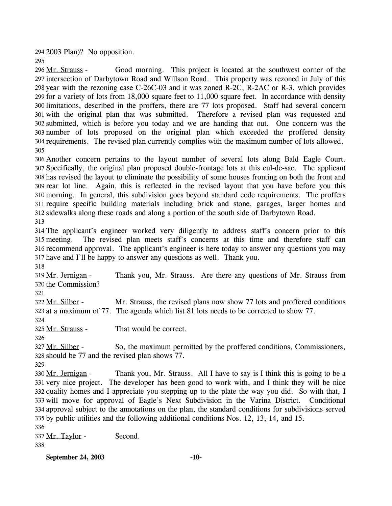294 2003 Plan)? No opposition.

Good morning. This project is located at the southwest corner of the 297 intersection of Darbytown Road and Willson Road. This property was rezoned in July of this 298 year with the rezoning case  $C$ -26 $C$ -03 and it was zoned R-2 $C$ , R-2A $C$  or R-3, which provides 299 for a variety of lots from 18,000 square feet to 11,000 square feet. In accordance with density 300 limitations, described in the proffers, there are 77 lots proposed. Staff had several concern 301 with the original plan that was submitted. Therefore a revised plan was requested and submitted, which is before you today and we are handing that out. One concern was the 302 303 number of lots proposed on the original plan which exceeded the proffered density 304 requirements. The revised plan currently complies with the maximum number of lots allowed. 296 Mr. Strauss -305

 Another concern pertains to the layout number of several lots along Bald Eagle Court. Specifically, the original plan proposed double-frontage lots at this cul-de-sac. The applicant has revised the layout to eliminate the possibility of some houses fronting on both the front and rear lot line. Again, this is reflected in the revised layout that you have before you this morning. In general, this subdivision goes beyond standard code requirements. The proffers require specific building materials including brick and stone, garages, larger homes and sidewalks along these roads and along a portion of the south side of Darbytown Road. 313

314 The applicant's engineer worked very diligently to address staff's concern prior to this 315 meeting. 316 recommend approval. The applicant's engineer is here today to answer any questions you may 317 have and I'll be happy to answer any questions as well. Thank you. The revised plan meets staff's concerns at this time and therefore staff can

318

295

Thank you, Mr. Strauss. Are there any questions of Mr. Strauss from 320 the Commission? 319 Mr. Jernigan -

321

Mr. Strauss, the revised plans now show 77 lots and proffered conditions 323 at a maximum of 77. The agenda which list 81 lots needs to be corrected to show 77. 322 Mr. Silber -

324

325 Mr. Strauss - That would be correct.

326

So, the maximum permitted by the proffered conditions, Commissioners, 328 should be 77 and the revised plan shows 77. 327 Mr. Silber -

329

Thank you, Mr. Strauss. All I have to say is I think this is going to be a 331 very nice project. The developer has been good to work with, and I think they will be nice 332 quality homes and I appreciate you stepping up to the plate the way you did. So with that, I 333 will move for approval of Eagle's Next Subdivision in the Varina District. Conditional 334 approval subject to the annotations on the plan, the standard conditions for subdivisions served 335 by public utilities and the following additional conditions Nos. 12, 13, 14, and 15. 330 Mr. Jernigan -

336

337 Mr. Taylor - Second. 338

**September 24, 2003 -10-**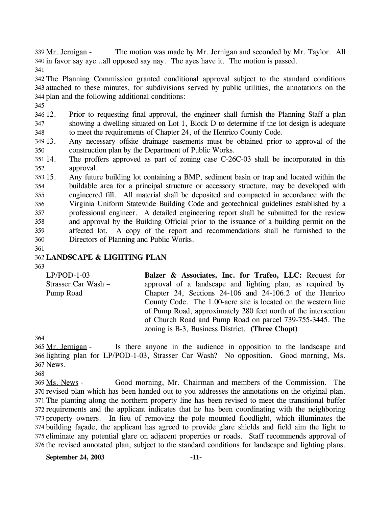The motion was made by Mr. Jernigan and seconded by Mr. Taylor. All 340 in favor say aye...all opposed say nay. The ayes have it. The motion is passed. 339 Mr. Jernigan -341

342 The Planning Commission granted conditional approval subject to the standard conditions 343 attached to these minutes, for subdivisions served by public utilities, the annotations on the 344 plan and the following additional conditions:

345

346 12. 347 348 12. Prior to requesting final approval, the engineer shall furnish the Planning Staff a plan showing a dwelling situated on Lot 1, Block D to determine if the lot design is adequate to meet the requirements of Chapter 24, of the Henrico County Code.

349 13. 350 Any necessary offsite drainage easements must be obtained prior to approval of the construction plan by the Department of Public Works.

351 14. 352 The proffers approved as part of zoning case  $C-26C-03$  shall be incorporated in this approval.

353 15. 354 355 356 357 358 359 360 15. Any future building lot containing a BMP, sediment basin or trap and located within the buildable area for a principal structure or accessory structure, may be developed with engineered fill. All material shall be deposited and compacted in accordance with the Virginia Uniform Statewide Building Code and geotechnical guidelines established by a professional engineer. A detailed engineering report shall be submitted for the review and approval by the Building Official prior to the issuance of a building permit on the affected lot. A copy of the report and recommendations shall be furnished to the Directors of Planning and Public Works.

361

### 362 **LANDSCAPE & LIGHTING PLAN**

363

LP/POD-1-03 Strasser Car Wash – Pump Road **Balzer & Associates, Inc. for Trafeo, LLC:** Request for approval of a landscape and lighting plan, as required by Chapter 24, Sections 24-106 and 24-106.2 of the Henrico County Code. The 1.00-acre site is located on the western line of Pump Road, approximately 280 feet north of the intersection of Church Road and Pump Road on parcel 739-755-3445. The zoning is B-3, Business District. **(Three Chopt)** 

364

Is there anyone in the audience in opposition to the landscape and 366 lighting plan for LP/POD-1-03, Strasser Car Wash? No opposition. Good morning, Ms. 367 News. 365 Mr. Jernigan -

368

Good morning, Mr. Chairman and members of the Commission. The 370 revised plan which has been handed out to you addresses the annotations on the original plan. 371 The planting along the northern property line has been revised to meet the transitional buffer 372 requirements and the applicant indicates that he has been coordinating with the neighboring 373 property owners. In lieu of removing the pole mounted floodlight, which illuminates the 374 building façade, the applicant has agreed to provide glare shields and field aim the light to 375 eliminate any potential glare on adjacent properties or roads. Staff recommends approval of 376 the revised annotated plan, subject to the standard conditions for landscape and lighting plans. 369 Ms. News -

**September 24, 2003 -11-**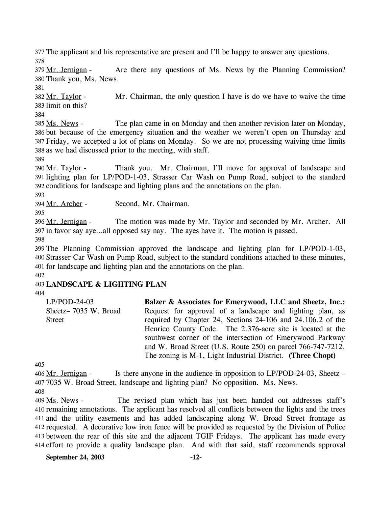377 The applicant and his representative are present and I'll be happy to answer any questions. 378

Are there any questions of Ms. News by the Planning Commission? 380 Thank you, Ms. News. 379 Mr. Jernigan -

381

Mr. Chairman, the only question I have is do we have to waive the time 383 limit on this? 382 Mr. Taylor -

384

The plan came in on Monday and then another revision later on Monday, 386 but because of the emergency situation and the weather we weren't open on Thursday and Friday, we accepted a lot of plans on Monday. So we are not processing waiving time limits 387 388 as we had discussed prior to the meeting, with staff. 385 Ms. News -

389

Thank you. Mr. Chairman, I'll move for approval of landscape and 391 lighting plan for LP/POD-1-03, Strasser Car Wash on Pump Road, subject to the standard 392 conditions for landscape and lighting plans and the annotations on the plan. 390 Mr. Taylor -

393

394 Mr. Archer - Second, Mr. Chairman.

395

The motion was made by Mr. Taylor and seconded by Mr. Archer. All 397 in favor say aye...all opposed say nay. The ayes have it. The motion is passed. 396 Mr. Jernigan -

398

 The Planning Commission approved the landscape and lighting plan for LP/POD-1-03, Strasser Car Wash on Pump Road, subject to the standard conditions attached to these minutes, for landscape and lighting plan and the annotations on the plan. 402

## 403 **LANDSCAPE & LIGHTING PLAN**

404

| $LP/POD-24-03$       | Balzer & Associates for Emerywood, LLC and Sheetz, Inc.:     |
|----------------------|--------------------------------------------------------------|
| Sheetz-7035 W. Broad | Request for approval of a landscape and lighting plan, as    |
| <b>Street</b>        | required by Chapter 24, Sections 24-106 and 24.106.2 of the  |
|                      | Henrico County Code. The 2.376-acre site is located at the   |
|                      | southwest corner of the intersection of Emerywood Parkway    |
|                      | and W. Broad Street (U.S. Route 250) on parcel 766-747-7212. |
|                      | The zoning is M-1, Light Industrial District. (Three Chopt)  |

405

Is there anyone in the audience in opposition to  $LP/POD-24-03$ , Sheetz – 7035 W. Broad Street, landscape and lighting plan? No opposition. Ms. News. 407 406 Mr. Jernigan -

408

The revised plan which has just been handed out addresses staff's 410 remaining annotations. The applicant has resolved all conflicts between the lights and the trees 411 and the utility easements and has added landscaping along W. Broad Street frontage as 412 requested. A decorative low iron fence will be provided as requested by the Division of Police 413 between the rear of this site and the adjacent TGIF Fridays. The applicant has made every 414 effort to provide a quality landscape plan. And with that said, staff recommends approval 409 Ms. News -

**September 24, 2003 -12-**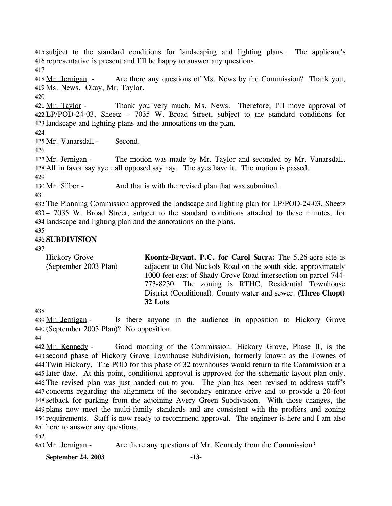415 subject to the standard conditions for landscaping and lighting plans. The applicant's 416 representative is present and I'll be happy to answer any questions.

417

Are there any questions of Ms. News by the Commission? Thank you, 419 Ms. News. Okay, Mr. Taylor. 418 Mr. Jernigan -

420

Thank you very much, Ms. News. Therefore, I'll move approval of LP/POD-24-03, Sheetz – 7035 W. Broad Street, subject to the standard conditions for 422 423 landscape and lighting plans and the annotations on the plan. 421 Mr. Taylor -

424

425 Mr. Vanarsdall - Second.

426

The motion was made by Mr. Taylor and seconded by Mr. Vanarsdall. All in favor say aye…all opposed say nay. The ayes have it. The motion is passed. 428 427 Mr. Jernigan -

429

430 Mr. Silber - And that is with the revised plan that was submitted.

431

432 The Planning Commission approved the landscape and lighting plan for LP/POD-24-03, Sheetz 433 – 7035 W. Broad Street, subject to the standard conditions attached to these minutes, for 434 landscape and lighting plan and the annotations on the plans.

435

## 436 **SUBDIVISION**

437

Hickory Grove (September 2003 Plan) **Koontz-Bryant, P.C. for Carol Sacra:** The 5.26-acre site is adjacent to Old Nuckols Road on the south side, approximately 1000 feet east of Shady Grove Road intersection on parcel 744- 773-8230. The zoning is RTHC, Residential Townhouse District (Conditional). County water and sewer. **(Three Chopt) 32 Lots** 

438

Is there anyone in the audience in opposition to Hickory Grove (September 2003 Plan)? No opposition. 440 439 Mr. Jernigan -

441

Good morning of the Commission. Hickory Grove, Phase II, is the 443 second phase of Hickory Grove Townhouse Subdivision, formerly known as the Townes of Twin Hickory. The POD for this phase of 32 townhouses would return to the Commission at a 444 445 later date. At this point, conditional approval is approved for the schematic layout plan only. The revised plan was just handed out to you. The plan has been revised to address staff's 446 447 concerns regarding the alignment of the secondary entrance drive and to provide a 20-foot 448 setback for parking from the adjoining Avery Green Subdivision. With those changes, the plans now meet the multi-family standards and are consistent with the proffers and zoning 449 450 requirements. Staff is now ready to recommend approval. The engineer is here and I am also 451 here to answer any questions. 442 Mr. Kennedy -

452

453 Mr. Jernigan - Are there any questions of Mr. Kennedy from the Commission?

**September 24, 2003 -13-**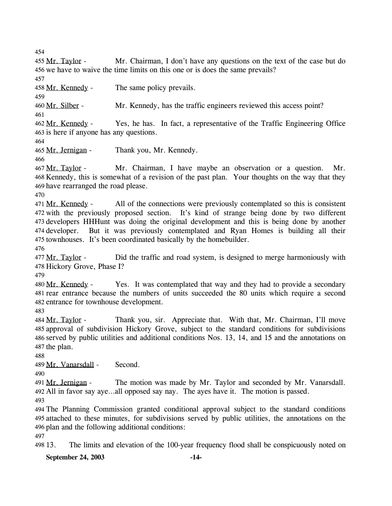| 454<br>455 Mr. Taylor -<br>Mr. Chairman, I don't have any questions on the text of the case but do                                                                                                                                                                                                                                                                                                                                                                 |  |  |
|--------------------------------------------------------------------------------------------------------------------------------------------------------------------------------------------------------------------------------------------------------------------------------------------------------------------------------------------------------------------------------------------------------------------------------------------------------------------|--|--|
| 456 we have to waive the time limits on this one or is does the same prevails?<br>457                                                                                                                                                                                                                                                                                                                                                                              |  |  |
| The same policy prevails.<br>458 Mr. Kennedy -<br>459                                                                                                                                                                                                                                                                                                                                                                                                              |  |  |
| 460 Mr. Silber -<br>Mr. Kennedy, has the traffic engineers reviewed this access point?<br>461                                                                                                                                                                                                                                                                                                                                                                      |  |  |
| Yes, he has. In fact, a representative of the Traffic Engineering Office<br>462 Mr. Kennedy -<br>463 is here if anyone has any questions.<br>464                                                                                                                                                                                                                                                                                                                   |  |  |
| 465 Mr. Jernigan -<br>Thank you, Mr. Kennedy.<br>466                                                                                                                                                                                                                                                                                                                                                                                                               |  |  |
| Mr. Chairman, I have maybe an observation or a question.<br>Mr.<br>467 Mr. Taylor -<br>468 Kennedy, this is somewhat of a revision of the past plan. Your thoughts on the way that they<br>469 have rearranged the road please.<br>470                                                                                                                                                                                                                             |  |  |
| All of the connections were previously contemplated so this is consistent<br>471 Mr. Kennedy -<br>472 with the previously proposed section. It's kind of strange being done by two different<br>473 developers HHHunt was doing the original development and this is being done by another<br>474 developer. But it was previously contemplated and Ryan Homes is building all their<br>475 townhouses. It's been coordinated basically by the homebuilder.<br>476 |  |  |
| Did the traffic and road system, is designed to merge harmoniously with<br>477 Mr. Taylor -<br>478 Hickory Grove, Phase I?<br>479                                                                                                                                                                                                                                                                                                                                  |  |  |
| 480 Mr. Kennedy - Yes. It was contemplated that way and they had to provide a secondary<br>481 rear entrance because the numbers of units succeeded the 80 units which require a second<br>482 entrance for townhouse development.                                                                                                                                                                                                                                 |  |  |
| 483<br>484 Mr. Taylor -<br>Thank you, sir. Appreciate that. With that, Mr. Chairman, I'll move<br>485 approval of subdivision Hickory Grove, subject to the standard conditions for subdivisions<br>486 served by public utilities and additional conditions Nos. 13, 14, and 15 and the annotations on<br>487 the plan.<br>488                                                                                                                                    |  |  |
| Second.<br>489 Mr. Vanarsdall -<br>490                                                                                                                                                                                                                                                                                                                                                                                                                             |  |  |
| The motion was made by Mr. Taylor and seconded by Mr. Vanarsdall.<br>491 Mr. Jernigan -<br>492 All in favor say ayeall opposed say nay. The ayes have it. The motion is passed.<br>493                                                                                                                                                                                                                                                                             |  |  |
| 494 The Planning Commission granted conditional approval subject to the standard conditions<br>495 attached to these minutes, for subdivisions served by public utilities, the annotations on the<br>496 plan and the following additional conditions:                                                                                                                                                                                                             |  |  |
| 497<br>498 13.<br>The limits and elevation of the 100-year frequency flood shall be conspicuously noted on                                                                                                                                                                                                                                                                                                                                                         |  |  |
| September 24, 2003<br>$-14-$                                                                                                                                                                                                                                                                                                                                                                                                                                       |  |  |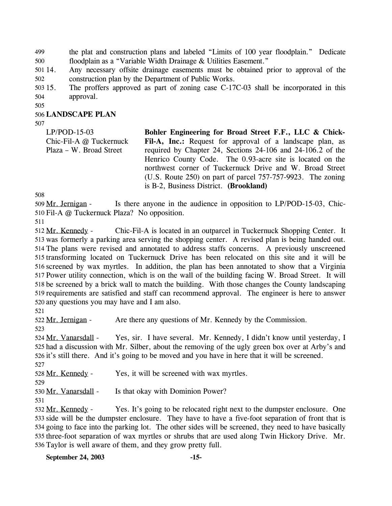the plat and construction plans and labeled "Limits of 100 year floodplain." Dedicate floodplain as a "Variable Width Drainage & Utilities Easement." 499 500

501 14. 502 Any necessary offsite drainage easements must be obtained prior to approval of the construction plan by the Department of Public Works.

503 15. 504 The proffers approved as part of zoning case C-17C-03 shall be incorporated in this approval.

505

### 506 **LANDSCAPE PLAN**

507

LP/POD-15-03 Chic-Fil-A @ Tuckernuck Plaza – W. Broad Street **Bohler Engineering for Broad Street F.F., LLC & Chick-**Fil-A, Inc.: Request for approval of a landscape plan, as required by Chapter 24, Sections 24-106 and 24-106.2 of the Henrico County Code. The 0.93-acre site is located on the northwest corner of Tuckernuck Drive and W. Broad Street (U.S. Route 250) on part of parcel 757-757-9923. The zoning is B-2, Business District. **(Brookland)** 

508

Is there anyone in the audience in opposition to LP/POD-15-03, Chic-510 Fil-A @ Tuckernuck Plaza? No opposition. 509 Mr. Jernigan -

511

Chic-Fil-A is located in an outparcel in Tuckernuck Shopping Center. It 513 was formerly a parking area serving the shopping center. A revised plan is being handed out. 514 The plans were revised and annotated to address staffs concerns. A previously unscreened 515 transforming located on Tuckernuck Drive has been relocated on this site and it will be 516 screened by wax myrtles. In addition, the plan has been annotated to show that a Virginia 517 Power utility connection, which is on the wall of the building facing W. Broad Street. It will 518 be screened by a brick wall to match the building. With those changes the County landscaping 519 requirements are satisfied and staff can recommend approval. The engineer is here to answer 520 any questions you may have and I am also. 512 Mr. Kennedy -

521

522 Mr. Jernigan - Are there any questions of Mr. Kennedy by the Commission.

523

Yes, sir. I have several. Mr. Kennedy, I didn't know until yesterday, I 525 had a discussion with Mr. Silber, about the removing of the ugly green box over at Arby's and 526 it's still there. And it's going to be moved and you have in here that it will be screened. 524 Mr. Vanarsdall -527

528 Mr. Kennedy - Yes, it will be screened with wax myrtles.

529

530 Mr. Vanarsdall - Is that okay with Dominion Power?

531

Yes. It's going to be relocated right next to the dumpster enclosure. One 533 side will be the dumpster enclosure. They have to have a five-foot separation of front that is 534 going to face into the parking lot. The other sides will be screened, they need to have basically 535 three-foot separation of wax myrtles or shrubs that are used along Twin Hickory Drive. Mr. 536 Taylor is well aware of them, and they grow pretty full. 532 Mr. Kennedy -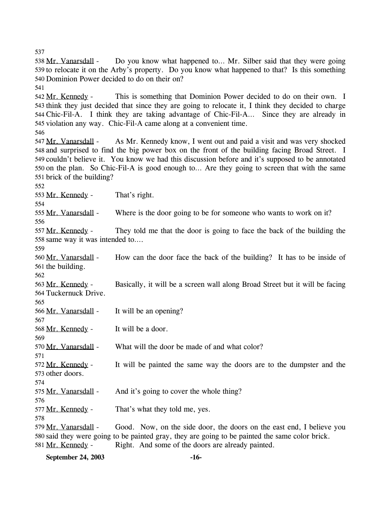537

541

538 Mr. Vanarsdall -

540 Dominion Power decided to do on their on?

This is something that Dominion Power decided to do on their own. I 543 think they just decided that since they are going to relocate it, I think they decided to charge Chic-Fil-A. I think they are taking advantage of Chic-Fil-A… Since they are already in 544 545 violation any way. Chic-Fil-A came along at a convenient time. 542 Mr. Kennedy -546 As Mr. Kennedy know, I went out and paid a visit and was very shocked 548 and surprised to find the big power box on the front of the building facing Broad Street. I 549 couldn't believe it. You know we had this discussion before and it's supposed to be annotated 550 on the plan. So Chic-Fil-A is good enough to... Are they going to screen that with the same 551 brick of the building? 547 Mr. Vanarsdall -552 553 Mr. Kennedy - That's right. 554 555 Mr. Vanarsdall - Where is the door going to be for someone who wants to work on it? 556 They told me that the door is going to face the back of the building the 558 same way it was intended to.... 557 Mr. Kennedy -559 How can the door face the back of the building? It has to be inside of 561 the building. 560 Mr. Vanarsdall -562 Basically, it will be a screen wall along Broad Street but it will be facing 564 Tuckernuck Drive. 563 Mr. Kennedy -565 566 Mr. Vanarsdall - It will be an opening? 567 568 Mr. Kennedy - It will be a door. 569 570 Mr. Vanarsdall - What will the door be made of and what color? 571 It will be painted the same way the doors are to the dumpster and the 573 other doors. 572 Mr. Kennedy -574 575 Mr. Vanarsdall - And it's going to cover the whole thing? 576 577 Mr. Kennedy - That's what they told me, yes. 578 Good. Now, on the side door, the doors on the east end, I believe you 580 said they were going to be painted gray, they are going to be painted the same color brick. 579 Mr. Vanarsdall -581 Mr. Kennedy - Right. And some of the doors are already painted. **September 24, 2003 -16-**

Do you know what happened to... Mr. Silber said that they were going

539 to relocate it on the Arby's property. Do you know what happened to that? Is this something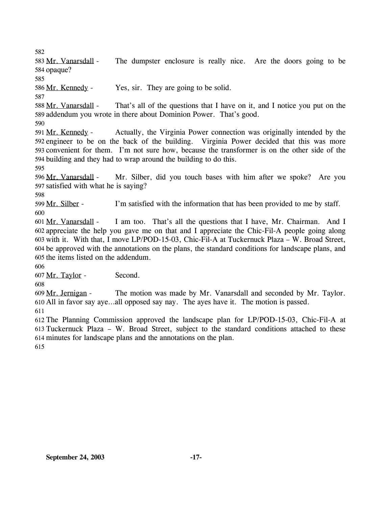582

The dumpster enclosure is really nice. Are the doors going to be 584 opaque? 583 Mr. Vanarsdall -

585

586 Mr. Kennedy - Yes, sir. They are going to be solid.

587

That's all of the questions that I have on it, and I notice you put on the 589 addendum you wrote in there about Dominion Power. That's good. 588 Mr. Vanarsdall -

590

Actually, the Virginia Power connection was originally intended by the 592 engineer to be on the back of the building. Virginia Power decided that this was more 593 convenient for them. I'm not sure how, because the transformer is on the other side of the 594 building and they had to wrap around the building to do this. 591 Mr. Kennedy -

595

Mr. Silber, did you touch bases with him after we spoke? Are you 597 satisfied with what he is saying? 596 Mr. Vanarsdall -

598

599 Mr. Silber - I'm satisfied with the information that has been provided to me by staff. 600

I am too. That's all the questions that I have, Mr. Chairman. And I appreciate the help you gave me on that and I appreciate the Chic-Fil-A people going along 602 603 with it. With that, I move LP/POD-15-03, Chic-Fil-A at Tuckernuck Plaza – W. Broad Street, 604 be approved with the annotations on the plans, the standard conditions for landscape plans, and 605 the items listed on the addendum. 601 Mr. Vanarsdall -

606

607 Mr. Taylor - Second.

608

The motion was made by Mr. Vanarsdall and seconded by Mr. Taylor. All in favor say aye…all opposed say nay. The ayes have it. The motion is passed. 610 609 Mr. Jernigan -

611

612 The Planning Commission approved the landscape plan for LP/POD-15-03, Chic-Fil-A at 613 Tuckernuck Plaza – W. Broad Street, subject to the standard conditions attached to these 614 minutes for landscape plans and the annotations on the plan.

615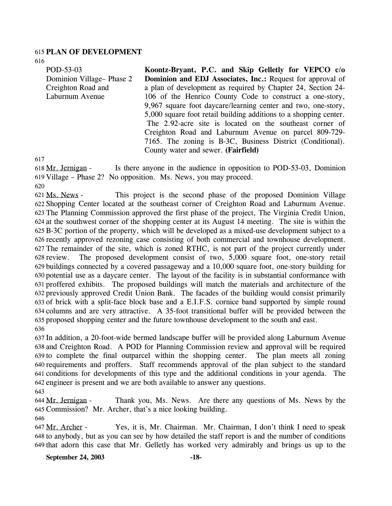#### 615 **PLAN OF DEVELOPMENT**

616

POD-53-03 Dominion Village– Phase 2 Creighton Road and Laburnum Avenue **Koontz-Bryant, P.C. and Skip Gelletly for VEPCO c/o Dominion and EDJ Associates, Inc.:** Request for approval of a plan of development as required by Chapter 24, Section 24- 106 of the Henrico County Code to construct a one-story, 9,967 square foot daycare/learning center and two, one-story, 5,000 square foot retail building additions to a shopping center. The 2.92-acre site is located on the southeast corner of Creighton Road and Laburnum Avenue on parcel 809-729- 7165. The zoning is B-3C, Business District (Conditional). County water and sewer. **(Fairfield)** 

617

Is there anyone in the audience in opposition to POD-53-03, Dominion 619 Village – Phase 2? No opposition. Ms. News, you may proceed. 618 Mr. Jernigan -

620

This project is the second phase of the proposed Dominion Village 622 Shopping Center located at the southeast corner of Creighton Road and Laburnum Avenue. The Planning Commission approved the first phase of the project, The Virginia Credit Union, 623 624 at the southwest corner of the shopping center at its August 14 meeting. The site is within the B-3C portion of the property, which will be developed as a mixed-use development subject to a 625 626 recently approved rezoning case consisting of both commercial and townhouse development. The remainder of the site, which is zoned RTHC, is not part of the project currently under 627 The proposed development consist of two,  $5,000$  square foot, one-story retail buildings connected by a covered passageway and a 10,000 square foot, one-story building for 629 630 potential use as a daycare center. The layout of the facility is in substantial conformance with 631 proffered exhibits. The proposed buildings will match the materials and architecture of the 632 previously approved Credit Union Bank. The facades of the building would consist primarily 633 of brick with a split-face block base and a E.I.F.S. cornice band supported by simple round columns and are very attractive. A 35-foot transitional buffer will be provided between the 634 635 proposed shopping center and the future townhouse development to the south and east. 621 Ms. News -628 review. 636

 In addition, a 20-foot-wide bermed landscape buffer will be provided along Laburnum Avenue and Creighton Road. A POD for Planning Commission review and approval will be required to complete the final outparcel within the shopping center. The plan meets all zoning requirements and proffers. Staff recommends approval of the plan subject to the standard conditions for developments of this type and the additional conditions in your agenda. The engineer is present and we are both available to answer any questions.

643

Thank you, Ms. News. Are there any questions of Ms. News by the 645 Commission? Mr. Archer, that's a nice looking building. 644 Mr. Jernigan -

646

Yes, it is, Mr. Chairman. Mr. Chairman, I don't think I need to speak 648 to anybody, but as you can see by how detailed the staff report is and the number of conditions 649 that adorn this case that Mr. Gelletly has worked very admirably and brings us up to the 647 Mr. Archer -

**September 24, 2003 -18-**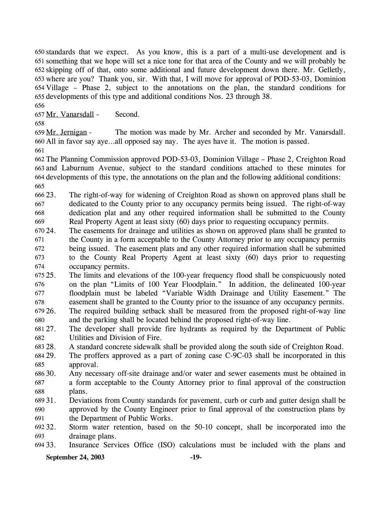standards that we expect. As you know, this is a part of a multi-use development and is 650 something that we hope will set a nice tone for that area of the County and we will probably be 651 skipping off of that, onto some additional and future development down there. Mr. Gelletly, 652 653 where are you? Thank you, sir. With that, I will move for approval of POD-53-03, Dominion Village – Phase 2, subject to the annotations on the plan, the standard conditions for 654 655 developments of this type and additional conditions Nos. 23 through 38.

656

657 Mr. Vanarsdall - Second.

658

The motion was made by Mr. Archer and seconded by Mr. Vanarsdall. All in favor say aye…all opposed say nay. The ayes have it. The motion is passed. 660 659 Mr. Jernigan -

661

 The Planning Commission approved POD-53-03, Dominion Village – Phase 2, Creighton Road and Laburnum Avenue, subject to the standard conditions attached to these minutes for developments of this type, the annotations on the plan and the following additional conditions: 665

666 23. 667 668 669 The right-of-way for widening of Creighton Road as shown on approved plans shall be dedicated to the County prior to any occupancy permits being issued. The right-of-way dedication plat and any other required information shall be submitted to the County Real Property Agent at least sixty (60) days prior to requesting occupancy permits.

670 24. 671 672 673 674 The easements for drainage and utilities as shown on approved plans shall be granted to the County in a form acceptable to the County Attorney prior to any occupancy permits being issued. The easement plats and any other required information shall be submitted to the County Real Property Agent at least sixty (60) days prior to requesting occupancy permits.

 $67525.$ 676 677 678 25. The limits and elevations of the 100-year frequency flood shall be conspicuously noted on the plan "Limits of 100 Year Floodplain." In addition, the delineated 100-year floodplain must be labeled "Variable Width Drainage and Utility Easement." The easement shall be granted to the County prior to the issuance of any occupancy permits.

679 26. 680 The required building setback shall be measured from the proposed right-of-way line and the parking shall be located behind the proposed right-of-way line.

681 27. 682 The developer shall provide fire hydrants as required by the Department of Public Utilities and Division of Fire.

683 28. 28. A standard concrete sidewalk shall be provided along the south side of Creighton Road.

684 29. 685 The proffers approved as a part of zoning case C-9C-03 shall be incorporated in this approval.

686 30. 687 688 Any necessary off-site drainage and/or water and sewer easements must be obtained in a form acceptable to the County Attorney prior to final approval of the construction plans.

689 31. 690 691 31. Deviations from County standards for pavement, curb or curb and gutter design shall be approved by the County Engineer prior to final approval of the construction plans by the Department of Public Works.

692 32. 693 Storm water retention, based on the 50-10 concept, shall be incorporated into the drainage plans.

694 33. Insurance Services Office (ISO) calculations must be included with the plans and

### **September 24, 2003 -19-**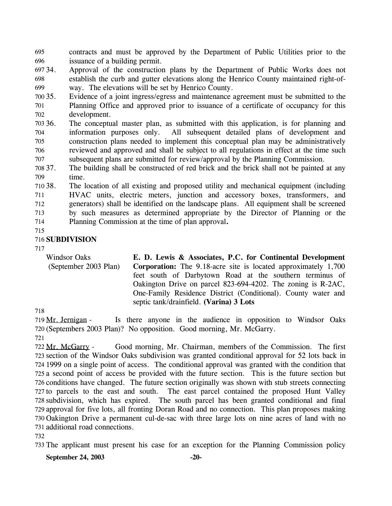contracts and must be approved by the Department of Public Utilities prior to the issuance of a building permit. 695 696

697 34. 698 699 Approval of the construction plans by the Department of Public Works does not establish the curb and gutter elevations along the Henrico County maintained right-ofway. The elevations will be set by Henrico County.

700 35. 701 702 Evidence of a joint ingress/egress and maintenance agreement must be submitted to the Planning Office and approved prior to issuance of a certificate of occupancy for this development.

703 36. 704 705 706 707 The conceptual master plan, as submitted with this application, is for planning and information purposes only. All subsequent detailed plans of development and construction plans needed to implement this conceptual plan may be administratively reviewed and approved and shall be subject to all regulations in effect at the time such subsequent plans are submitted for review/approval by the Planning Commission.

708 37. 709 The building shall be constructed of red brick and the brick shall not be painted at any time.

710 38. 711 712 713 714 The location of all existing and proposed utility and mechanical equipment (including HVAC units, electric meters, junction and accessory boxes, transformers, and generators) shall be identified on the landscape plans. All equipment shall be screened by such measures as determined appropriate by the Director of Planning or the Planning Commission at the time of plan approval**.**

715

## 716 **SUBDIVISION**

717

Windsor Oaks (September 2003 Plan) **E. D. Lewis & Associates, P.C. for Continental Development Corporation:** The 9.18-acre site is located approximately 1,700 feet south of Darbytown Road at the southern terminus of Oakington Drive on parcel 823-694-4202. The zoning is R-2AC, One-Family Residence District (Conditional). County water and septic tank/drainfield. **(Varina) 3 Lots** 

718

Is there anyone in the audience in opposition to Windsor Oaks (Septembers 2003 Plan)? No opposition. Good morning, Mr. McGarry. 720 719 Mr. Jernigan -

721

Good morning, Mr. Chairman, members of the Commission. The first 723 section of the Windsor Oaks subdivision was granted conditional approval for 52 lots back in 724 1999 on a single point of access. The conditional approval was granted with the condition that 725 a second point of access be provided with the future section. This is the future section but 726 conditions have changed. The future section originally was shown with stub streets connecting 727 to parcels to the east and south. The east parcel contained the proposed Hunt Valley 728 subdivision, which has expired. The south parcel has been granted conditional and final 729 approval for five lots, all fronting Doran Road and no connection. This plan proposes making 730 Oakington Drive a permanent cul-de-sac with three large lots on nine acres of land with no 731 additional road connections. 722 Mr. McGarry -

732

733 The applicant must present his case for an exception for the Planning Commission policy

**September 24, 2003 -20-**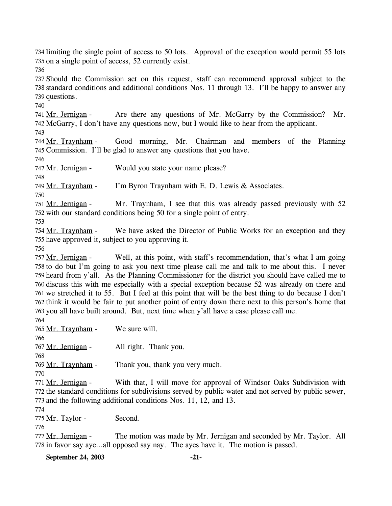735 on a single point of access, 52 currently exist. 736 737 Should the Commission act on this request, staff can recommend approval subject to the 738 standard conditions and additional conditions Nos. 11 through 13. I'll be happy to answer any 739 questions. 740 Are there any questions of Mr. McGarry by the Commission? Mr. 742 McGarry, I don't have any questions now, but I would like to hear from the applicant. 741 Mr. Jernigan -743 Good morning, Mr. Chairman and members of the Planning 745 Commission. I'll be glad to answer any questions that you have. 744 Mr. Travnham -746 747 Mr. Jernigan - Would you state your name please? 748 749 Mr. Traynham - I'm Byron Traynham with E. D. Lewis & Associates. 750 Mr. Traynham, I see that this was already passed previously with  $52$ 752 with our standard conditions being 50 for a single point of entry. 751 Mr. Jernigan -753 We have asked the Director of Public Works for an exception and they 755 have approved it, subject to you approving it. 754 Mr. Traynham -756 Well, at this point, with staff's recommendation, that's what I am going 758 to do but I'm going to ask you next time please call me and talk to me about this. I never 759 heard from y'all. As the Planning Commissioner for the district you should have called me to 760 discuss this with me especially with a special exception because 52 was already on there and 761 we stretched it to 55. But I feel at this point that will be the best thing to do because I don't 762 think it would be fair to put another point of entry down there next to this person's home that 763 you all have built around. But, next time when y'all have a case please call me. 757 Mr. Jernigan -764 765 Mr. Traynham - We sure will. 766 767 Mr. Jernigan - All right. Thank you. 768 769 Mr. Traynham - Thank you, thank you very much. 770 With that, I will move for approval of Windsor Oaks Subdivision with 772 the standard conditions for subdivisions served by public water and not served by public sewer, 773 and the following additional conditions Nos. 11, 12, and 13. 771 Mr. Jernigan -774 775 Mr. Taylor - Second. 776 The motion was made by Mr. Jernigan and seconded by Mr. Taylor. All 778 in favor say aye...all opposed say nay. The ayes have it. The motion is passed. 777 Mr. Jernigan -**September 24, 2003 -21-**

734 limiting the single point of access to 50 lots. Approval of the exception would permit 55 lots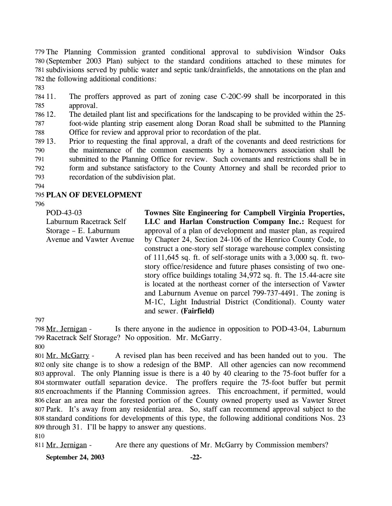779 The Planning Commission granted conditional approval to subdivision Windsor Oaks (September 2003 Plan) subject to the standard conditions attached to these minutes for 780 781 subdivisions served by public water and septic tank/drainfields, the annotations on the plan and 782 the following additional conditions:

783

784 11. 785 The proffers approved as part of zoning case C-20C-99 shall be incorporated in this approval.

786 12. 787 788 12. The detailed plant list and specifications for the landscaping to be provided within the 25 foot-wide planting strip easement along Doran Road shall be submitted to the Planning Office for review and approval prior to recordation of the plat.

789 13. 790 791 792 793 13. Prior to requesting the final approval, a draft of the covenants and deed restrictions for the maintenance of the common easements by a homeowners association shall be submitted to the Planning Office for review. Such covenants and restrictions shall be in form and substance satisfactory to the County Attorney and shall be recorded prior to recordation of the subdivision plat.

794

## 795 **PLAN OF DEVELOPMENT**

796

POD-43-03 Laburnum Racetrack Self Storage – E. Laburnum Avenue and Vawter Avenue **Townes Site Engineering for Campbell Virginia Properties, LLC and Harlan Construction Company Inc.:** Request for approval of a plan of development and master plan, as required by Chapter 24, Section 24-106 of the Henrico County Code, to construct a one-story self storage warehouse complex consisting of 111,645 sq. ft. of self-storage units with a 3,000 sq. ft. twostory office/residence and future phases consisting of two onestory office buildings totaling 34,972 sq. ft. The 15.44-acre site is located at the northeast corner of the intersection of Vawter and Laburnum Avenue on parcel 799-737-4491. The zoning is M-1C, Light Industrial District (Conditional). County water and sewer. **(Fairfield)** 

797

Is there anyone in the audience in opposition to POD-43-04, Laburnum 799 Racetrack Self Storage? No opposition. Mr. McGarry. 798 Mr. Jernigan -800

A revised plan has been received and has been handed out to you. The 802 only site change is to show a redesign of the BMP. All other agencies can now recommend 803 approval. The only Planning issue is there is a 40 by 40 clearing to the 75-foot buffer for a 804 stormwater outfall separation device. The proffers require the 75-foot buffer but permit 805 encroachments if the Planning Commission agrees. This encroachment, if permitted, would 806 clear an area near the forested portion of the County owned property used as Vawter Street 807 Park. It's away from any residential area. So, staff can recommend approval subject to the standard conditions for developments of this type, the following additional conditions Nos. 23 808 809 through 31. I'll be happy to answer any questions. 801 Mr. McGarry -

810

811 Mr. Jernigan - Are there any questions of Mr. McGarry by Commission members?

**September 24, 2003 -22-**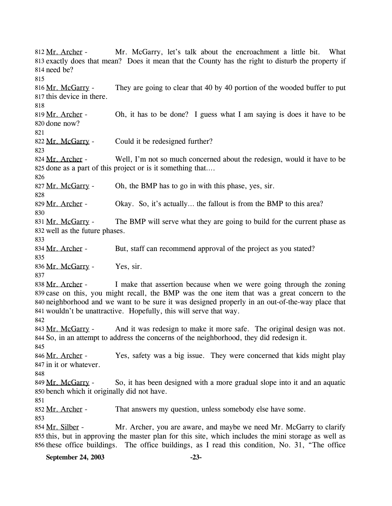Mr. McGarry, let's talk about the encroachment a little bit. What 813 exactly does that mean? Does it mean that the County has the right to disturb the property if 814 need be? 812 Mr. Archer -815 They are going to clear that 40 by 40 portion of the wooded buffer to put 817 this device in there. 816 Mr. McGarry -818 Oh, it has to be done? I guess what I am saying is does it have to be 820 done now? 819 Mr. Archer -821 822 Mr. McGarry - Could it be redesigned further? 823 Well, I'm not so much concerned about the redesign, would it have to be 825 done as a part of this project or is it something that.... 824 Mr. Archer -826 827 Mr. McGarry - Oh, the BMP has to go in with this phase, yes, sir. 828 829 Mr. Archer - Okay. So, it's actually... the fallout is from the BMP to this area? 830 The BMP will serve what they are going to build for the current phase as 832 well as the future phases. 831 Mr. McGarry -833 834 Mr. Archer - But, staff can recommend approval of the project as you stated? 835 836 Mr. McGarry - Yes, sir. 837 I make that assertion because when we were going through the zoning 839 case on this, you might recall, the BMP was the one item that was a great concern to the 840 neighborhood and we want to be sure it was designed properly in an out-of-the-way place that 841 wouldn't be unattractive. Hopefully, this will serve that way. 838 Mr. Archer -842 And it was redesign to make it more safe. The original design was not. 844 So, in an attempt to address the concerns of the neighborhood, they did redesign it. 843 Mr. McGarry -845 Yes, safety was a big issue. They were concerned that kids might play 847 in it or whatever. 846 Mr. Archer -848 So, it has been designed with a more gradual slope into it and an aquatic 850 bench which it originally did not have. 849 Mr. McGarry -851 852 Mr. Archer - That answers my question, unless somebody else have some. 853 Mr. Archer, you are aware, and maybe we need Mr. McGarry to clarify 855 this, but in approving the master plan for this site, which includes the mini storage as well as 856 these office buildings. The office buildings, as I read this condition, No. 31, "The office 854 Mr. Silber -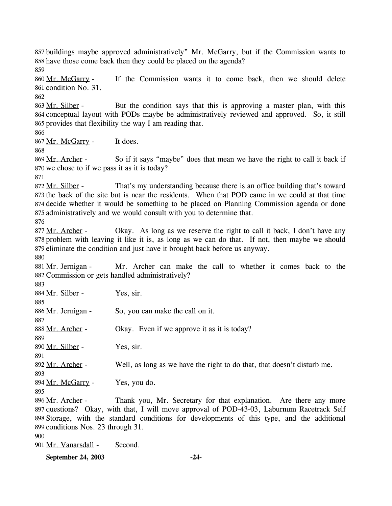857 buildings maybe approved administratively" Mr. McGarry, but if the Commission wants to 858 have those come back then they could be placed on the agenda? 859

If the Commission wants it to come back, then we should delete 861 condition No. 31. 860 Mr. McGarry -

862

But the condition says that this is approving a master plan, with this 864 conceptual layout with PODs maybe be administratively reviewed and approved. So, it still 865 provides that flexibility the way I am reading that. 863 Mr. Silber -

866

867 Mr. McGarry - It does.

868

So if it says "maybe" does that mean we have the right to call it back if 870 we chose to if we pass it as it is today? 869 Mr. Archer -

871

That's my understanding because there is an office building that's toward 873 the back of the site but is near the residents. When that POD came in we could at that time 874 decide whether it would be something to be placed on Planning Commission agenda or done 875 administratively and we would consult with you to determine that. 872 Mr. Silber -

876

Okay. As long as we reserve the right to call it back, I don't have any 878 problem with leaving it like it is, as long as we can do that. If not, then maybe we should 879 eliminate the condition and just have it brought back before us anyway. 877 Mr. Archer -

880

Mr. Archer can make the call to whether it comes back to the 882 Commission or gets handled administratively? 881 Mr. Jernigan -

| 883                                |                                                                                             |
|------------------------------------|---------------------------------------------------------------------------------------------|
| 884 Mr. Silber -                   | Yes, sir.                                                                                   |
| 885                                |                                                                                             |
| 886 Mr. Jernigan -                 | So, you can make the call on it.                                                            |
| 887                                |                                                                                             |
| 888 Mr. Archer -                   | Okay. Even if we approve it as it is today?                                                 |
| 889                                |                                                                                             |
| 890 Mr. Silber -                   | Yes, sir.                                                                                   |
| 891                                |                                                                                             |
| 892 Mr. Archer -                   | Well, as long as we have the right to do that, that doesn't disturb me.                     |
| 893                                |                                                                                             |
| 894 Mr. McGarry -                  | Yes, you do.                                                                                |
| 895                                |                                                                                             |
| 896 Mr. Archer -                   | Thank you, Mr. Secretary for that explanation. Are there any more                           |
|                                    | 897 questions? Okay, with that, I will move approval of POD-43-03, Laburnum Racetrack Self  |
|                                    | 898 Storage, with the standard conditions for developments of this type, and the additional |
| 899 conditions Nos. 23 through 31. |                                                                                             |
| 900                                |                                                                                             |

901 Mr. Vanarsdall - Second.

**September 24, 2003 -24-**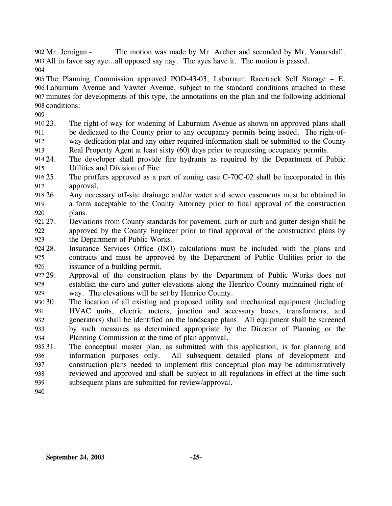The motion was made by Mr. Archer and seconded by Mr. Vanarsdall. All in favor say aye…all opposed say nay. The ayes have it. The motion is passed. 903 902 Mr. Jernigan -904

 The Planning Commission approved POD-43-03, Laburnum Racetrack Self Storage – E. Laburnum Avenue and Vawter Avenue, subject to the standard conditions attached to these minutes for developments of this type, the annotations on the plan and the following additional conditions:

909

910 23. 911 912 913 The right-of-way for widening of Laburnum Avenue as shown on approved plans shall be dedicated to the County prior to any occupancy permits being issued. The right-ofway dedication plat and any other required information shall be submitted to the County Real Property Agent at least sixty (60) days prior to requesting occupancy permits.

914 24. 915 The developer shall provide fire hydrants as required by the Department of Public Utilities and Division of Fire.

916 25. 917 The proffers approved as a part of zoning case  $C$ -70 $C$ -02 shall be incorporated in this approval.

918 26. 919 920 26. Any necessary off-site drainage and/or water and sewer easements must be obtained in a form acceptable to the County Attorney prior to final approval of the construction plans.

921 27. 922 923 27. Deviations from County standards for pavement, curb or curb and gutter design shall be approved by the County Engineer prior to final approval of the construction plans by the Department of Public Works.

924 28. 925 926 Insurance Services Office (ISO) calculations must be included with the plans and contracts and must be approved by the Department of Public Utilities prior to the issuance of a building permit.

927 29. 928 929 Approval of the construction plans by the Department of Public Works does not establish the curb and gutter elevations along the Henrico County maintained right-ofway. The elevations will be set by Henrico County.

930 30. 931 932 933 934 The location of all existing and proposed utility and mechanical equipment (including HVAC units, electric meters, junction and accessory boxes, transformers, and generators) shall be identified on the landscape plans. All equipment shall be screened by such measures as determined appropriate by the Director of Planning or the Planning Commission at the time of plan approval**.** 

935 31. 936 937 938 939 The conceptual master plan, as submitted with this application, is for planning and information purposes only. All subsequent detailed plans of development and construction plans needed to implement this conceptual plan may be administratively reviewed and approved and shall be subject to all regulations in effect at the time such subsequent plans are submitted for review/approval.

940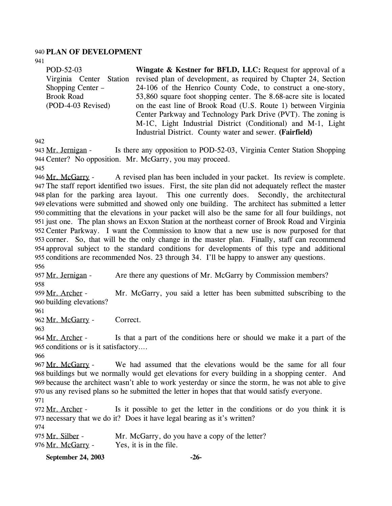#### 940 **PLAN OF DEVELOPMENT**

941

POD-52-03 Virginia Center Station revised plan of development, as required by Chapter 24, Section Shopping Center – Brook Road (POD-4-03 Revised) **Wingate & Kestner for BFLD, LLC:** Request for approval of a 24-106 of the Henrico County Code, to construct a one-story, 53,860 square foot shopping center. The 8.68-acre site is located on the east line of Brook Road (U.S. Route 1) between Virginia Center Parkway and Technology Park Drive (PVT). The zoning is M-1C, Light Industrial District (Conditional) and M-1, Light

Industrial District. County water and sewer. **(Fairfield)** 

942

Is there any opposition to POD-52-03, Virginia Center Station Shopping 944 Center? No opposition. Mr. McGarry, you may proceed. 943 Mr. Jernigan -

945

A revised plan has been included in your packet. Its review is complete. The staff report identified two issues. First, the site plan did not adequately reflect the master 947 plan for the parking area layout. This one currently does. Secondly, the architectural 948 949 elevations were submitted and showed only one building. The architect has submitted a letter 950 committing that the elevations in your packet will also be the same for all four buildings, not 951 just one. The plan shows an Exxon Station at the northeast corner of Brook Road and Virginia 952 Center Parkway. I want the Commission to know that a new use is now purposed for that 953 corner. So, that will be the only change in the master plan. Finally, staff can recommend 954 approval subject to the standard conditions for developments of this type and additional 955 conditions are recommended Nos. 23 through 34. I'll be happy to answer any questions. 946 Mr. McGarry -956

957 Mr. Jernigan - Are there any questions of Mr. McGarry by Commission members?

958

Mr. McGarry, you said a letter has been submitted subscribing to the 960 building elevations? 959 Mr. Archer -

961

962 Mr. McGarry - Correct.

963

Is that a part of the conditions here or should we make it a part of the 965 conditions or is it satisfactory.... 964 Mr. Archer -

966

We had assumed that the elevations would be the same for all four 968 buildings but we normally would get elevations for every building in a shopping center. And because the architect wasn't able to work yesterday or since the storm, he was not able to give 969 970 us any revised plans so he submitted the letter in hopes that that would satisfy everyone. 967 Mr. McGarry -971

Is it possible to get the letter in the conditions or do you think it is 973 necessary that we do it? Does it have legal bearing as it's written? 972 Mr. Archer -

974

| 975 Mr. Silber -  | Mr. McGarry, do you have a copy of the letter? |
|-------------------|------------------------------------------------|
| 976 Mr. McGarry - | Yes, it is in the file.                        |

**September 24, 2003 -26-**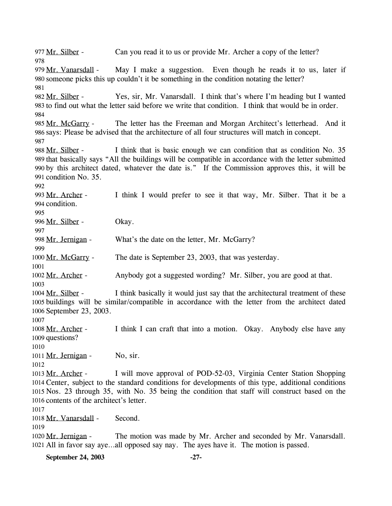977 Mr. Silber - Can you read it to us or provide Mr. Archer a copy of the letter? 978 May I make a suggestion. Even though he reads it to us, later if 980 someone picks this up couldn't it be something in the condition notating the letter? 979 Mr. Vanarsdall -981 Yes, sir, Mr. Vanarsdall. I think that's where I'm heading but I wanted 983 to find out what the letter said before we write that condition. I think that would be in order. 982 Mr. Silber -984 The letter has the Freeman and Morgan Architect's letterhead. And it 986 says: Please be advised that the architecture of all four structures will match in concept. 985 Mr. McGarry -987 I think that is basic enough we can condition that as condition No. 35 989 that basically says "All the buildings will be compatible in accordance with the letter submitted by this architect dated, whatever the date is." If the Commission approves this, it will be 990 991 condition No. 35. 988 Mr. Silber -992 I think I would prefer to see it that way, Mr. Silber. That it be a 994 condition. 993 Mr. Archer -995 996 Mr. Silber - Okay. 997 998 Mr. Jernigan - What's the date on the letter, Mr. McGarry? 999 1000 Mr. McGarry - The date is September 23, 2003, that was yesterday. 1001 1002 Mr. Archer - Anybody got a suggested wording? Mr. Silber, you are good at that. 1003 I think basically it would just say that the architectural treatment of these 1005 buildings will be similar/compatible in accordance with the letter from the architect dated 1006 September 23, 2003. 1004 Mr. Silber -1007 I think I can craft that into a motion. Okay. Anybody else have any 1009 questions? 1008 Mr. Archer -1010 1011 Mr. Jernigan - No, sir. 1012 I will move approval of POD-52-03, Virginia Center Station Shopping 1014 Center, subject to the standard conditions for developments of this type, additional conditions 1015 Nos. 23 through 35, with No. 35 being the condition that staff will construct based on the 1016 contents of the architect's letter. 1013 Mr. Archer -1017 1018 Mr. Vanarsdall - Second. 1019 The motion was made by Mr. Archer and seconded by Mr. Vanarsdall. 1021 All in favor say aye...all opposed say nay. The ayes have it. The motion is passed. 1020 Mr. Jernigan -

**September 24, 2003 -27-**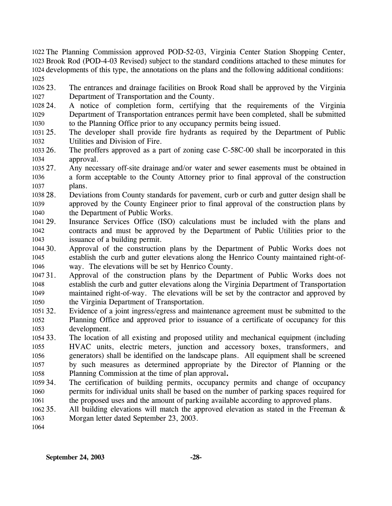1022 The Planning Commission approved POD-52-03, Virginia Center Station Shopping Center, 1023 Brook Rod (POD-4-03 Revised) subject to the standard conditions attached to these minutes for 1024 developments of this type, the annotations on the plans and the following additional conditions: 1025

1026 23. 1027 The entrances and drainage facilities on Brook Road shall be approved by the Virginia Department of Transportation and the County.

1028 24. 1029 1030 24. A notice of completion form, certifying that the requirements of the Virginia Department of Transportation entrances permit have been completed, shall be submitted to the Planning Office prior to any occupancy permits being issued.

1031 25. 1032 The developer shall provide fire hydrants as required by the Department of Public Utilities and Division of Fire.

1033 26. 1034 The proffers approved as a part of zoning case  $C$ -58 $C$ -00 shall be incorporated in this approval.

1035 27. 1036 1037 Any necessary off-site drainage and/or water and sewer easements must be obtained in a form acceptable to the County Attorney prior to final approval of the construction plans.

1038 28. 1039 1040 28. Deviations from County standards for pavement, curb or curb and gutter design shall be approved by the County Engineer prior to final approval of the construction plans by the Department of Public Works.

1041 29. 1042 1043 Insurance Services Office (ISO) calculations must be included with the plans and contracts and must be approved by the Department of Public Utilities prior to the issuance of a building permit.

1044 30. 1045 1046 Approval of the construction plans by the Department of Public Works does not establish the curb and gutter elevations along the Henrico County maintained right-ofway. The elevations will be set by Henrico County.

1047 31. 1048 1049 1050 31. Approval of the construction plans by the Department of Public Works does not establish the curb and gutter elevations along the Virginia Department of Transportation maintained right-of-way. The elevations will be set by the contractor and approved by the Virginia Department of Transportation.

 $1051, 32.$ 1052 1053 Evidence of a joint ingress/egress and maintenance agreement must be submitted to the Planning Office and approved prior to issuance of a certificate of occupancy for this development.

1054 33. 1055 1056 1057 1058 The location of all existing and proposed utility and mechanical equipment (including HVAC units, electric meters, junction and accessory boxes, transformers, and generators) shall be identified on the landscape plans. All equipment shall be screened by such measures as determined appropriate by the Director of Planning or the Planning Commission at the time of plan approval**.**

1059 34. 1060 1061 The certification of building permits, occupancy permits and change of occupancy permits for individual units shall be based on the number of parking spaces required for the proposed uses and the amount of parking available according to approved plans.

1062 35. 1063 All building elevations will match the approved elevation as stated in the Freeman  $\&$ Morgan letter dated September 23, 2003.

1064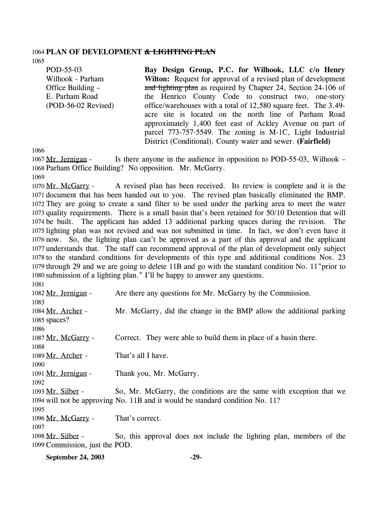#### 1064 **PLAN OF DEVELOPMENT & LIGHTING PLAN**

1065

POD-55-03 Wilhook - Parham Office Building – E. Parham Road (POD-56-02 Revised) **Bay Design Group, P.C. for Wilhook, LLC c/o Henry Wilton:** Request for approval of a revised plan of development and lighting plan as required by Chapter 24, Section 24-106 of the Henrico County Code to construct two, one-story office/warehouses with a total of 12,580 square feet. The 3.49 acre site is located on the north line of Parham Road approximately 1,400 feet east of Ackley Avenue on part of parcel 773-757-5549. The zoning is M-1C, Light Industrial District (Conditional). County water and sewer. **(Fairfield)** 

1066

Is there anyone in the audience in opposition to POD-55-03, Wilhook – 1068 Parham Office Building? No opposition. Mr. McGarry. 1067 Mr. Jernigan -1069

A revised plan has been received. Its review is complete and it is the 1071 document that has been handed out to you. The revised plan basically eliminated the BMP. 1072 They are going to create a sand filter to be used under the parking area to meet the water 1073 quality requirements. There is a small basin that's been retained for 50/10 Detention that will 1074 be built. The applicant has added 13 additional parking spaces during the revision. The 1075 lighting plan was not revised and was not submitted in time. In fact, we don't even have it 1076 now. So, the lighting plan can't be approved as a part of this approval and the applicant 1077 understands that. The staff can recommend approval of the plan of development only subject 1078 to the standard conditions for developments of this type and additional conditions Nos. 23 1079 through 29 and we are going to delete 11B and go with the standard condition No. 11" prior to 1080 submission of a lighting plan." I'll be happy to answer any questions. 1070 Mr. McGarry -

1081 1082 Mr. Jernigan - Are there any questions for Mr. McGarry by the Commission. 1083 Mr. McGarry, did the change in the BMP allow the additional parking 1085 spaces? 1084 Mr. Archer -1086 1087 Mr. McGarry - Correct. They were able to build them in place of a basin there. 1088 1089 Mr. Archer - That's all I have. 1090 1091 Mr. Jernigan - Thank you, Mr. McGarry. 1092 So, Mr. McGarry, the conditions are the same with exception that we 1094 will not be approving No. 11B and it would be standard condition No. 11? 1093 Mr. Silber -1095 1096 Mr. McGarry - That's correct. 1097 So, this approval does not include the lighting plan, members of the 1099 Commission, just the POD. 1098 Mr. Silber -

| <b>September 24, 2003</b> | -29- |
|---------------------------|------|
|---------------------------|------|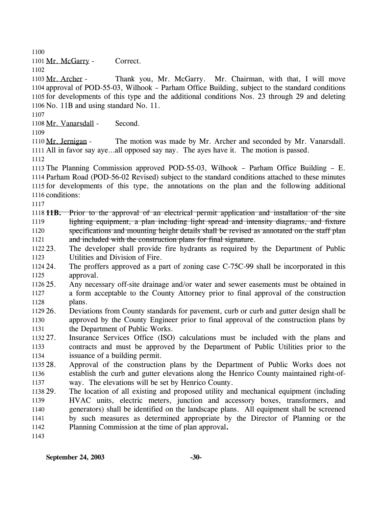1100

1101 Mr. McGarry - Correct.

1102

Thank you, Mr. McGarry. Mr. Chairman, with that, I will move 1104 approval of POD-55-03, Wilhook – Parham Office Building, subject to the standard conditions 1105 for developments of this type and the additional conditions Nos. 23 through 29 and deleting 1106 No. 11B and using standard No. 11. 1103 Mr. Archer -

1107

1108 Mr. Vanarsdall - Second.

1109

The motion was made by Mr. Archer and seconded by Mr. Vanarsdall. 1111 All in favor say aye...all opposed say nay. The ayes have it. The motion is passed. 1110 Mr. Jernigan -

1112

 The Planning Commission approved POD-55-03, Wilhook – Parham Office Building – E. Parham Road (POD-56-02 Revised) subject to the standard conditions attached to these minutes for developments of this type, the annotations on the plan and the following additional conditions:

1117

**11B.** Prior to the approval of an electrical permit application and installation of the site 1118 lighting equipment, a plan including light spread and intensity diagrams, and fixture specifications and mounting height details shall be revised as annotated on the staff plan and included with the construction plans for final signature. 1119 1120 1121

1122 23. 1123 23. The developer shall provide fire hydrants as required by the Department of Public Utilities and Division of Fire.

1124 24. 1125 The proffers approved as a part of zoning case C-75C-99 shall be incorporated in this approval.

- 1126 25. 1127 1128 Any necessary off-site drainage and/or water and sewer easements must be obtained in a form acceptable to the County Attorney prior to final approval of the construction plans.
- $1129.26$ 1130 1131 26. Deviations from County standards for pavement, curb or curb and gutter design shall be approved by the County Engineer prior to final approval of the construction plans by the Department of Public Works.

1132 27. 1133 1134 Insurance Services Office (ISO) calculations must be included with the plans and contracts and must be approved by the Department of Public Utilities prior to the issuance of a building permit.

1135 28. 1136 1137 Approval of the construction plans by the Department of Public Works does not establish the curb and gutter elevations along the Henrico County maintained right-ofway. The elevations will be set by Henrico County.

1138 29. 1139 1140 1141 1142 The location of all existing and proposed utility and mechanical equipment (including HVAC units, electric meters, junction and accessory boxes, transformers, and generators) shall be identified on the landscape plans. All equipment shall be screened by such measures as determined appropriate by the Director of Planning or the Planning Commission at the time of plan approval**.** 

1143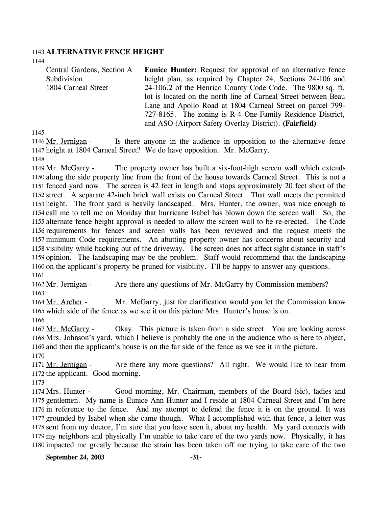#### 1143 **ALTERNATIVE FENCE HEIGHT**

1144

Central Gardens, Section A Subdivision 1804 Carneal Street **Eunice Hunter:** Request for approval of an alternative fence height plan, as required by Chapter 24, Sections 24-106 and 24-106.2 of the Henrico County Code Code. The 9800 sq. ft. lot is located on the north line of Carneal Street between Beau Lane and Apollo Road at 1804 Carneal Street on parcel 799- 727-8165. The zoning is R-4 One-Family Residence District, and ASO (Airport Safety Overlay District). **(Fairfield)** 

1145

Is there anyone in the audience in opposition to the alternative fence 1147 height at 1804 Carneal Street? We do have opposition. Mr. McGarry. 1146 Mr. Jernigan -1148

The property owner has built a six-foot-high screen wall which extends 1150 along the side property line from the front of the house towards Carneal Street. This is not a 1151 fenced yard now. The screen is 42 feet in length and stops approximately 20 feet short of the 1152 street. A separate 42-inch brick wall exists on Carneal Street. That wall meets the permitted 1153 height. The front yard is heavily landscaped. Mrs. Hunter, the owner, was nice enough to 1154 call me to tell me on Monday that hurricane Isabel has blown down the screen wall. So, the 1155 alternate fence height approval is needed to allow the screen wall to be re-erected. The Code 1156 requirements for fences and screen walls has been reviewed and the request meets the 1157 minimum Code requirements. An abutting property owner has concerns about security and 1158 visibility while backing out of the driveway. The screen does not affect sight distance in staff's 1159 opinion. The landscaping may be the problem. Staff would recommend that the landscaping 1160 on the applicant's property be pruned for visibility. I'll be happy to answer any questions. 1149 Mr. McGarry -1161

1162 Mr. Jernigan - Are there any questions of Mr. McGarry by Commission members? 1163

Mr. McGarry, just for clarification would you let the Commission know 1165 which side of the fence as we see it on this picture Mrs. Hunter's house is on. 1164 Mr. Archer -1166

Okay. This picture is taken from a side street. You are looking across 1168 Mrs. Johnson's yard, which I believe is probably the one in the audience who is here to object, 1169 and then the applicant's house is on the far side of the fence as we see it in the picture. 1167 Mr. McGarry -1170

Are there any more questions? All right. We would like to hear from 1172 the applicant. Good morning. 1171 Mr. Jernigan -

1173

Good morning, Mr. Chairman, members of the Board (sic), ladies and 1175 gentlemen. My name is Eunice Ann Hunter and I reside at 1804 Carneal Street and I'm here 1176 in reference to the fence. And my attempt to defend the fence it is on the ground. It was 1177 grounded by Isabel when she came though. What I accomplished with that fence, a letter was 1178 sent from my doctor, I'm sure that you have seen it, about my health. My yard connects with 1179 my neighbors and physically I'm unable to take care of the two yards now. Physically, it has 1180 impacted me greatly because the strain has been taken off me trying to take care of the two 1174 Mrs. Hunter -

**September 24, 2003 -31-**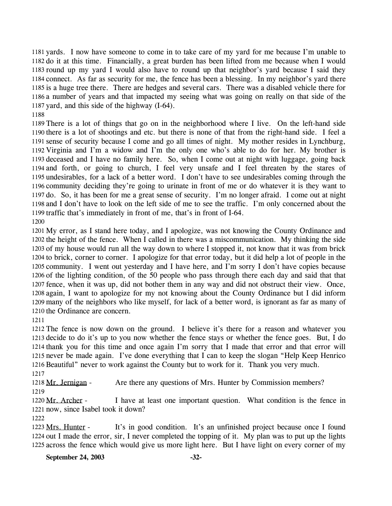1181 yards. I now have someone to come in to take care of my yard for me because I'm unable to 1182 do it at this time. Financially, a great burden has been lifted from me because when I would 1183 round up my yard I would also have to round up that neighbor's yard because I said they 1184 connect. As far as security for me, the fence has been a blessing. In my neighbor's yard there 1185 is a huge tree there. There are hedges and several cars. There was a disabled vehicle there for 1186 a number of years and that impacted my seeing what was going on really on that side of the 1187 yard, and this side of the highway  $(I-64)$ .

 There is a lot of things that go on in the neighborhood where I live. On the left-hand side there is a lot of shootings and etc. but there is none of that from the right-hand side. I feel a sense of security because I come and go all times of night. My mother resides in Lynchburg, Virginia and I'm a widow and I'm the only one who's able to do for her. My brother is deceased and I have no family here. So, when I come out at night with luggage, going back and forth, or going to church, I feel very unsafe and I feel threaten by the stares of undesirables, for a lack of a better word. I don't have to see undesirables coming through the community deciding they're going to urinate in front of me or do whatever it is they want to do. So, it has been for me a great sense of security. I'm no longer afraid. I come out at night and I don't have to look on the left side of me to see the traffic. I'm only concerned about the traffic that's immediately in front of me, that's in front of I-64.

 My error, as I stand here today, and I apologize, was not knowing the County Ordinance and the height of the fence. When I called in there was a miscommunication. My thinking the side of my house would run all the way down to where I stopped it, not know that it was from brick to brick, corner to corner. I apologize for that error today, but it did help a lot of people in the 1205 community. I went out yesterday and I have here, and I'm sorry I don't have copies because of the lighting condition, of the 50 people who pass through there each day and said that that fence, when it was up, did not bother them in any way and did not obstruct their view. Once, again, I want to apologize for my not knowing about the County Ordinance but I did inform many of the neighbors who like myself, for lack of a better word, is ignorant as far as many of the Ordinance are concern.

 The fence is now down on the ground. I believe it's there for a reason and whatever you decide to do it's up to you now whether the fence stays or whether the fence goes. But, I do thank you for this time and once again I'm sorry that I made that error and that error will never be made again. I've done everything that I can to keep the slogan "Help Keep Henrico Beautiful" never to work against the County but to work for it. Thank you very much. 

1218 Mr. Jernigan - Are there any questions of Mrs. Hunter by Commission members? 

I have at least one important question. What condition is the fence in 1221 now, since Isabel took it down? 1220 Mr. Archer -

It's in good condition. It's an unfinished project because once I found 1224 out I made the error, sir, I never completed the topping of it. My plan was to put up the lights 1225 across the fence which would give us more light here. But I have light on every corner of my 1223 Mrs. Hunter -

**September 24, 2003 -32-**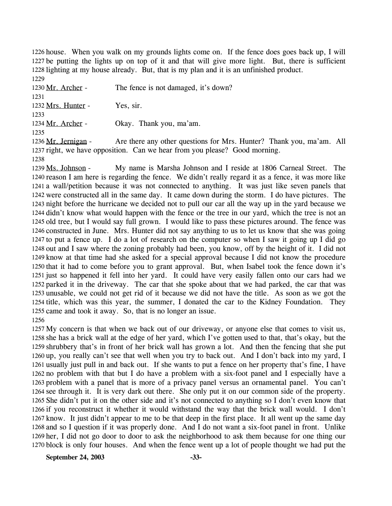1226 house. When you walk on my grounds lights come on. If the fence does goes back up, I will 1227 be putting the lights up on top of it and that will give more light. But, there is sufficient 1228 lighting at my house already. But, that is my plan and it is an unfinished product. 1229

1230 Mr. Archer - The fence is not damaged, it's down? 1231 1232 Mrs. Hunter - Yes, sir. 1233 1234 Mr. Archer - Okay. Thank you, ma'am. 1235 Are there any other questions for Mrs. Hunter? Thank you, ma'am. All 1236 Mr. Jernigan -

1237 right, we have opposition. Can we hear from you please? Good morning. 1238

My name is Marsha Johnson and I reside at 1806 Carneal Street. The 1240 reason I am here is regarding the fence. We didn't really regard it as a fence, it was more like 1241 a wall/petition because it was not connected to anything. It was just like seven panels that 1242 were constructed all in the same day. It came down during the storm. I do have pictures. The 1243 night before the hurricane we decided not to pull our car all the way up in the yard because we 1244 didn't know what would happen with the fence or the tree in our yard, which the tree is not an 1245 old tree, but I would say full grown. I would like to pass these pictures around. The fence was 1246 constructed in June. Mrs. Hunter did not say anything to us to let us know that she was going 1247 to put a fence up. I do a lot of research on the computer so when I saw it going up I did go 1248 out and I saw where the zoning probably had been, you know, off by the height of it. I did not 1249 know at that time had she asked for a special approval because I did not know the procedure 1250 that it had to come before you to grant approval. But, when Isabel took the fence down it's 1251 just so happened it fell into her yard. It could have very easily fallen onto our cars had we 1252 parked it in the driveway. The car that she spoke about that we had parked, the car that was 1253 unusable, we could not get rid of it because we did not have the title. As soon as we got the 1254 title, which was this year, the summer, I donated the car to the Kidney Foundation. They 1255 came and took it away. So, that is no longer an issue. 1239 Ms. Johnson -1256

 My concern is that when we back out of our driveway, or anyone else that comes to visit us, she has a brick wall at the edge of her yard, which I've gotten used to that, that's okay, but the shrubbery that's in front of her brick wall has grown a lot. And then the fencing that she put up, you really can't see that well when you try to back out. And I don't back into my yard, I usually just pull in and back out. If she wants to put a fence on her property that's fine, I have no problem with that but I do have a problem with a six-foot panel and I especially have a problem with a panel that is more of a privacy panel versus an ornamental panel. You can't see through it. It is very dark out there. She only put it on our common side of the property. She didn't put it on the other side and it's not connected to anything so I don't even know that if you reconstruct it whether it would withstand the way that the brick wall would. I don't know. It just didn't appear to me to be that deep in the first place. It all went up the same day and so I question if it was properly done. And I do not want a six-foot panel in front. Unlike her, I did not go door to door to ask the neighborhood to ask them because for one thing our block is only four houses. And when the fence went up a lot of people thought we had put the

**September 24, 2003 -33-**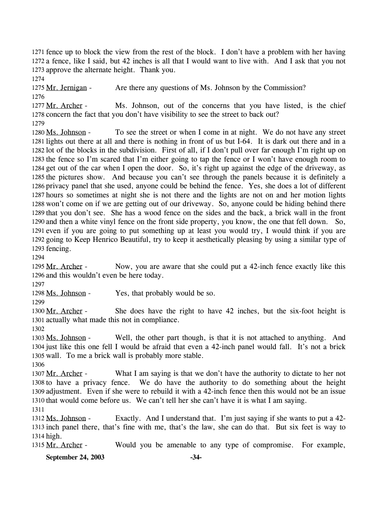1271 fence up to block the view from the rest of the block. I don't have a problem with her having 1272 a fence, like I said, but 42 inches is all that I would want to live with. And I ask that you not 1273 approve the alternate height. Thank you.

1274

1275 Mr. Jernigan - Are there any questions of Ms. Johnson by the Commission? 1276

Ms. Johnson, out of the concerns that you have listed, is the chief 1278 concern the fact that you don't have visibility to see the street to back out? 1277 Mr. Archer -

1279

To see the street or when I come in at night. We do not have any street 1281 lights out there at all and there is nothing in front of us but I-64. It is dark out there and in a 1282 lot of the blocks in the subdivision. First of all, if I don't pull over far enough I'm right up on 1283 the fence so I'm scared that I'm either going to tap the fence or I won't have enough room to 1284 get out of the car when I open the door. So, it's right up against the edge of the driveway, as 1285 the pictures show. And because you can't see through the panels because it is definitely a 1286 privacy panel that she used, anyone could be behind the fence. Yes, she does a lot of different 1287 hours so sometimes at night she is not there and the lights are not on and her motion lights 1288 won't come on if we are getting out of our driveway. So, anyone could be hiding behind there 1289 that you don't see. She has a wood fence on the sides and the back, a brick wall in the front 1290 and then a white vinyl fence on the front side property, you know, the one that fell down. So, 1291 even if you are going to put something up at least you would try, I would think if you are 1292 going to Keep Henrico Beautiful, try to keep it aesthetically pleasing by using a similar type of 1293 fencing. 1280 Ms. Johnson -

1294

Now, you are aware that she could put a 42-inch fence exactly like this 1296 and this wouldn't even be here today. 1295 Mr. Archer -

1297

1298 Ms. Johnson - Yes, that probably would be so.

1299

She does have the right to have  $42$  inches, but the six-foot height is 1301 actually what made this not in compliance. 1300 Mr. Archer -

1302

Well, the other part though, is that it is not attached to anything. And 1304 just like this one fell I would be afraid that even a 42-inch panel would fall. It's not a brick 1305 wall. To me a brick wall is probably more stable. 1303 Ms. Johnson -

1306

What I am saying is that we don't have the authority to dictate to her not 1308 to have a privacy fence. We do have the authority to do something about the height 1309 adjustment. Even if she were to rebuild it with a 42-inch fence then this would not be an issue 1310 that would come before us. We can't tell her she can't have it is what I am saying. 1307 Mr. Archer -1311

Exactly. And I understand that. I'm just saying if she wants to put a 42-1313 inch panel there, that's fine with me, that's the law, she can do that. But six feet is way to 1314 high. 1312 Ms. Johnson -

1315 Mr. Archer - Would you be amenable to any type of compromise. For example,

**September 24, 2003 -34-**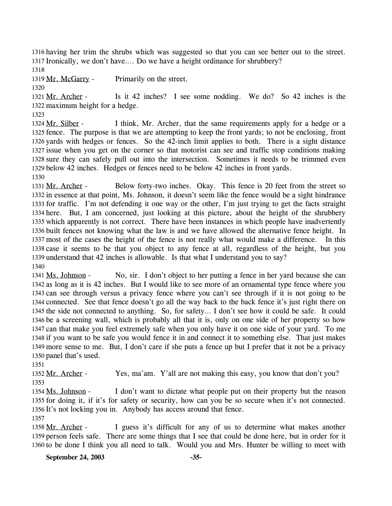1316 having her trim the shrubs which was suggested so that you can see better out to the street. 1317 Ironically, we don't have.... Do we have a height ordinance for shrubbery?

1318

1319 Mr. McGarry - Primarily on the street.

1320

Is it 42 inches? I see some nodding. We do? So 42 inches is the 1322 maximum height for a hedge. 1321 Mr. Archer -

1323

I think, Mr. Archer, that the same requirements apply for a hedge or a 1325 fence. The purpose is that we are attempting to keep the front yards; to not be enclosing, front 1326 yards with hedges or fences. So the 42-inch limit applies to both. There is a sight distance 1327 issue when you get on the corner so that motorist can see and traffic stop conditions making 1328 sure they can safely pull out into the intersection. Sometimes it needs to be trimmed even 1329 below 42 inches. Hedges or fences need to be below 42 inches in front yards. 1324 Mr. Silber -

1330

Below forty-two inches. Okay. This fence is 20 feet from the street so 1332 in essence at that point, Ms. Johnson, it doesn't seem like the fence would be a sight hindrance 1333 for traffic. I'm not defending it one way or the other, I'm just trying to get the facts straight 1334 here. But, I am concerned, just looking at this picture, about the height of the shrubbery 1335 which apparently is not correct. There have been instances in which people have inadvertently 1336 built fences not knowing what the law is and we have allowed the alternative fence height. In 1337 most of the cases the height of the fence is not really what would make a difference. In this 1338 case it seems to be that you object to any fence at all, regardless of the height, but you 1339 understand that 42 inches is allowable. Is that what I understand you to say? 1331 Mr. Archer -1340

No, sir. I don't object to her putting a fence in her yard because she can 1342 as long as it is 42 inches. But I would like to see more of an ornamental type fence where you 1343 can see through versus a privacy fence where you can't see through if it is not going to be 1344 connected. See that fence doesn't go all the way back to the back fence it's just right there on 1345 the side not connected to anything. So, for safety... I don't see how it could be safe. It could 1346 be a screening wall, which is probably all that it is, only on one side of her property so how 1347 can that make you feel extremely safe when you only have it on one side of your yard. To me 1348 if you want to be safe you would fence it in and connect it to something else. That just makes 1349 more sense to me. But, I don't care if she puts a fence up but I prefer that it not be a privacy 1350 panel that's used. 1341 Ms. Johnson -

1351

1352 Mr. Archer - Yes, ma'am. Y'all are not making this easy, you know that don't you? 1353

I don't want to dictate what people put on their property but the reason 1355 for doing it, if it's for safety or security, how can you be so secure when it's not connected. 1356 It's not locking you in. Anybody has access around that fence. 1354 Ms. Johnson -

1357

I guess it's difficult for any of us to determine what makes another 1359 person feels safe. There are some things that I see that could be done here, but in order for it 1360 to be done I think you all need to talk. Would you and Mrs. Hunter be willing to meet with 1358 Mr. Archer -

**September 24, 2003 -35-**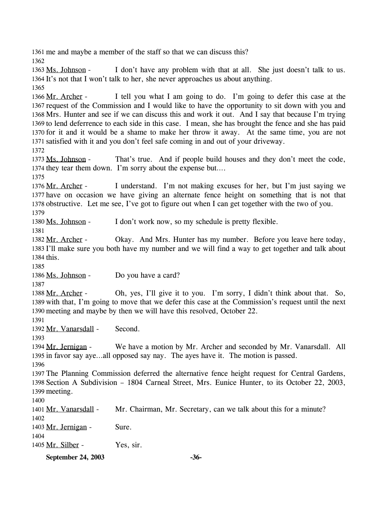1361 me and maybe a member of the staff so that we can discuss this?

1362

I don't have any problem with that at all. She just doesn't talk to us. 1364 It's not that I won't talk to her, she never approaches us about anything. 1363 Ms. Johnson -

1365

I tell you what I am going to do. I'm going to defer this case at the 1367 request of the Commission and I would like to have the opportunity to sit down with you and 1368 Mrs. Hunter and see if we can discuss this and work it out. And I say that because I'm trying 1369 to lend deferrence to each side in this case. I mean, she has brought the fence and she has paid 1370 for it and it would be a shame to make her throw it away. At the same time, you are not 1371 satisfied with it and you don't feel safe coming in and out of your driveway. 1366 Mr. Archer -

1372

That's true. And if people build houses and they don't meet the code, 1374 they tear them down. I'm sorry about the expense but.... 1373 Ms. Johnson -

1375

I understand. I'm not making excuses for her, but I'm just saying we 1377 have on occasion we have giving an alternate fence height on something that is not that 1378 obstructive. Let me see, I've got to figure out when I can get together with the two of you. 1376 Mr. Archer -

1379

1380 Ms. Johnson - I don't work now, so my schedule is pretty flexible.

1381

Okay. And Mrs. Hunter has my number. Before you leave here today, 1383 I'll make sure you both have my number and we will find a way to get together and talk about 1384 this. 1382 Mr. Archer -

1385

1386 Ms. Johnson - Do you have a card?

1387

Oh, yes, I'll give it to you. I'm sorry, I didn't think about that. So, 1389 with that, I'm going to move that we defer this case at the Commission's request until the next 1390 meeting and maybe by then we will have this resolved, October 22. 1388 Mr. Archer -

1391

1392 Mr. Vanarsdall - Second.

1393

We have a motion by Mr. Archer and seconded by Mr. Vanarsdall. All 1395 in favor say aye...all opposed say nay. The ayes have it. The motion is passed. 1394 Mr. Jernigan -

1396

1397 The Planning Commission deferred the alternative fence height request for Central Gardens, 1398 Section A Subdivision – 1804 Carneal Street, Mrs. Eunice Hunter, to its October 22, 2003, 1399 meeting.

1400

1401 Mr. Vanarsdall - Mr. Chairman, Mr. Secretary, can we talk about this for a minute? 1402 1403 Mr. Jernigan - Sure. 1404 1405 Mr. Silber - Yes, sir.

**September 24, 2003 -36-**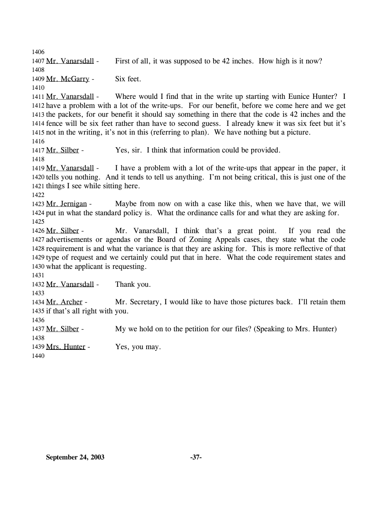1406 1407 Mr. Vanarsdall - First of all, it was supposed to be 42 inches. How high is it now? 1408 1409 Mr. McGarry - Six feet. 1410 Where would I find that in the write up starting with Eunice Hunter? I 1412 have a problem with a lot of the write-ups. For our benefit, before we come here and we get 1413 the packets, for our benefit it should say something in there that the code is 42 inches and the 1414 fence will be six feet rather than have to second guess. I already knew it was six feet but it's 1415 not in the writing, it's not in this (referring to plan). We have nothing but a picture. 1411 Mr. Vanarsdall -1416 1417 Mr. Silber - Yes, sir. I think that information could be provided. 1418 I have a problem with a lot of the write-ups that appear in the paper, it 1420 tells you nothing. And it tends to tell us anything. I'm not being critical, this is just one of the 1421 things I see while sitting here. 1419 Mr. Vanarsdall -1422 Maybe from now on with a case like this, when we have that, we will 1424 put in what the standard policy is. What the ordinance calls for and what they are asking for. 1423 Mr. Jernigan -1425 Mr. Vanarsdall, I think that's a great point. If you read the 1427 advertisements or agendas or the Board of Zoning Appeals cases, they state what the code 1428 requirement is and what the variance is that they are asking for. This is more reflective of that 1429 type of request and we certainly could put that in here. What the code requirement states and 1430 what the applicant is requesting. 1426 Mr. Silber -1431 1432 Mr. Vanarsdall - Thank you. 1433 Mr. Secretary, I would like to have those pictures back. I'll retain them 1435 if that's all right with you. 1434 Mr. Archer -1436 1437 Mr. Silber - My we hold on to the petition for our files? (Speaking to Mrs. Hunter) 1438 1439 Mrs. Hunter - Yes, you may. 1440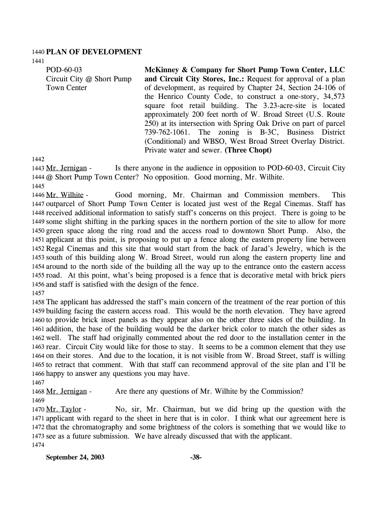#### 1440 **PLAN OF DEVELOPMENT**

1441

POD-60-03 Circuit City @ Short Pump Town Center

**McKinney & Company for Short Pump Town Center, LLC and Circuit City Stores, Inc.:** Request for approval of a plan of development, as required by Chapter 24, Section 24-106 of the Henrico County Code, to construct a one-story, 34,573 square foot retail building. The 3.23-acre-site is located approximately 200 feet north of W. Broad Street (U.S. Route 250) at its intersection with Spring Oak Drive on part of parcel 739-762-1061. The zoning is B-3C, Business District (Conditional) and WBSO, West Broad Street Overlay District. Private water and sewer. **(Three Chopt)** 

1442

Is there anyone in the audience in opposition to POD-60-03, Circuit City 1444 @ Short Pump Town Center? No opposition. Good morning, Mr. Wilhite. 1443 Mr. Jernigan -

1445

Good morning, Mr. Chairman and Commission members. This 1447 outparcel of Short Pump Town Center is located just west of the Regal Cinemas. Staff has 1448 received additional information to satisfy staff's concerns on this project. There is going to be 1449 some slight shifting in the parking spaces in the northern portion of the site to allow for more 1450 green space along the ring road and the access road to downtown Short Pump. Also, the 1451 applicant at this point, is proposing to put up a fence along the eastern property line between 1452 Regal Cinemas and this site that would start from the back of Jarad's Jewelry, which is the 1453 south of this building along W. Broad Street, would run along the eastern property line and 1454 around to the north side of the building all the way up to the entrance onto the eastern access 1455 road. At this point, what's being proposed is a fence that is decorative metal with brick piers 1456 and staff is satisfied with the design of the fence. 1446 Mr. Wilhite -

1457

 The applicant has addressed the staff's main concern of the treatment of the rear portion of this building facing the eastern access road. This would be the north elevation. They have agreed to provide brick inset panels as they appear also on the other three sides of the building. In addition, the base of the building would be the darker brick color to match the other sides as well. The staff had originally commented about the red door to the installation center in the rear. Circuit City would like for those to stay. It seems to be a common element that they use on their stores. And due to the location, it is not visible from W. Broad Street, staff is willing to retract that comment. With that staff can recommend approval of the site plan and I'll be happy to answer any questions you may have.

1467

1468 Mr. Jernigan - Are there any questions of Mr. Wilhite by the Commission? 1469

No, sir, Mr. Chairman, but we did bring up the question with the 1471 applicant with regard to the sheet in here that is in color. I think what our agreement here is 1472 that the chromatography and some brightness of the colors is something that we would like to 1473 see as a future submission. We have already discussed that with the applicant. 1470 Mr. Taylor -1474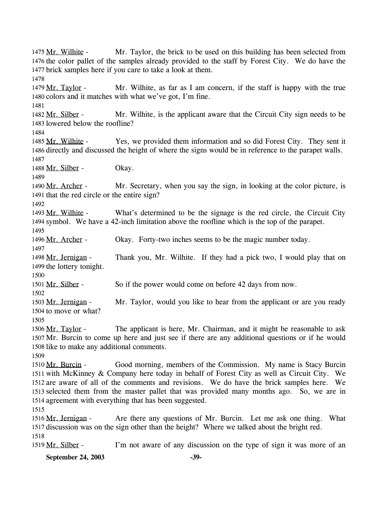Mr. Taylor, the brick to be used on this building has been selected from 1476 the color pallet of the samples already provided to the staff by Forest City. We do have the 1477 brick samples here if you care to take a look at them. 1475 Mr. Wilhite -1478 Mr. Wilhite, as far as I am concern, if the staff is happy with the true 1480 colors and it matches with what we've got, I'm fine. 1479 Mr. Taylor -1481 Mr. Wilhite, is the applicant aware that the Circuit City sign needs to be 1483 lowered below the roofline? 1482 Mr. Silber -1484 Yes, we provided them information and so did Forest City. They sent it 1486 directly and discussed the height of where the signs would be in reference to the parapet walls. 1485 Mr. Wilhite -1487 1488 Mr. Silber - Okay. 1489 Mr. Secretary, when you say the sign, in looking at the color picture, is 1491 that the red circle or the entire sign? 1490 Mr. Archer -1492 What's determined to be the signage is the red circle, the Circuit City 1494 symbol. We have a 42-inch limitation above the roofline which is the top of the parapet. 1493 Mr. Wilhite -1495 1496 Mr. Archer - Okay. Forty-two inches seems to be the magic number today. 1497 Thank you, Mr. Wilhite. If they had a pick two, I would play that on 1499 the lottery tonight. 1498 Mr. Jernigan -1500 1501 Mr. Silber - So if the power would come on before 42 days from now. 1502 Mr. Taylor, would you like to hear from the applicant or are you ready 1504 to move or what? 1503 Mr. Jernigan -1505 The applicant is here, Mr. Chairman, and it might be reasonable to ask 1507 Mr. Burcin to come up here and just see if there are any additional questions or if he would 1508 like to make any additional comments. 1506 Mr. Taylor -1509 Good morning, members of the Commission. My name is Stacy Burcin 1511 with McKinney & Company here today in behalf of Forest City as well as Circuit City. We 1512 are aware of all of the comments and revisions. We do have the brick samples here. We 1513 selected them from the master pallet that was provided many months ago. So, we are in 1514 agreement with everything that has been suggested. 1510 Mr. Burcin -1515 Are there any questions of Mr. Burcin. Let me ask one thing. What 1517 discussion was on the sign other than the height? Where we talked about the bright red. 1516 Mr. Jernigan -1518

1519 Mr. Silber - I'm not aware of any discussion on the type of sign it was more of an

**September 24, 2003 -39-**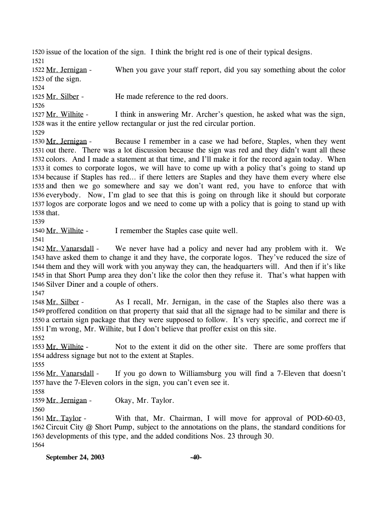1520 issue of the location of the sign. I think the bright red is one of their typical designs. 1521

When you gave your staff report, did you say something about the color  $1523$  of the sign. 1522 Mr. Jernigan -

1524

1525 Mr. Silber - He made reference to the red doors.

1526

I think in answering Mr. Archer's question, he asked what was the sign, 1528 was it the entire yellow rectangular or just the red circular portion.  $1527$  Mr. Wilhite -

1529

Because I remember in a case we had before, Staples, when they went 1531 out there. There was a lot discussion because the sign was red and they didn't want all these 1532 colors. And I made a statement at that time, and I'll make it for the record again today. When 1533 it comes to corporate logos, we will have to come up with a policy that's going to stand up 1534 because if Staples has red... if there letters are Staples and they have them every where else 1535 and then we go somewhere and say we don't want red, you have to enforce that with 1536 everybody. Now, I'm glad to see that this is going on through like it should but corporate 1537 logos are corporate logos and we need to come up with a policy that is going to stand up with 1538 that. 1530 Mr. Jernigan -

1539

1540 Mr. Wilhite - I remember the Staples case quite well.

1541

We never have had a policy and never had any problem with it. We 1543 have asked them to change it and they have, the corporate logos. They've reduced the size of 1544 them and they will work with you anyway they can, the headquarters will. And then if it's like 1545 in that Short Pump area they don't like the color then they refuse it. That's what happen with 1546 Silver Diner and a couple of others. 1542 Mr. Vanarsdall -

1547

As I recall, Mr. Jernigan, in the case of the Staples also there was a 1549 proffered condition on that property that said that all the signage had to be similar and there is 1550 a certain sign package that they were supposed to follow. It's very specific, and correct me if 1551 I'm wrong, Mr. Wilhite, but I don't believe that proffer exist on this site. 1548 Mr. Silber -

1552

Not to the extent it did on the other site. There are some proffers that 1554 address signage but not to the extent at Staples. 1553 Mr. Wilhite -

1555

If you go down to Williamsburg you will find a 7-Eleven that doesn't 1557 have the 7-Eleven colors in the sign, you can't even see it. 1556 Mr. Vanarsdall -

1558

1559 Mr. Jernigan - Okay, Mr. Taylor.

1560

With that, Mr. Chairman, I will move for approval of POD-60-03, 1562 Circuit City @ Short Pump, subject to the annotations on the plans, the standard conditions for 1563 developments of this type, and the added conditions Nos. 23 through 30. 1561 Mr. Taylor -1564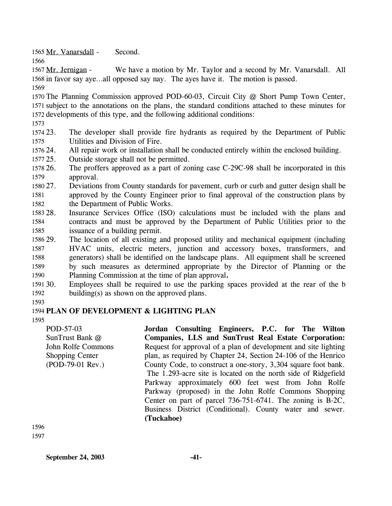1565 Mr. Vanarsdall - Second.

1566

We have a motion by Mr. Taylor and a second by Mr. Vanarsdall. All 1568 in favor say aye...all opposed say nay. The ayes have it. The motion is passed. 1567 Mr. Jernigan -

1569

1570 The Planning Commission approved POD-60-03, Circuit City @ Short Pump Town Center, 1571 subject to the annotations on the plans, the standard conditions attached to these minutes for 1572 developments of this type, and the following additional conditions:

1573

1574 23. 1575 23. The developer shall provide fire hydrants as required by the Department of Public Utilities and Division of Fire.

1576 24. All repair work or installation shall be conducted entirely within the enclosed building.

1577 25. Outside storage shall not be permitted.

1578 26. 1579 26. The proffers approved as a part of zoning case C-29C-98 shall be incorporated in this approval.

1580 27. 1581 1582 27. Deviations from County standards for pavement, curb or curb and gutter design shall be approved by the County Engineer prior to final approval of the construction plans by the Department of Public Works.

1583 28 1584 1585 Insurance Services Office (ISO) calculations must be included with the plans and contracts and must be approved by the Department of Public Utilities prior to the issuance of a building permit.

1586 29. 1587 1588 1589 1590 The location of all existing and proposed utility and mechanical equipment (including HVAC units, electric meters, junction and accessory boxes, transformers, and generators) shall be identified on the landscape plans. All equipment shall be screened by such measures as determined appropriate by the Director of Planning or the Planning Commission at the time of plan approval**.**

1591 30. 1592 Employees shall be required to use the parking spaces provided at the rear of the b building(s) as shown on the approved plans.

1593

# 1594 **PLAN OF DEVELOPMENT & LIGHTING PLAN**

1595

POD-57-03 SunTrust Bank @ John Rolfe Commons Shopping Center (POD-79-01 Rev.)

**Jordan Consulting Engineers, P.C. for The Wilton Companies, LLS and SunTrust Real Estate Corporation:**  Request for approval of a plan of development and site lighting plan, as required by Chapter 24, Section 24-106 of the Henrico County Code, to construct a one-story, 3,304 square foot bank. The 1.293-acre site is located on the north side of Ridgefield Parkway approximately 600 feet west from John Rolfe Parkway (proposed) in the John Rolfe Commons Shopping Center on part of parcel 736-751-6741. The zoning is B-2C, Business District (Conditional). County water and sewer. **(Tuckahoe)** 

1596 1597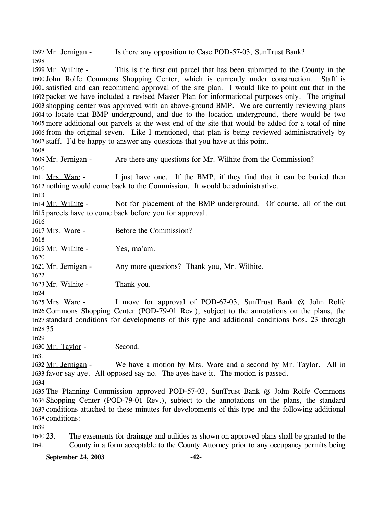1597 Mr. Jernigan - Is there any opposition to Case POD-57-03, SunTrust Bank? 1598

This is the first out parcel that has been submitted to the County in the 1600 John Rolfe Commons Shopping Center, which is currently under construction. Staff is 1601 satisfied and can recommend approval of the site plan. I would like to point out that in the 1602 packet we have included a revised Master Plan for informational purposes only. The original 1603 shopping center was approved with an above-ground BMP. We are currently reviewing plans 1604 to locate that BMP underground, and due to the location underground, there would be two 1605 more additional out parcels at the west end of the site that would be added for a total of nine 1606 from the original seven. Like I mentioned, that plan is being reviewed administratively by 1607 staff. I'd be happy to answer any questions that you have at this point. 1599 Mr. Wilhite -

1608

1609 Mr. Jernigan - Are there any questions for Mr. Wilhite from the Commission? 1610

I just have one. If the BMP, if they find that it can be buried then 1612 nothing would come back to the Commission. It would be administrative. 1611 Mrs. Ware -

1613

Not for placement of the BMP underground. Of course, all of the out 1615 parcels have to come back before you for approval. 1614 Mr. Wilhite -

1616

1617 Mrs. Ware - Before the Commission? 1618

1619 Mr. Wilhite - Yes, ma'am.

1621 Mr. Jernigan - Any more questions? Thank you, Mr. Wilhite.

1622

1620

1623 Mr. Wilhite - Thank you.

1624

I move for approval of POD-67-03, SunTrust Bank @ John Rolfe 1626 Commons Shopping Center (POD-79-01 Rev.), subject to the annotations on the plans, the 1627 standard conditions for developments of this type and additional conditions Nos. 23 through 35. 1628 1625 Mrs. Ware -

1629

1630 Mr. Taylor - Second.

1631 We have a motion by Mrs. Ware and a second by Mr. Taylor. All in 1633 favor say aye. All opposed say no. The ayes have it. The motion is passed. 1632 Mr. Jernigan -

1634

 The Planning Commission approved POD-57-03, SunTrust Bank @ John Rolfe Commons Shopping Center (POD-79-01 Rev.), subject to the annotations on the plans, the standard conditions attached to these minutes for developments of this type and the following additional conditions:

1639

1640 23. 1641 23. The easements for drainage and utilities as shown on approved plans shall be granted to the County in a form acceptable to the County Attorney prior to any occupancy permits being

**September 24, 2003 -42-**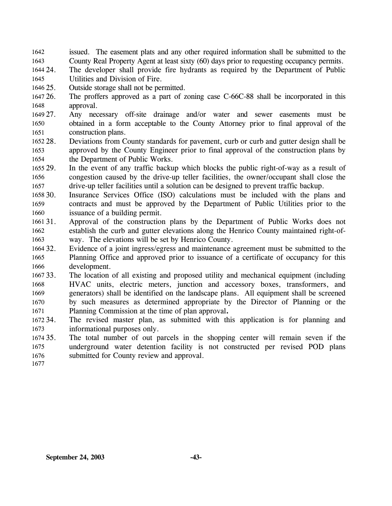issued. The easement plats and any other required information shall be submitted to the County Real Property Agent at least sixty (60) days prior to requesting occupancy permits. 1642 1643

1644 24. 1645 The developer shall provide fire hydrants as required by the Department of Public Utilities and Division of Fire.

- 1646 25. Outside storage shall not be permitted.
- 1647 26. 1648 The proffers approved as a part of zoning case C-66C-88 shall be incorporated in this approval.
- 1649 27. Any necessary off-site drainage and/or water and sewer easements must be 1650 1651 obtained in a form acceptable to the County Attorney prior to final approval of the construction plans.
- 1652 28. 1653 1654 28. Deviations from County standards for pavement, curb or curb and gutter design shall be approved by the County Engineer prior to final approval of the construction plans by the Department of Public Works.
- 1655 29. 1656 1657 In the event of any traffic backup which blocks the public right-of-way as a result of congestion caused by the drive-up teller facilities, the owner/occupant shall close the drive-up teller facilities until a solution can be designed to prevent traffic backup.
- 1658 30. 1659 1660 Insurance Services Office (ISO) calculations must be included with the plans and contracts and must be approved by the Department of Public Utilities prior to the issuance of a building permit.
- 1661 31. 1662 1663 31. Approval of the construction plans by the Department of Public Works does not establish the curb and gutter elevations along the Henrico County maintained right-ofway. The elevations will be set by Henrico County.
- 1664 32. 1665 1666 Evidence of a joint ingress/egress and maintenance agreement must be submitted to the Planning Office and approved prior to issuance of a certificate of occupancy for this development.
- 1667 33. 1668 1669 1670 1671 The location of all existing and proposed utility and mechanical equipment (including HVAC units, electric meters, junction and accessory boxes, transformers, and generators) shall be identified on the landscape plans. All equipment shall be screened by such measures as determined appropriate by the Director of Planning or the Planning Commission at the time of plan approval**.**
- 1672 34. 1673 The revised master plan, as submitted with this application is for planning and informational purposes only.
- 1674 35. 1675 1676 The total number of out parcels in the shopping center will remain seven if the underground water detention facility is not constructed per revised POD plans submitted for County review and approval.
- 1677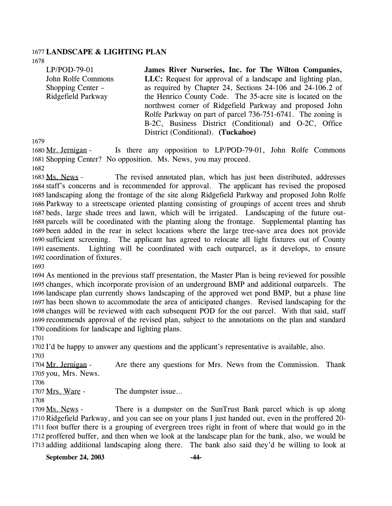#### 1677 **LANDSCAPE & LIGHTING PLAN**

1678

| $LP/POD-79-01$     | James River Nurseries, Inc. for The Wilton Companies,       |
|--------------------|-------------------------------------------------------------|
| John Rolfe Commons | LLC: Request for approval of a landscape and lighting plan, |
| Shopping Center –  | as required by Chapter 24, Sections 24-106 and 24-106.2 of  |
| Ridgefield Parkway | the Henrico County Code. The 35-acre site is located on the |
|                    | northwest corner of Ridgefield Parkway and proposed John    |
|                    | Rolfe Parkway on part of parcel 736-751-6741. The zoning is |
|                    | B-2C, Business District (Conditional) and O-2C, Office      |
|                    | District (Conditional). (Tuckahoe)                          |

1679

Is there any opposition to LP/POD-79-01, John Rolfe Commons 1681 Shopping Center? No opposition. Ms. News, you may proceed. 1680 Mr. Jernigan -

1682

The revised annotated plan, which has just been distributed, addresses 1684 staff's concerns and is recommended for approval. The applicant has revised the proposed 1685 landscaping along the frontage of the site along Ridgefield Parkway and proposed John Rolfe 1686 Parkway to a streetscape oriented planting consisting of groupings of accent trees and shrub 1687 beds, large shade trees and lawn, which will be irrigated. Landscaping of the future out-1688 parcels will be coordinated with the planting along the frontage. Supplemental planting has 1689 been added in the rear in select locations where the large tree-save area does not provide 1690 sufficient screening. The applicant has agreed to relocate all light fixtures out of County Lighting will be coordinated with each outparcel, as it develops, to ensure 1692 coordination of fixtures. 1683 Ms. News -1691 easements.

1693

 As mentioned in the previous staff presentation, the Master Plan is being reviewed for possible changes, which incorporate provision of an underground BMP and additional outparcels. The landscape plan currently shows landscaping of the approved wet pond BMP, but a phase line has been shown to accommodate the area of anticipated changes. Revised landscaping for the changes will be reviewed with each subsequent POD for the out parcel. With that said, staff recommends approval of the revised plan, subject to the annotations on the plan and standard conditions for landscape and lighting plans.

1701

1702 I'd be happy to answer any questions and the applicant's representative is available, also.

1703

Are there any questions for Mrs. News from the Commission. Thank 1705 you, Mrs. News. 1704 Mr. Jernigan -

1706

1707 Mrs. Ware - The dumpster issue...

1708

There is a dumpster on the SunTrust Bank parcel which is up along 1710 Ridgefield Parkway, and you can see on your plans I just handed out, even in the proffered 20-1711 foot buffer there is a grouping of evergreen trees right in front of where that would go in the 1712 proffered buffer, and then when we look at the landscape plan for the bank, also, we would be 1713 adding additional landscaping along there. The bank also said they'd be willing to look at 1709 Ms. News -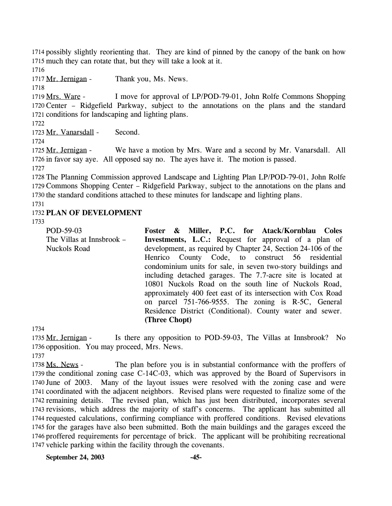1714 possibly slightly reorienting that. They are kind of pinned by the canopy of the bank on how 1715 much they can rotate that, but they will take a look at it.

1716

1717 Mr. Jernigan - Thank you, Ms. News.

1718

I move for approval of LP/POD-79-01, John Rolfe Commons Shopping 1720 Center - Ridgefield Parkway, subject to the annotations on the plans and the standard 1721 conditions for landscaping and lighting plans. 1719 Mrs. Ware -

1722

1723 Mr. Vanarsdall - Second.

1724

We have a motion by Mrs. Ware and a second by Mr. Vanarsdall. All 1726 in favor say aye. All opposed say no. The ayes have it. The motion is passed. 1725 Mr. Jernigan -

1727

1728 The Planning Commission approved Landscape and Lighting Plan LP/POD-79-01, John Rolfe 1729 Commons Shopping Center – Ridgefield Parkway, subject to the annotations on the plans and 1730 the standard conditions attached to these minutes for landscape and lighting plans.

1731

## 1732 **PLAN OF DEVELOPMENT**

1733

POD-59-03 The Villas at Innsbrook – Nuckols Road **Foster & Miller, P.C. for Atack/Kornblau Coles Investments, L.C.:** Request for approval of a plan of development, as required by Chapter 24, Section 24-106 of the Henrico County Code, to construct 56 residential condominium units for sale, in seven two-story buildings and including detached garages. The 7.7-acre site is located at 10801 Nuckols Road on the south line of Nuckols Road, approximately 400 feet east of its intersection with Cox Road on parcel 751-766-9555. The zoning is R-5C, General Residence District (Conditional). County water and sewer. **(Three Chopt)** 

1734

Is there any opposition to POD-59-03, The Villas at Innsbrook? No 1736 opposition. You may proceed, Mrs. News. 1735 Mr. Jernigan -

1737

The plan before you is in substantial conformance with the proffers of 1739 the conditional zoning case  $C-14C-03$ , which was approved by the Board of Supervisors in 1740 June of 2003. Many of the layout issues were resolved with the zoning case and were 1741 coordinated with the adjacent neighbors. Revised plans were requested to finalize some of the 1742 remaining details. The revised plan, which has just been distributed, incorporates several 1743 revisions, which address the majority of staff's concerns. The applicant has submitted all 1744 requested calculations, confirming compliance with proffered conditions. Revised elevations 1745 for the garages have also been submitted. Both the main buildings and the garages exceed the 1746 proffered requirements for percentage of brick. The applicant will be prohibiting recreational 1747 vehicle parking within the facility through the covenants. 1738 Ms. News -

**September 24, 2003 -45-**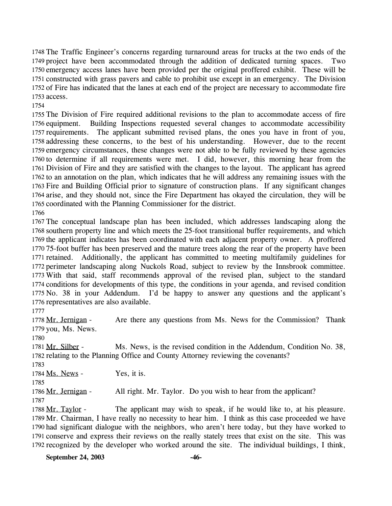1748 The Traffic Engineer's concerns regarding turnaround areas for trucks at the two ends of the 1749 project have been accommodated through the addition of dedicated turning spaces. Two 1750 emergency access lanes have been provided per the original proffered exhibit. These will be 1751 constructed with grass pavers and cable to prohibit use except in an emergency. The Division 1752 of Fire has indicated that the lanes at each end of the project are necessary to accommodate fire 1753 access.

1754

 The Division of Fire required additional revisions to the plan to accommodate access of fire 1756 equipment. requirements. The applicant submitted revised plans, the ones you have in front of you, addressing these concerns, to the best of his understanding. However, due to the recent emergency circumstances, these changes were not able to be fully reviewed by these agencies to determine if all requirements were met. I did, however, this morning hear from the Division of Fire and they are satisfied with the changes to the layout. The applicant has agreed to an annotation on the plan, which indicates that he will address any remaining issues with the Fire and Building Official prior to signature of construction plans. If any significant changes arise, and they should not, since the Fire Department has okayed the circulation, they will be coordinated with the Planning Commissioner for the district. Building Inspections requested several changes to accommodate accessibility

1766

 The conceptual landscape plan has been included, which addresses landscaping along the southern property line and which meets the 25-foot transitional buffer requirements, and which the applicant indicates has been coordinated with each adjacent property owner. A proffered 75-foot buffer has been preserved and the mature trees along the rear of the property have been retained. Additionally, the applicant has committed to meeting multifamily guidelines for perimeter landscaping along Nuckols Road, subject to review by the Innsbrook committee. With that said, staff recommends approval of the revised plan, subject to the standard conditions for developments of this type, the conditions in your agenda, and revised condition No. 38 in your Addendum. I'd be happy to answer any questions and the applicant's representatives are also available.

1777

Are there any questions from Ms. News for the Commission? Thank 1779 you, Ms. News. 1778 Mr. Jernigan -

1780

Ms. News, is the revised condition in the Addendum, Condition No. 38, 1782 relating to the Planning Office and County Attorney reviewing the covenants? 1781 Mr. Silber -

1783

1784 Ms. News - Yes, it is.

1785

1786 Mr. Jernigan - All right. Mr. Taylor. Do you wish to hear from the applicant? 1787

The applicant may wish to speak, if he would like to, at his pleasure. 1789 Mr. Chairman, I have really no necessity to hear him. I think as this case proceeded we have 1790 had significant dialogue with the neighbors, who aren't here today, but they have worked to 1791 conserve and express their reviews on the really stately trees that exist on the site. This was 1792 recognized by the developer who worked around the site. The individual buildings, I think, 1788 Mr. Taylor -

**September 24, 2003 -46-**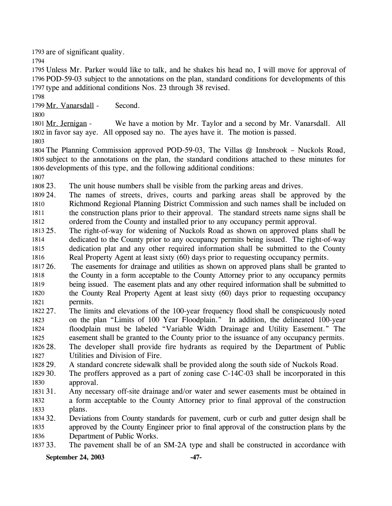1793 are of significant quality.

1794

1795 Unless Mr. Parker would like to talk, and he shakes his head no, I will move for approval of 1796 POD-59-03 subject to the annotations on the plan, standard conditions for developments of this 1797 type and additional conditions Nos. 23 through 38 revised.

1798

1799 Mr. Vanarsdall - Second.

1800

We have a motion by Mr. Taylor and a second by Mr. Vanarsdall. All 1802 in favor say aye. All opposed say no. The ayes have it. The motion is passed. 1801 Mr. Jernigan -

1803

1804 The Planning Commission approved POD-59-03, The Villas @ Innsbrook – Nuckols Road, 1805 subject to the annotations on the plan, the standard conditions attached to these minutes for 1806 developments of this type, and the following additional conditions:

1807

1808 23. The unit house numbers shall be visible from the parking areas and drives.

1809 24. 1810 1811 1812 The names of streets, drives, courts and parking areas shall be approved by the Richmond Regional Planning District Commission and such names shall be included on the construction plans prior to their approval. The standard streets name signs shall be ordered from the County and installed prior to any occupancy permit approval.

1813 25. 1814 1815 1816 The right-of-way for widening of Nuckols Road as shown on approved plans shall be dedicated to the County prior to any occupancy permits being issued. The right-of-way dedication plat and any other required information shall be submitted to the County Real Property Agent at least sixty (60) days prior to requesting occupancy permits.

1817 26. 1818 1819 1820 1821 26. The easements for drainage and utilities as shown on approved plans shall be granted to the County in a form acceptable to the County Attorney prior to any occupancy permits being issued. The easement plats and any other required information shall be submitted to the County Real Property Agent at least sixty (60) days prior to requesting occupancy permits.

1822 27 1823 1824 1825 The limits and elevations of the 100-year frequency flood shall be conspicuously noted on the plan "Limits of 100 Year Floodplain." In addition, the delineated 100-year floodplain must be labeled "Variable Width Drainage and Utility Easement." The easement shall be granted to the County prior to the issuance of any occupancy permits.

1826 28. 1827 The developer shall provide fire hydrants as required by the Department of Public Utilities and Division of Fire.

1828 29. A standard concrete sidewalk shall be provided along the south side of Nuckols Road.

1829 30. 1830 The proffers approved as a part of zoning case  $C-14C-03$  shall be incorporated in this approval.

1831 31. 1832 1833 Any necessary off-site drainage and/or water and sewer easements must be obtained in a form acceptable to the County Attorney prior to final approval of the construction plans.

1834 32. 1835 1836 32. Deviations from County standards for pavement, curb or curb and gutter design shall be approved by the County Engineer prior to final approval of the construction plans by the Department of Public Works.

1837 33. The pavement shall be of an SM-2A type and shall be constructed in accordance with

**September 24, 2003 -47-**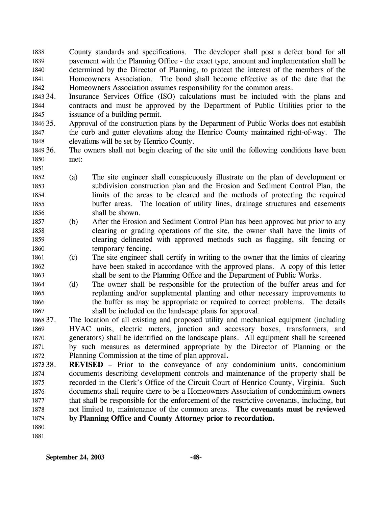County standards and specifications. The developer shall post a defect bond for all pavement with the Planning Office - the exact type, amount and implementation shall be determined by the Director of Planning, to protect the interest of the members of the Homeowners Association. The bond shall become effective as of the date that the Homeowners Association assumes responsibility for the common areas. 1838 1839 1840 1841 1842

1843 34. 1844 1845 Insurance Services Office (ISO) calculations must be included with the plans and contracts and must be approved by the Department of Public Utilities prior to the issuance of a building permit.

1846 35. 1847 1848 Approval of the construction plans by the Department of Public Works does not establish the curb and gutter elevations along the Henrico County maintained right-of-way. The elevations will be set by Henrico County.

- 1849 36. 1850 The owners shall not begin clearing of the site until the following conditions have been met:
- 1852 1853 1854 1855 1856 (a) The site engineer shall conspicuously illustrate on the plan of development or subdivision construction plan and the Erosion and Sediment Control Plan, the limits of the areas to be cleared and the methods of protecting the required buffer areas. The location of utility lines, drainage structures and easements shall be shown.
- 1857 1858 1859 1860 (b) After the Erosion and Sediment Control Plan has been approved but prior to any clearing or grading operations of the site, the owner shall have the limits of clearing delineated with approved methods such as flagging, silt fencing or temporary fencing.
- 1861 1862 1863 (c) The site engineer shall certify in writing to the owner that the limits of clearing have been staked in accordance with the approved plans. A copy of this letter shall be sent to the Planning Office and the Department of Public Works.
- 1864 1865 1866 1867 (d) The owner shall be responsible for the protection of the buffer areas and for replanting and/or supplemental planting and other necessary improvements to the buffer as may be appropriate or required to correct problems. The details shall be included on the landscape plans for approval.
- 1868 37. 1869 1870 1871 1872 The location of all existing and proposed utility and mechanical equipment (including HVAC units, electric meters, junction and accessory boxes, transformers, and generators) shall be identified on the landscape plans. All equipment shall be screened by such measures as determined appropriate by the Director of Planning or the Planning Commission at the time of plan approval**.**
- 1873 38. 1874 1875 1876 1877 1878 1879 **REVISED** – Prior to the conveyance of any condominium units, condominium documents describing development controls and maintenance of the property shall be recorded in the Clerk's Office of the Circuit Court of Henrico County, Virginia. Such documents shall require there to be a Homeowners Association of condominium owners that shall be responsible for the enforcement of the restrictive covenants, including, but not limited to, maintenance of the common areas. **The covenants must be reviewed by Planning Office and County Attorney prior to recordation.**
- 1880

1851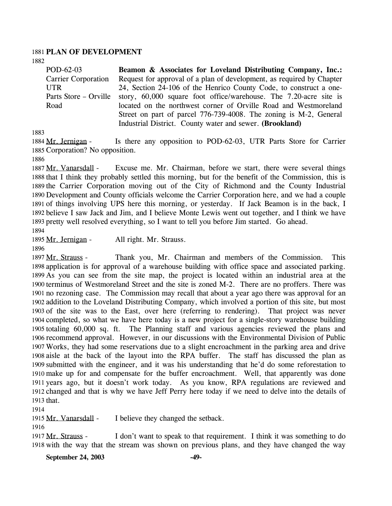#### 1881 **PLAN OF DEVELOPMENT**

1882

POD-62-03 Carrier Corporation UTR Parts Store – Orville Road **Beamon & Associates for Loveland Distributing Company, Inc.:**  Request for approval of a plan of development, as required by Chapter 24, Section 24-106 of the Henrico County Code, to construct a onestory, 60,000 square foot office/warehouse. The 7.20-acre site is located on the northwest corner of Orville Road and Westmoreland Street on part of parcel 776-739-4008. The zoning is M-2, General Industrial District. County water and sewer. **(Brookland)** 

1883

Is there any opposition to POD-62-03, UTR Parts Store for Carrier 1885 Corporation? No opposition. 1884 Mr. Jernigan -

1886

Excuse me. Mr. Chairman, before we start, there were several things 1888 that I think they probably settled this morning, but for the benefit of the Commission, this is 1889 the Carrier Corporation moving out of the City of Richmond and the County Industrial 1890 Development and County officials welcome the Carrier Corporation here, and we had a couple 1891 of things involving UPS here this morning, or yesterday. If Jack Beamon is in the back, I 1892 believe I saw Jack and Jim, and I believe Monte Lewis went out together, and I think we have 1893 pretty well resolved everything, so I want to tell you before Jim started. Go ahead. 1887 Mr. Vanarsdall -

1894

1895 Mr. Jernigan - All right. Mr. Strauss.

1896

Thank you, Mr. Chairman and members of the Commission. This 1898 application is for approval of a warehouse building with office space and associated parking. 1899 As you can see from the site map, the project is located within an industrial area at the 1900 terminus of Westmoreland Street and the site is zoned M-2. There are no proffers. There was 1901 no rezoning case. The Commission may recall that about a year ago there was approval for an 1902 addition to the Loveland Distributing Company, which involved a portion of this site, but most 1903 of the site was to the East, over here (referring to rendering). That project was never 1904 completed, so what we have here today is a new project for a single-story warehouse building 1905 totaling 60,000 sq. ft. The Planning staff and various agencies reviewed the plans and 1906 recommend approval. However, in our discussions with the Environmental Division of Public Works, they had some reservations due to a slight encroachment in the parking area and drive 1907 1908 aisle at the back of the layout into the RPA buffer. The staff has discussed the plan as 1909 submitted with the engineer, and it was his understanding that he'd do some reforestation to 1910 make up for and compensate for the buffer encroachment. Well, that apparently was done 1911 years ago, but it doesn't work today. As you know, RPA regulations are reviewed and 1912 changed and that is why we have Jeff Perry here today if we need to delve into the details of 1913 that. 1897 Mr. Strauss -

1914

1915 Mr. Vanarsdall - I believe they changed the setback.

1916

I don't want to speak to that requirement. I think it was something to do 1918 with the way that the stream was shown on previous plans, and they have changed the way 1917 Mr. Strauss -

**September 24, 2003 -49-**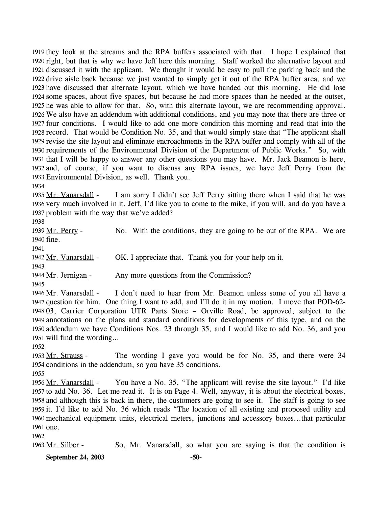1919 they look at the streams and the RPA buffers associated with that. I hope I explained that 1920 right, but that is why we have Jeff here this morning. Staff worked the alternative layout and 1921 discussed it with the applicant. We thought it would be easy to pull the parking back and the 1922 drive aisle back because we just wanted to simply get it out of the RPA buffer area, and we 1923 have discussed that alternate layout, which we have handed out this morning. He did lose 1924 some spaces, about five spaces, but because he had more spaces than he needed at the outset, 1925 he was able to allow for that. So, with this alternate layout, we are recommending approval. We also have an addendum with additional conditions, and you may note that there are three or 1926 1927 four conditions. I would like to add one more condition this morning and read that into the 1928 record. That would be Condition No. 35, and that would simply state that "The applicant shall 1929 revise the site layout and eliminate encroachments in the RPA buffer and comply with all of the 1930 requirements of the Environmental Division of the Department of Public Works." So, with 1931 that I will be happy to answer any other questions you may have. Mr. Jack Beamon is here, 1932 and, of course, if you want to discuss any RPA issues, we have Jeff Perry from the 1933 Environmental Division, as well. Thank you.

1934

I am sorry I didn't see Jeff Perry sitting there when I said that he was 1936 very much involved in it. Jeff, I'd like you to come to the mike, if you will, and do you have a 1937 problem with the way that we've added? 1935 Mr. Vanarsdall -

1938

No. With the conditions, they are going to be out of the RPA. We are 1940 fine. 1939 Mr. Perry -

1941

1942 Mr. Vanarsdall - OK. I appreciate that. Thank you for your help on it.

1943

1944 Mr. Jernigan - Any more questions from the Commission?

1945

I don't need to hear from Mr. Beamon unless some of you all have a 1947 question for him. One thing I want to add, and I'll do it in my motion. I move that POD-62-1948 03, Carrier Corporation UTR Parts Store - Orville Road, be approved, subject to the 1949 annotations on the plans and standard conditions for developments of this type, and on the 1950 addendum we have Conditions Nos. 23 through 35, and I would like to add No. 36, and you will find the wording… 1951 1946 Mr. Vanarsdall -

1952

The wording I gave you would be for No. 35, and there were 34 1954 conditions in the addendum, so you have 35 conditions. 1953 Mr. Strauss -

1955

You have a No. 35, "The applicant will revise the site layout." I'd like 1957 to add No. 36. Let me read it. It is on Page 4. Well, anyway, it is about the electrical boxes, 1958 and although this is back in there, the customers are going to see it. The staff is going to see 1959 it. I'd like to add No. 36 which reads "The location of all existing and proposed utility and 1960 mechanical equipment units, electrical meters, junctions and accessory boxes...that particular 1961 one. 1956 Mr. Vanarsdall -

1962

1963 Mr. Silber - So, Mr. Vanarsdall, so what you are saying is that the condition is

**September 24, 2003 -50-**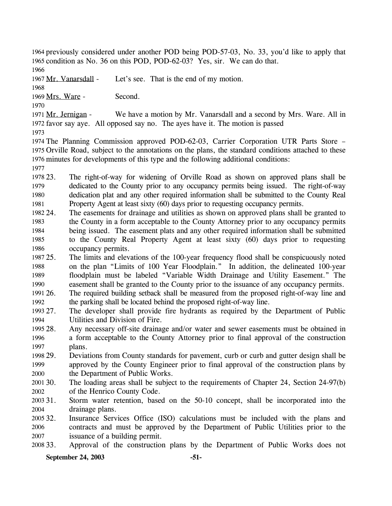1964 previously considered under another POD being POD-57-03, No. 33, you'd like to apply that 1965 condition as No. 36 on this POD, POD-62-03? Yes, sir. We can do that.

1966

1967 Mr. Vanarsdall - Let's see. That is the end of my motion.

1968

1969 Mrs. Ware - Second.

1970

We have a motion by Mr. Vanarsdall and a second by Mrs. Ware. All in 1972 favor say aye. All opposed say no. The ayes have it. The motion is passed 1971 Mr. Jernigan -

1973

1974 The Planning Commission approved POD-62-03, Carrier Corporation UTR Parts Store – 1975 Orville Road, subject to the annotations on the plans, the standard conditions attached to these 1976 minutes for developments of this type and the following additional conditions:

1977

1978 23. 1979 1980 1981 23. The right-of-way for widening of Orville Road as shown on approved plans shall be dedicated to the County prior to any occupancy permits being issued. The right-of-way dedication plat and any other required information shall be submitted to the County Real Property Agent at least sixty (60) days prior to requesting occupancy permits.

- 1982 24 1983 1984 1985 1986 The easements for drainage and utilities as shown on approved plans shall be granted to the County in a form acceptable to the County Attorney prior to any occupancy permits being issued. The easement plats and any other required information shall be submitted to the County Real Property Agent at least sixty (60) days prior to requesting occupancy permits.
- 1987 25. 1988 1989 1990 1991 26. 25. The limits and elevations of the 100-year frequency flood shall be conspicuously noted on the plan "Limits of 100 Year Floodplain." In addition, the delineated 100-year floodplain must be labeled "Variable Width Drainage and Utility Easement." The easement shall be granted to the County prior to the issuance of any occupancy permits. 26. The required building setback shall be measured from the proposed right-of-way line and

1992 the parking shall be located behind the proposed right-of-way line.

- 1993 27 1994 The developer shall provide fire hydrants as required by the Department of Public Utilities and Division of Fire.
- 1995 28. 1996 1997 Any necessary off-site drainage and/or water and sewer easements must be obtained in a form acceptable to the County Attorney prior to final approval of the construction plans.
- 1998 29. 1999 2000 29. Deviations from County standards for pavement, curb or curb and gutter design shall be approved by the County Engineer prior to final approval of the construction plans by the Department of Public Works.
- 2001 30. 2002 The loading areas shall be subject to the requirements of Chapter 24, Section 24-97(b) of the Henrico County Code.

2003 31. 2004 Storm water retention, based on the 50-10 concept, shall be incorporated into the drainage plans.

2005 32. 2006 2007 Insurance Services Office (ISO) calculations must be included with the plans and contracts and must be approved by the Department of Public Utilities prior to the issuance of a building permit.

2008 33. Approval of the construction plans by the Department of Public Works does not

**September 24, 2003 -51-**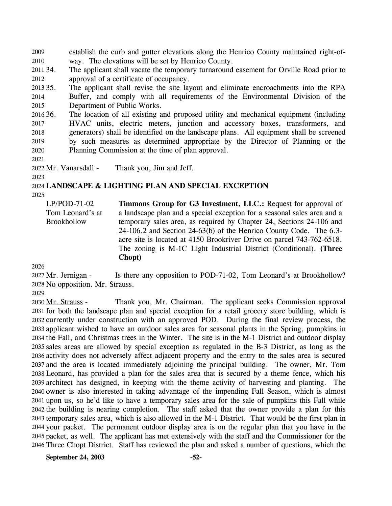establish the curb and gutter elevations along the Henrico County maintained right-ofway. The elevations will be set by Henrico County. 2009 2010

2011 34. 2012 The applicant shall vacate the temporary turnaround easement for Orville Road prior to approval of a certificate of occupancy.

2013 35. 2014 2015 The applicant shall revise the site layout and eliminate encroachments into the RPA Buffer, and comply with all requirements of the Environmental Division of the Department of Public Works.

2016 36. 2017 2018 2019 2020 The location of all existing and proposed utility and mechanical equipment (including HVAC units, electric meters, junction and accessory boxes, transformers, and generators) shall be identified on the landscape plans. All equipment shall be screened by such measures as determined appropriate by the Director of Planning or the Planning Commission at the time of plan approval.

2021

2022 Mr. Vanarsdall - Thank you, Jim and Jeff.

### 2024 **LANDSCAPE & LIGHTING PLAN AND SPECIAL EXCEPTION**

2025

2023

LP/POD-71-02 Tom Leonard's at **Brookhollow** 

**Timmons Group for G3 Investment, LLC.:** Request for approval of a landscape plan and a special exception for a seasonal sales area and a temporary sales area, as required by Chapter 24, Sections 24-106 and 24-106.2 and Section 24-63(b) of the Henrico County Code. The 6.3 acre site is located at 4150 Brookriver Drive on parcel 743-762-6518. The zoning is M-1C Light Industrial District (Conditional). **(Three Chopt)** 

2026

Is there any opposition to POD-71-02, Tom Leonard's at Brookhollow? 2028 No opposition. Mr. Strauss. 2027 Mr. Jernigan -

2029

Thank you, Mr. Chairman. The applicant seeks Commission approval 2031 for both the landscape plan and special exception for a retail grocery store building, which is 2032 currently under construction with an approved POD. During the final review process, the 2033 applicant wished to have an outdoor sales area for seasonal plants in the Spring, pumpkins in 2034 the Fall, and Christmas trees in the Winter. The site is in the M-1 District and outdoor display 2035 sales areas are allowed by special exception as regulated in the B-3 District, as long as the 2036 activity does not adversely affect adjacent property and the entry to the sales area is secured 2037 and the area is located immediately adjoining the principal building. The owner, Mr. Tom Leonard, has provided a plan for the sales area that is secured by a theme fence, which his 2038 2039 architect has designed, in keeping with the theme activity of harvesting and planting. The 2040 owner is also interested in taking advantage of the impending Fall Season, which is almost 2041 upon us, so he'd like to have a temporary sales area for the sale of pumpkins this Fall while 2042 the building is nearing completion. The staff asked that the owner provide a plan for this 2043 temporary sales area, which is also allowed in the M-1 District. That would be the first plan in 2044 your packet. The permanent outdoor display area is on the regular plan that you have in the 2045 packet, as well. The applicant has met extensively with the staff and the Commissioner for the 2046 Three Chopt District. Staff has reviewed the plan and asked a number of questions, which the 2030 Mr. Strauss -

**September 24, 2003 -52-**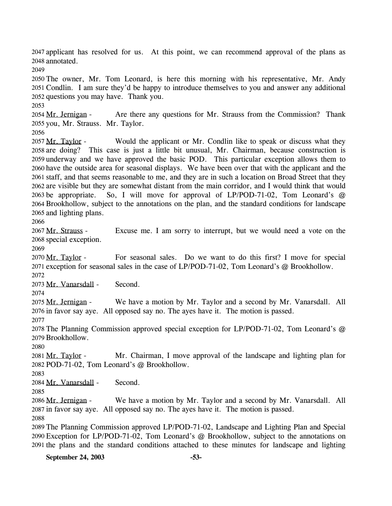2047 applicant has resolved for us. At this point, we can recommend approval of the plans as annotated. 2048 2049 2050 The owner, Mr. Tom Leonard, is here this morning with his representative, Mr. Andy 2051 Condlin. I am sure they'd be happy to introduce themselves to you and answer any additional 2052 questions you may have. Thank you. 2053 Are there any questions for Mr. Strauss from the Commission? Thank 2055 you, Mr. Strauss. Mr. Taylor. 2054 Mr. Jernigan -2056 Would the applicant or Mr. Condlin like to speak or discuss what they 2058 are doing? This case is just a little bit unusual, Mr. Chairman, because construction is 2059 underway and we have approved the basic POD. This particular exception allows them to 2060 have the outside area for seasonal displays. We have been over that with the applicant and the 2061 staff, and that seems reasonable to me, and they are in such a location on Broad Street that they 2062 are visible but they are somewhat distant from the main corridor, and I would think that would So, I will move for approval of LP/POD-71-02, Tom Leonard's  $@$ 2064 Brookhollow, subject to the annotations on the plan, and the standard conditions for landscape 2065 and lighting plans. 2057 Mr. Taylor -2063 be appropriate. 2066 Excuse me. I am sorry to interrupt, but we would need a vote on the 2068 special exception. 2067 Mr. Strauss -2069 For seasonal sales. Do we want to do this first? I move for special 2071 exception for seasonal sales in the case of LP/POD-71-02, Tom Leonard's @ Brookhollow. 2070 Mr. Taylor -2072 2073 Mr. Vanarsdall - Second. 2074 We have a motion by Mr. Taylor and a second by Mr. Vanarsdall. All 2076 in favor say aye. All opposed say no. The ayes have it. The motion is passed. 2075 Mr. Jernigan -2077 2078 The Planning Commission approved special exception for LP/POD-71-02, Tom Leonard's @ 2079 Brookhollow. 2080 Mr. Chairman, I move approval of the landscape and lighting plan for 2082 POD-71-02, Tom Leonard's @ Brookhollow. 2081 Mr. Taylor -2083 2084 Mr. Vanarsdall - Second. 2085 We have a motion by Mr. Taylor and a second by Mr. Vanarsdall. All 2087 in favor say aye. All opposed say no. The ayes have it. The motion is passed. 2086 Mr. Jernigan -2088 2089 The Planning Commission approved LP/POD-71-02, Landscape and Lighting Plan and Special 2090 Exception for LP/POD-71-02, Tom Leonard's @ Brookhollow, subject to the annotations on 2091 the plans and the standard conditions attached to these minutes for landscape and lighting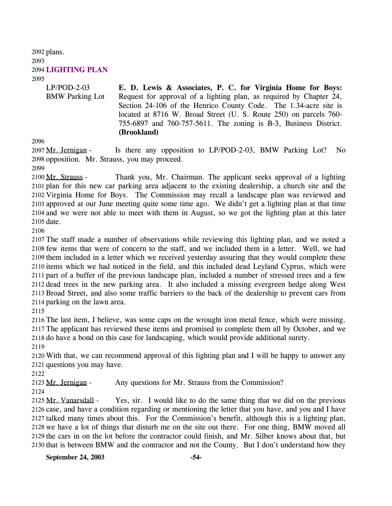2092 plans. 2093 2094 **LIGHTING PLAN**  2095 LP/POD-2-03

BMW Parking Lot **E. D. Lewis & Associates, P. C. for Virginia Home for Boys:**  Request for approval of a lighting plan, as required by Chapter 24, Section 24-106 of the Henrico County Code. The 1.34-acre site is located at 8716 W. Broad Street (U. S. Route 250) on parcels 760- 755-6897 and 760-757-5611. The zoning is B-3, Business District. **(Brookland)** 

2096

Is there any opposition to LP/POD-2-03, BMW Parking Lot? No 2098 opposition. Mr. Strauss, you may proceed. 2097 Mr. Jernigan -

2099

Thank you, Mr. Chairman. The applicant seeks approval of a lighting 2101 plan for this new car parking area adjacent to the existing dealership, a church site and the 2102 Virginia Home for Boys. The Commission may recall a landscape plan was reviewed and 2103 approved at our June meeting quite some time ago. We didn't get a lighting plan at that time 2104 and we were not able to meet with them in August, so we got the lighting plan at this later 2105 date. 2100 Mr. Strauss -

2106

 The staff made a number of observations while reviewing this lighting plan, and we noted a few items that were of concern to the staff, and we included them in a letter. Well, we had them included in a letter which we received yesterday assuring that they would complete these items which we had noticed in the field, and this included dead Leyland Cyprus, which were part of a buffer of the previous landscape plan, included a number of stressed trees and a few dead trees in the new parking area. It also included a missing evergreen hedge along West Broad Street, and also some traffic barriers to the back of the dealership to prevent cars from parking on the lawn area.

2115

2116 The last item, I believe, was some caps on the wrought iron metal fence, which were missing. 2117 The applicant has reviewed these items and promised to complete them all by October, and we 2118 do have a bond on this case for landscaping, which would provide additional surety.

2119

2120 With that, we can recommend approval of this lighting plan and I will be happy to answer any 2121 questions you may have.

2122

2123 Mr. Jernigan - Any questions for Mr. Strauss from the Commission?

2124

Yes, sir. I would like to do the same thing that we did on the previous 2126 case, and have a condition regarding or mentioning the letter that you have, and you and I have 2127 talked many times about this. For the Commission's benefit, although this is a lighting plan, 2128 we have a lot of things that disturb me on the site out there. For one thing, BMW moved all 2129 the cars in on the lot before the contractor could finish, and Mr. Silber knows about that, but 2130 that is between BMW and the contractor and not the County. But I don't understand how they 2125 Mr. Vanarsdall -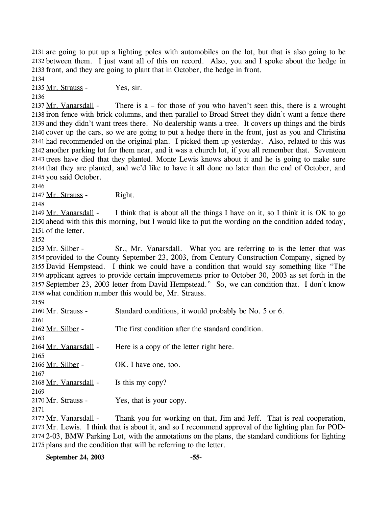2131 are going to put up a lighting poles with automobiles on the lot, but that is also going to be 2132 between them. I just want all of this on record. Also, you and I spoke about the hedge in 2133 front, and they are going to plant that in October, the hedge in front.

2134

2135 Mr. Strauss - Yes, sir.

2136

There is  $a$  – for those of you who haven't seen this, there is a wrought 2138 iron fence with brick columns, and then parallel to Broad Street they didn't want a fence there 2139 and they didn't want trees there. No dealership wants a tree. It covers up things and the birds 2140 cover up the cars, so we are going to put a hedge there in the front, just as you and Christina 2141 had recommended on the original plan. I picked them up yesterday. Also, related to this was 2142 another parking lot for them near, and it was a church lot, if you all remember that. Seventeen 2143 trees have died that they planted. Monte Lewis knows about it and he is going to make sure 2144 that they are planted, and we'd like to have it all done no later than the end of October, and 2145 you said October. 2137 Mr. Vanarsdall -

2146

2147 Mr. Strauss - Right.

2148

I think that is about all the things I have on it, so I think it is  $OK$  to go 2150 ahead with this this morning, but I would like to put the wording on the condition added today, 2151 of the letter. 2149 Mr. Vanarsdall -

2152

Sr., Mr. Vanarsdall. What you are referring to is the letter that was 2154 provided to the County September 23, 2003, from Century Construction Company, signed by 2155 David Hempstead. I think we could have a condition that would say something like "The 2156 applicant agrees to provide certain improvements prior to October 30, 2003 as set forth in the 2157 September 23, 2003 letter from David Hempstead." So, we can condition that. I don't know 2158 what condition number this would be, Mr. Strauss. 2153 Mr. Silber -

2159

| 2160 Mr. Strauss -         | Standard conditions, it would probably be No. 5 or 6. |
|----------------------------|-------------------------------------------------------|
| 2161                       |                                                       |
| 2162 Mr. Silber -          | The first condition after the standard condition.     |
| 2163                       |                                                       |
| 2164 Mr. Vanarsdall -      | Here is a copy of the letter right here.              |
| 2165                       |                                                       |
| 2166 Mr. Silber -          | OK. I have one, too.                                  |
| 2167                       |                                                       |
| 2168 Mr. Vanarsdall -      | Is this my copy?                                      |
| 2169                       |                                                       |
| 2170 Mr. Strauss -<br>2171 | Yes, that is your copy.                               |
| 2172 Mr. Vanaredall        | Thank you for working on that I'm and Leff<br>That is |

Thank you for working on that, Jim and Jeff. That is real cooperation, 2173 Mr. Lewis. I think that is about it, and so I recommend approval of the lighting plan for POD-2174 2-03, BMW Parking Lot, with the annotations on the plans, the standard conditions for lighting 2175 plans and the condition that will be referring to the letter. 2172 Mr. Vanarsdall -

**September 24, 2003 -55-**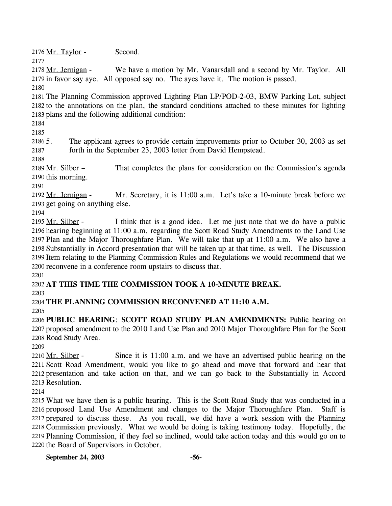2176 Mr. Taylor - Second.

2177

We have a motion by Mr. Vanarsdall and a second by Mr. Taylor. All 2179 in favor say aye. All opposed say no. The ayes have it. The motion is passed. 2178 Mr. Jernigan -

2180

2181 The Planning Commission approved Lighting Plan LP/POD-2-03, BMW Parking Lot, subject 2182 to the annotations on the plan, the standard conditions attached to these minutes for lighting 2183 plans and the following additional condition:

2184

2185

2186 5. 2187 The applicant agrees to provide certain improvements prior to October 30, 2003 as set forth in the September 23, 2003 letter from David Hempstead.

2188

That completes the plans for consideration on the Commission's agenda 2190 this morning. 2189 Mr. Silber -

2191

Mr. Secretary, it is 11:00 a.m. Let's take a 10-minute break before we 2193 get going on anything else. 2192 Mr. Jernigan -

2194

I think that is a good idea. Let me just note that we do have a public 2196 hearing beginning at 11:00 a.m. regarding the Scott Road Study Amendments to the Land Use 2197 Plan and the Major Thoroughfare Plan. We will take that up at 11:00 a.m. We also have a 2198 Substantially in Accord presentation that will be taken up at that time, as well. The Discussion 2199 Item relating to the Planning Commission Rules and Regulations we would recommend that we 2200 reconvene in a conference room upstairs to discuss that. 2195 Mr. Silber -

2201

2202 **AT THIS TIME THE COMMISSION TOOK A 10-MINUTE BREAK.** 

2203

2204 **THE PLANNING COMMISSION RECONVENED AT 11:10 A.M.** 

2205

2206 **PUBLIC HEARING**: **SCOTT ROAD STUDY PLAN AMENDMENTS:** Public hearing on 2207 proposed amendment to the 2010 Land Use Plan and 2010 Major Thoroughfare Plan for the Scott 2208 Road Study Area.

2209

Since it is  $11:00$  a.m. and we have an advertised public hearing on the 2211 Scott Road Amendment, would you like to go ahead and move that forward and hear that 2212 presentation and take action on that, and we can go back to the Substantially in Accord 2213 Resolution. 2210 Mr. Silber -

2214

 What we have then is a public hearing. This is the Scott Road Study that was conducted in a proposed Land Use Amendment and changes to the Major Thoroughfare Plan. Staff is prepared to discuss those. As you recall, we did have a work session with the Planning Commission previously. What we would be doing is taking testimony today. Hopefully, the Planning Commission, if they feel so inclined, would take action today and this would go on to the Board of Supervisors in October.

**September 24, 2003 -56-**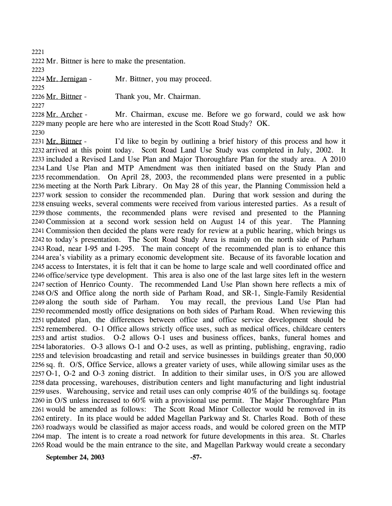2221

2222 Mr. Bittner is here to make the presentation.

2223

2224 Mr. Jernigan - Mr. Bittner, you may proceed.

2225

2226 Mr. Bittner - Thank you, Mr. Chairman.

2227

Mr. Chairman, excuse me. Before we go forward, could we ask how 2229 many people are here who are interested in the Scott Road Study? OK. 2228 Mr. Archer -

2230

I'd like to begin by outlining a brief history of this process and how it 2232 arrived at this point today. Scott Road Land Use Study was completed in July, 2002. It 2233 included a Revised Land Use Plan and Major Thoroughfare Plan for the study area. A 2010 2234 Land Use Plan and MTP Amendment was then initiated based on the Study Plan and 2235 recommendation. On April 28, 2003, the recommended plans were presented in a public 2236 meeting at the North Park Library. On May 28 of this year, the Planning Commission held a 2237 work session to consider the recommended plan. During that work session and during the 2238 ensuing weeks, several comments were received from various interested parties. As a result of 2239 those comments, the recommended plans were revised and presented to the Planning 2240 Commission at a second work session held on August 14 of this year. The Planning 2241 Commission then decided the plans were ready for review at a public hearing, which brings us 2242 to today's presentation. The Scott Road Study Area is mainly on the north side of Parham 2243 Road, near I-95 and I-295. The main concept of the recommended plan is to enhance this 2244 area's viability as a primary economic development site. Because of its favorable location and 2245 access to Interstates, it is felt that it can be home to large scale and well coordinated office and 2246 office/service type development. This area is also one of the last large sites left in the western 2247 section of Henrico County. The recommended Land Use Plan shown here reflects a mix of 2248 O/S and Office along the north side of Parham Road, and SR-1, Single-Family Residential You may recall, the previous Land Use Plan had. 2250 recommended mostly office designations on both sides of Parham Road. When reviewing this 2251 updated plan, the differences between office and office service development should be 2252 remembered. O-1 Office allows strictly office uses, such as medical offices, childcare centers 2253 and artist studios. O-2 allows O-1 uses and business offices, banks, funeral homes and 2254 laboratories. O-3 allows O-1 and O-2 uses, as well as printing, publishing, engraving, radio 2255 and television broadcasting and retail and service businesses in buildings greater than 50,000 2256 sq. ft. O/S, Office Service, allows a greater variety of uses, while allowing similar uses as the 2257 O-1, O-2 and O-3 zoning district. In addition to their similar uses, in O/S you are allowed 2258 data processing, warehouses, distribution centers and light manufacturing and light industrial 2259 uses. Warehousing, service and retail uses can only comprise 40% of the buildings sq. footage 2260 in O/S unless increased to 60% with a provisional use permit. The Major Thoroughfare Plan 2261 would be amended as follows: The Scott Road Minor Collector would be removed in its 2262 entirety. In its place would be added Magellan Parkway and St. Charles Road. Both of these 2263 roadways would be classified as major access roads, and would be colored green on the MTP 2264 map. The intent is to create a road network for future developments in this area. St. Charles 2265 Road would be the main entrance to the site, and Magellan Parkway would create a secondary 2231 Mr. Bittner -2249 along the south side of Parham.

**September 24, 2003 -57-**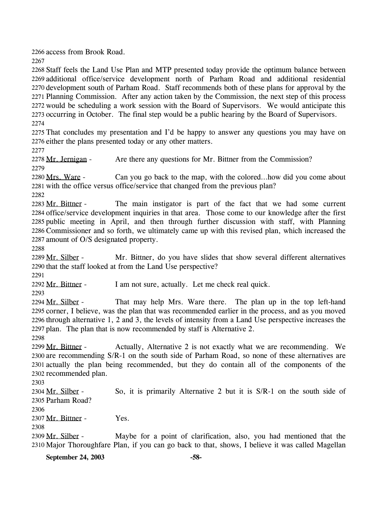2266 access from Brook Road.

2267

 Staff feels the Land Use Plan and MTP presented today provide the optimum balance between additional office/service development north of Parham Road and additional residential development south of Parham Road. Staff recommends both of these plans for approval by the Planning Commission. After any action taken by the Commission, the next step of this process would be scheduling a work session with the Board of Supervisors. We would anticipate this occurring in October. The final step would be a public hearing by the Board of Supervisors. 2274

2275 That concludes my presentation and I'd be happy to answer any questions you may have on 2276 either the plans presented today or any other matters.

2277

2278 Mr. Jernigan - Are there any questions for Mr. Bittner from the Commission?

2279

Can you go back to the map, with the colored…how did you come about 2281 with the office versus office/service that changed from the previous plan? 2280 Mrs. Ware -

2282

The main instigator is part of the fact that we had some current 2284 office/service development inquiries in that area. Those come to our knowledge after the first 2285 public meeting in April, and then through further discussion with staff, with Planning 2286 Commissioner and so forth, we ultimately came up with this revised plan, which increased the 2287 amount of O/S designated property. 2283 Mr. Bittner -

2288

Mr. Bittner, do you have slides that show several different alternatives 2290 that the staff looked at from the Land Use perspective? 2289 Mr. Silber -

2291

2292 Mr. Bittner - I am not sure, actually. Let me check real quick.

2293

That may help Mrs. Ware there. The plan up in the top left-hand 2295 corner, I believe, was the plan that was recommended earlier in the process, and as you moved 2296 through alternative 1, 2 and 3, the levels of intensity from a Land Use perspective increases the 2297 plan. The plan that is now recommended by staff is Alternative 2. 2294 Mr. Silber -

2298

Actually, Alternative 2 is not exactly what we are recommending. We 2300 are recommending S/R-1 on the south side of Parham Road, so none of these alternatives are 2301 actually the plan being recommended, but they do contain all of the components of the 2302 recommended plan. 2299 Mr. Bittner -

2303

So, it is primarily Alternative 2 but it is  $S/R-1$  on the south side of 2305 Parham Road? 2304 Mr. Silber -

2306

2307 Mr. Bittner - Yes.

2308

Maybe for a point of clarification, also, you had mentioned that the 2310 Major Thoroughfare Plan, if you can go back to that, shows, I believe it was called Magellan 2309 Mr. Silber -

**September 24, 2003 -58-**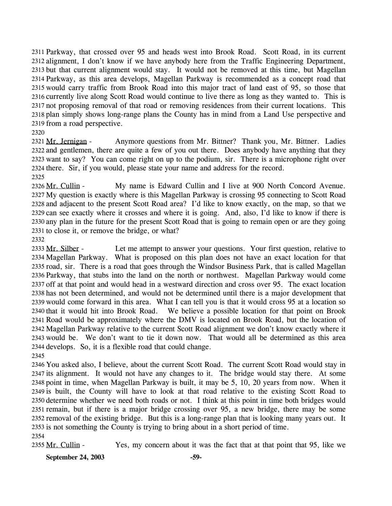2311 Parkway, that crossed over 95 and heads west into Brook Road. Scott Road, in its current 2312 alignment, I don't know if we have anybody here from the Traffic Engineering Department, 2313 but that current alignment would stay. It would not be removed at this time, but Magellan 2314 Parkway, as this area develops, Magellan Parkway is recommended as a concept road that 2315 would carry traffic from Brook Road into this major tract of land east of 95, so those that 2316 currently live along Scott Road would continue to live there as long as they wanted to. This is 2317 not proposing removal of that road or removing residences from their current locations. This 2318 plan simply shows long-range plans the County has in mind from a Land Use perspective and 2319 from a road perspective.

2320

Anymore questions from Mr. Bittner? Thank you, Mr. Bittner. Ladies 2322 and gentlemen, there are quite a few of you out there. Does anybody have anything that they 2323 want to say? You can come right on up to the podium, sir. There is a microphone right over 2324 there. Sir, if you would, please state your name and address for the record. 2321 Mr. Jernigan -2325

My name is Edward Cullin and I live at 900 North Concord Avenue. 2327 My question is exactly where is this Magellan Parkway is crossing 95 connecting to Scott Road 2328 and adjacent to the present Scott Road area? I'd like to know exactly, on the map, so that we 2329 can see exactly where it crosses and where it is going. And, also, I'd like to know if there is 2330 any plan in the future for the present Scott Road that is going to remain open or are they going 2331 to close it, or remove the bridge, or what? 2326 Mr. Cullin -

2332

Let me attempt to answer your questions. Your first question, relative to 2334 Magellan Parkway. What is proposed on this plan does not have an exact location for that 2335 road, sir. There is a road that goes through the Windsor Business Park, that is called Magellan 2336 Parkway, that stubs into the land on the north or northwest. Magellan Parkway would come 2337 off at that point and would head in a westward direction and cross over 95. The exact location 2338 has not been determined, and would not be determined until there is a major development that 2339 would come forward in this area. What I can tell you is that it would cross 95 at a location so We believe a possible location for that point on Brook. 2341 Road would be approximately where the DMV is located on Brook Road, but the location of 2342 Magellan Parkway relative to the current Scott Road alignment we don't know exactly where it 2343 would be. We don't want to tie it down now. That would all be determined as this area 2344 develops. So, it is a flexible road that could change. 2333 Mr. Silber -2340 that it would hit into Brook Road. 2345

 You asked also, I believe, about the current Scott Road. The current Scott Road would stay in its alignment. It would not have any changes to it. The bridge would stay there. At some point in time, when Magellan Parkway is built, it may be 5, 10, 20 years from now. When it is built, the County will have to look at that road relative to the existing Scott Road to determine whether we need both roads or not. I think at this point in time both bridges would remain, but if there is a major bridge crossing over 95, a new bridge, there may be some removal of the existing bridge. But this is a long-range plan that is looking many years out. It is not something the County is trying to bring about in a short period of time. 2354

2355 Mr. Cullin - Yes, my concern about it was the fact that at that point that 95, like we

**September 24, 2003 -59-**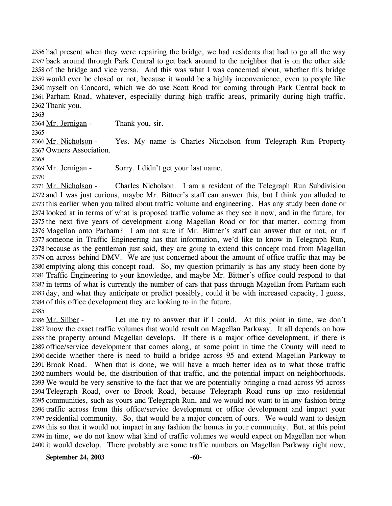2356 had present when they were repairing the bridge, we had residents that had to go all the way 2357 back around through Park Central to get back around to the neighbor that is on the other side 2358 of the bridge and vice versa. And this was what I was concerned about, whether this bridge 2359 would ever be closed or not, because it would be a highly inconvenience, even to people like 2360 myself on Concord, which we do use Scott Road for coming through Park Central back to 2361 Parham Road, whatever, especially during high traffic areas, primarily during high traffic. 2362 Thank you.

2363

2364 Mr. Jernigan - Thank you, sir.

2365

Yes. My name is Charles Nicholson from Telegraph Run Property 2367 Owners Association. 2366 Mr. Nicholson -

2368

2369 Mr. Jernigan - Sorry. I didn't get your last name. 2370

Charles Nicholson. I am a resident of the Telegraph Run Subdivision 2372 and I was just curious, maybe Mr. Bittner's staff can answer this, but I think you alluded to 2373 this earlier when you talked about traffic volume and engineering. Has any study been done or 2374 looked at in terms of what is proposed traffic volume as they see it now, and in the future, for 2375 the next five years of development along Magellan Road or for that matter, coming from 2376 Magellan onto Parham? I am not sure if Mr. Bittner's staff can answer that or not, or if 2377 someone in Traffic Engineering has that information, we'd like to know in Telegraph Run, 2378 because as the gentleman just said, they are going to extend this concept road from Magellan 2379 on across behind DMV. We are just concerned about the amount of office traffic that may be 2380 emptying along this concept road. So, my question primarily is has any study been done by 2381 Traffic Engineering to your knowledge, and maybe Mr. Bittner's office could respond to that 2382 in terms of what is currently the number of cars that pass through Magellan from Parham each 2383 day, and what they anticipate or predict possibly, could it be with increased capacity, I guess, 2384 of this office development they are looking to in the future. 2371 Mr. Nicholson -

2385

Let me try to answer that if I could. At this point in time, we don't 2387 know the exact traffic volumes that would result on Magellan Parkway. It all depends on how 2388 the property around Magellan develops. If there is a major office development, if there is 2389 office/service development that comes along, at some point in time the County will need to 2390 decide whether there is need to build a bridge across 95 and extend Magellan Parkway to 2391 Brook Road. When that is done, we will have a much better idea as to what those traffic 2392 numbers would be, the distribution of that traffic, and the potential impact on neighborhoods. 2393 We would be very sensitive to the fact that we are potentially bringing a road across 95 across Telegraph Road, over to Brook Road, because Telegraph Road runs up into residential 2394 2395 communities, such as yours and Telegraph Run, and we would not want to in any fashion bring 2396 traffic across from this office/service development or office development and impact your 2397 residential community. So, that would be a major concern of ours. We would want to design 2398 this so that it would not impact in any fashion the homes in your community. But, at this point 2399 in time, we do not know what kind of traffic volumes we would expect on Magellan nor when 2400 it would develop. There probably are some traffic numbers on Magellan Parkway right now, 2386 Mr. Silber -

September 24, 2003 -60-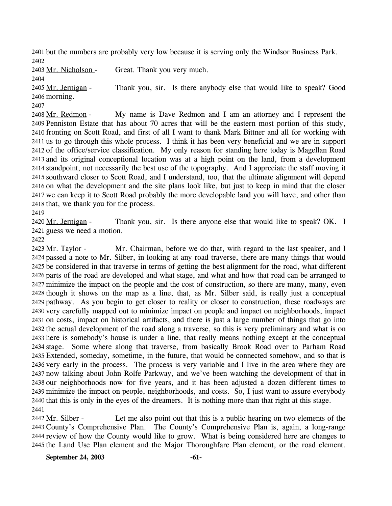2401 but the numbers are probably very low because it is serving only the Windsor Business Park. 2402

2403 Mr. Nicholson - Great. Thank you very much. 2404 Thank you, sir. Is there anybody else that would like to speak? Good 2406 morning. 2405 Mr. Jernigan -

2407

My name is Dave Redmon and I am an attorney and I represent the 2409 Penniston Estate that has about 70 acres that will be the eastern most portion of this study, 2410 fronting on Scott Road, and first of all I want to thank Mark Bittner and all for working with 2411 us to go through this whole process. I think it has been very beneficial and we are in support 2412 of the office/service classification. My only reason for standing here today is Magellan Road 2413 and its original conceptional location was at a high point on the land, from a development 2414 standpoint, not necessarily the best use of the topography. And I appreciate the staff moving it 2415 southward closer to Scott Road, and I understand, too, that the ultimate alignment will depend 2416 on what the development and the site plans look like, but just to keep in mind that the closer 2417 we can keep it to Scott Road probably the more developable land you will have, and other than 2418 that, we thank you for the process. 2408 Mr. Redmon -

2419

Thank you, sir. Is there anyone else that would like to speak? OK. I 2421 guess we need a motion. 2420 Mr. Jernigan -

2422

Mr. Chairman, before we do that, with regard to the last speaker, and I 2424 passed a note to Mr. Silber, in looking at any road traverse, there are many things that would 2425 be considered in that traverse in terms of getting the best alignment for the road, what different 2426 parts of the road are developed and what stage, and what and how that road can be arranged to 2427 minimize the impact on the people and the cost of construction, so there are many, many, even 2428 though it shows on the map as a line, that, as Mr. Silber said, is really just a conceptual 2429 pathway. As you begin to get closer to reality or closer to construction, these roadways are 2430 very carefully mapped out to minimize impact on people and impact on neighborhoods, impact 2431 on costs, impact on historical artifacts, and there is just a large number of things that go into 2432 the actual development of the road along a traverse, so this is very preliminary and what is on 2433 here is somebody's house is under a line, that really means nothing except at the conceptual 2434 stage. Some where along that traverse, from basically Brook Road over to Parham Road Extended, someday, sometime, in the future, that would be connected somehow, and so that is 2435 2436 very early in the process. The process is very variable and I live in the area where they are 2437 now talking about John Rolfe Parkway, and we've been watching the development of that in 2438 our neighborhoods now for five years, and it has been adjusted a dozen different times to 2439 minimize the impact on people, neighborhoods, and costs. So, I just want to assure everybody 2440 that this is only in the eyes of the dreamers. It is nothing more than that right at this stage. 2423 Mr. Taylor -2441

Let me also point out that this is a public hearing on two elements of the 2443 County's Comprehensive Plan. The County's Comprehensive Plan is, again, a long-range 2444 review of how the County would like to grow. What is being considered here are changes to 2445 the Land Use Plan element and the Major Thoroughfare Plan element, or the road element. 2442 Mr. Silber -

**September 24, 2003 -61-**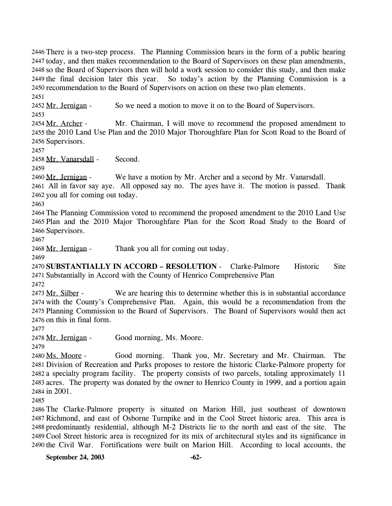2446 There is a two-step process. The Planning Commission hears in the form of a public hearing 2447 today, and then makes recommendation to the Board of Supervisors on these plan amendments, 2448 so the Board of Supervisors then will hold a work session to consider this study, and then make 2449 the final decision later this year. So today's action by the Planning Commission is a 2450 recommendation to the Board of Supervisors on action on these two plan elements.

2451

2452 Mr. Jernigan - So we need a motion to move it on to the Board of Supervisors.

2453

Mr. Chairman, I will move to recommend the proposed amendment to 2455 the 2010 Land Use Plan and the 2010 Major Thoroughfare Plan for Scott Road to the Board of 2456 Supervisors. 2454 Mr. Archer -

2457

2458 Mr. Vanarsdall - Second.

2459

We have a motion by Mr. Archer and a second by Mr. Vanarsdall. 2460 Mr. Jernigan -

2461 All in favor say aye. All opposed say no. The ayes have it. The motion is passed. Thank 2462 you all for coming out today.

2463

2464 The Planning Commission voted to recommend the proposed amendment to the 2010 Land Use 2465 Plan and the 2010 Major Thoroughfare Plan for the Scott Road Study to the Board of 2466 Supervisors.

2467

2468 Mr. Jernigan - Thank you all for coming out today.

2469

2470 **SUBSTANTIALLY IN ACCORD – RESOLUTION** - Clarke-Palmore Historic Site 2471 Substantially in Accord with the County of Henrico Comprehensive Plan

2472

We are hearing this to determine whether this is in substantial accordance 2474 with the County's Comprehensive Plan. Again, this would be a recommendation from the 2475 Planning Commission to the Board of Supervisors. The Board of Supervisors would then act 2476 on this in final form. 2473 Mr. Silber -

2477

2478 Mr. Jernigan - Good morning, Ms. Moore.

2479

Good morning. Thank you, Mr. Secretary and Mr. Chairman. The 2481 Division of Recreation and Parks proposes to restore the historic Clarke-Palmore property for 2482 a specialty program facility. The property consists of two parcels, totaling approximately 11 2483 acres. The property was donated by the owner to Henrico County in 1999, and a portion again 2484 in 2001. 2480 Ms. Moore -

2485

 The Clarke-Palmore property is situated on Marion Hill, just southeast of downtown Richmond, and east of Osborne Turnpike and in the Cool Street historic area. This area is predominantly residential, although M-2 Districts lie to the north and east of the site. The Cool Street historic area is recognized for its mix of architectural styles and its significance in the Civil War. Fortifications were built on Marion Hill. According to local accounts, the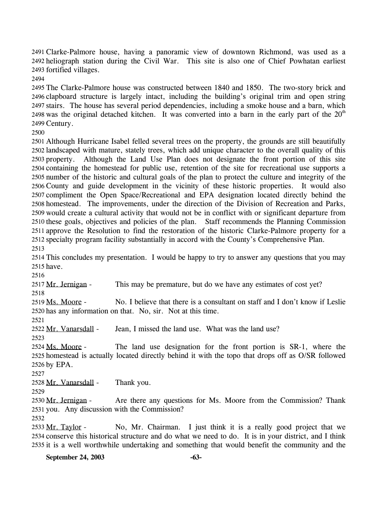Clarke-Palmore house, having a panoramic view of downtown Richmond, was used as a 2491 2492 heliograph station during the Civil War. This site is also one of Chief Powhatan earliest 2493 fortified villages.

2494

 The Clarke-Palmore house was constructed between 1840 and 1850. The two-story brick and clapboard structure is largely intact, including the building's original trim and open string stairs. The house has several period dependencies, including a smoke house and a barn, which 2498 was the original detached kitchen. It was converted into a barn in the early part of the  $20<sup>th</sup>$ Century.

2500

 Although Hurricane Isabel felled several trees on the property, the grounds are still beautifully landscaped with mature, stately trees, which add unique character to the overall quality of this property. Although the Land Use Plan does not designate the front portion of this site containing the homestead for public use, retention of the site for recreational use supports a number of the historic and cultural goals of the plan to protect the culture and integrity of the County and guide development in the vicinity of these historic properties. It would also compliment the Open Space/Recreational and EPA designation located directly behind the homestead. The improvements, under the direction of the Division of Recreation and Parks, would create a cultural activity that would not be in conflict with or significant departure from these goals, objectives and policies of the plan. Staff recommends the Planning Commission approve the Resolution to find the restoration of the historic Clarke-Palmore property for a specialty program facility substantially in accord with the County's Comprehensive Plan. 2513

2514 This concludes my presentation. I would be happy to try to answer any questions that you may 2515 have.

2516

2517 Mr. Jernigan - This may be premature, but do we have any estimates of cost yet? 2518

No. I believe that there is a consultant on staff and I don't know if Leslie 2520 has any information on that. No, sir. Not at this time. 2519 Ms. Moore -

2521

2522 Mr. Vanarsdall - Jean, I missed the land use. What was the land use?

2523

The land use designation for the front portion is SR-1, where the 2525 homestead is actually located directly behind it with the topo that drops off as O/SR followed 2526 by EPA. 2524 Ms. Moore -

2527

2528 Mr. Vanarsdall - Thank you.

2529

Are there any questions for Ms. Moore from the Commission? Thank 2531 you. Any discussion with the Commission? 2530 Mr. Jernigan -

2532

No, Mr. Chairman. I just think it is a really good project that we 2534 conserve this historical structure and do what we need to do. It is in your district, and I think 2535 it is a well worthwhile undertaking and something that would benefit the community and the 2533 Mr. Taylor -

**September 24, 2003 -63-**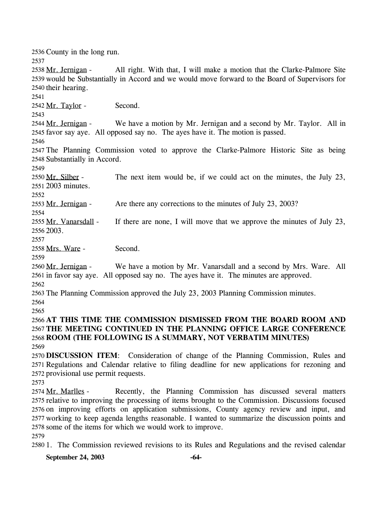2536 County in the long run. 2537 All right. With that, I will make a motion that the Clarke-Palmore Site 2539 would be Substantially in Accord and we would move forward to the Board of Supervisors for 2540 their hearing. 2538 Mr. Jernigan -2541 2542 Mr. Taylor - Second. 2543 We have a motion by Mr. Jernigan and a second by Mr. Taylor. All in 2545 favor say aye. All opposed say no. The ayes have it. The motion is passed. 2544 Mr. Jernigan -2546 2547 The Planning Commission voted to approve the Clarke-Palmore Historic Site as being 2548 Substantially in Accord. 2549 The next item would be, if we could act on the minutes, the July 23, 2551 2003 minutes. 2550 Mr. Silber -2552 2553 Mr. Jernigan - Are there any corrections to the minutes of July 23, 2003? 2554 If there are none, I will move that we approve the minutes of July 23, 2556 2003. 2555 Mr. Vanarsdall -2557 2558 Mrs. Ware - Second. 2559 We have a motion by Mr. Vanarsdall and a second by Mrs. Ware. All 2561 in favor say aye. All opposed say no. The ayes have it. The minutes are approved. 2560 Mr. Jernigan -2562 2563 The Planning Commission approved the July 23, 2003 Planning Commission minutes. 2564 2565 2566 **AT THIS TIME THE COMMISSION DISMISSED FROM THE BOARD ROOM AND**  2567 **THE MEETING CONTINUED IN THE PLANNING OFFICE LARGE CONFERENCE**  2568 **ROOM (THE FOLLOWING IS A SUMMARY, NOT VERBATIM MINUTES)**  2569 2570 **DISCUSSION ITEM**: Consideration of change of the Planning Commission, Rules and 2571 Regulations and Calendar relative to filing deadline for new applications for rezoning and 2572 provisional use permit requests. 2573 Recently, the Planning Commission has discussed several matters 2575 relative to improving the processing of items brought to the Commission. Discussions focused 2574 Mr. Marlles -

2578 some of the items for which we would work to improve. 2579

2580 1. The Commission reviewed revisions to its Rules and Regulations and the revised calendar

2576 on improving efforts on application submissions, County agency review and input, and 2577 working to keep agenda lengths reasonable. I wanted to summarize the discussion points and

**September 24, 2003 -64-**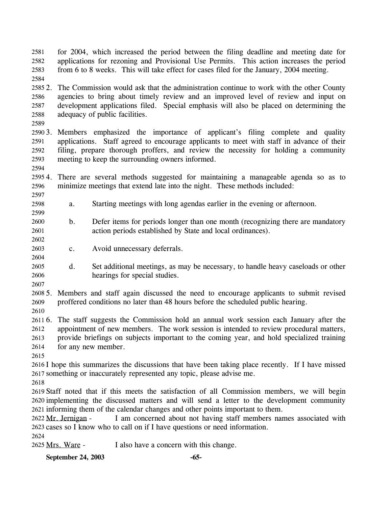for 2004, which increased the period between the filing deadline and meeting date for applications for rezoning and Provisional Use Permits. This action increases the period from 6 to 8 weeks. This will take effect for cases filed for the January, 2004 meeting. 2581 2582 2583

2584

25852. 2586 2587 2588 2. The Commission would ask that the administration continue to work with the other County agencies to bring about timely review and an improved level of review and input on development applications filed. Special emphasis will also be placed on determining the adequacy of public facilities.

2589

2590 3. 2591 2592 2593 Members emphasized the importance of applicant's filing complete and quality applications. Staff agreed to encourage applicants to meet with staff in advance of their filing, prepare thorough proffers, and review the necessity for holding a community meeting to keep the surrounding owners informed.

2594

2599

2602

2604

25954. 2596 2597 There are several methods suggested for maintaining a manageable agenda so as to minimize meetings that extend late into the night. These methods included:

- 2598 a. Starting meetings with long agendas earlier in the evening or afternoon.
- 2600 2601 b. Defer items for periods longer than one month (recognizing there are mandatory action periods established by State and local ordinances).
- 2603 c. Avoid unnecessary deferrals.
- 2605 2606 d. Set additional meetings, as may be necessary, to handle heavy caseloads or other hearings for special studies.
- 2607

 $26085$ . 2609 5. Members and staff again discussed the need to encourage applicants to submit revised proffered conditions no later than 48 hours before the scheduled public hearing.

2610

2611 6. The staff suggests the Commission hold an annual work session each January after the 2612 2613 2614 appointment of new members. The work session is intended to review procedural matters, provide briefings on subjects important to the coming year, and hold specialized training for any new member.

2615

2616 I hope this summarizes the discussions that have been taking place recently. If I have missed 2617 something or inaccurately represented any topic, please advise me.

2618

2619 Staff noted that if this meets the satisfaction of all Commission members, we will begin 2620 implementing the discussed matters and will send a letter to the development community 2621 informing them of the calendar changes and other points important to them.

I am concerned about not having staff members names associated with 2623 cases so I know who to call on if I have questions or need information. 2622 Mr. Jernigan -

2624

2625 Mrs. Ware - I also have a concern with this change.

**September 24, 2003 -65-**